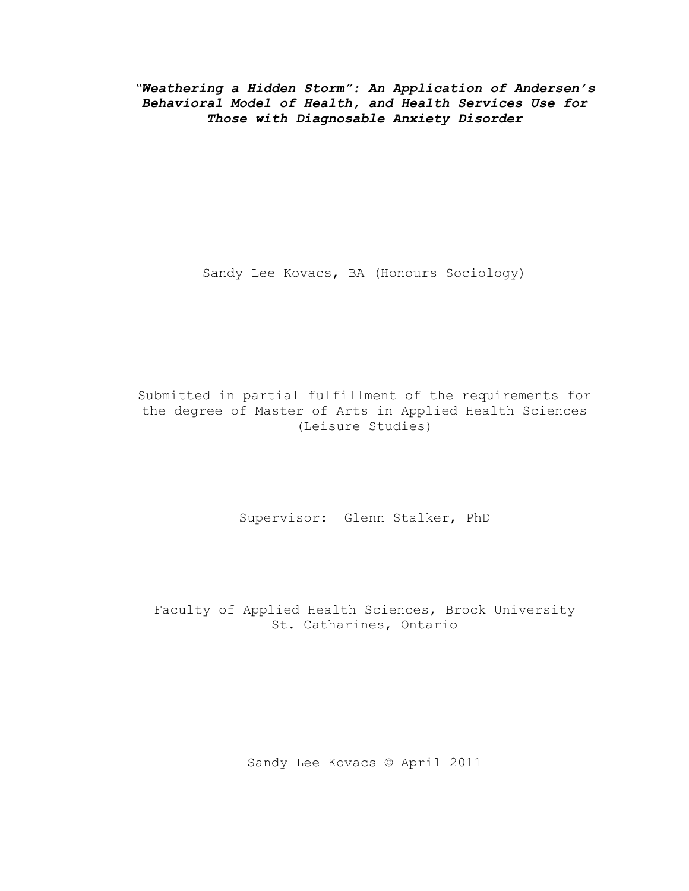*"Weathering a Hidden Storm": An Application of Andersen's Behavioral Model of Health, and Health Services Use for Those with Diagnosable Anxiety Disorder*

Sandy Lee Kovacs, BA (Honours Sociology)

Submitted in partial fulfillment of the requirements for the degree of Master of Arts in Applied Health Sciences (Leisure Studies)

Supervisor: Glenn Stalker, PhD

Faculty of Applied Health Sciences, Brock University St. Catharines, Ontario

Sandy Lee Kovacs © April 2011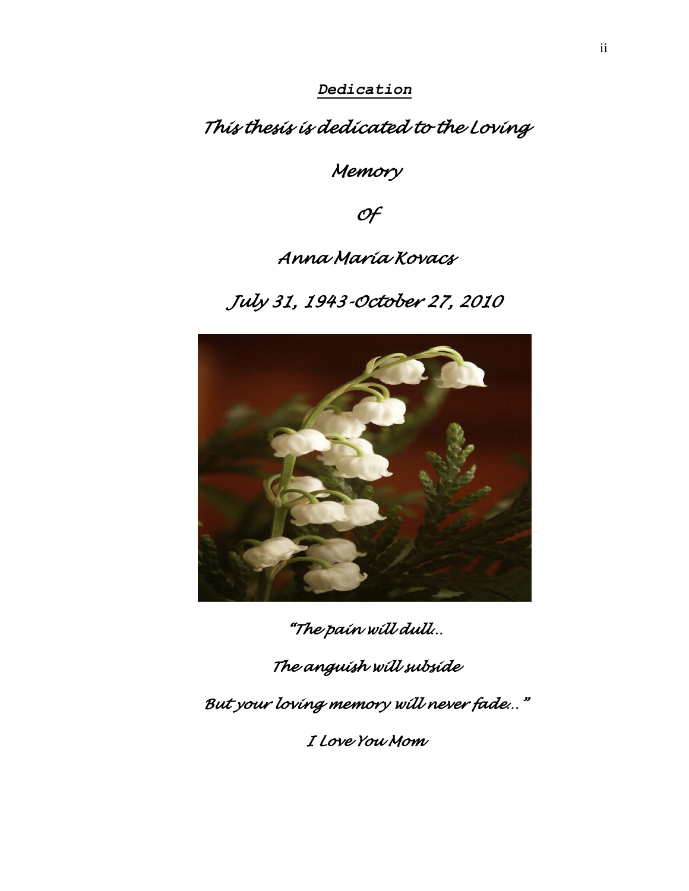*Dedication*

*This thesis is dedicated to the Loving* 

*Memory* 

*Of* 

# *Anna Maria Kovacs*

*July 31, 1943-October 27, 2010* 



*"The pain will dull…* 

*The anguish will subside* 

*But your loving memory will never fade…"* 

*I Love You Mom*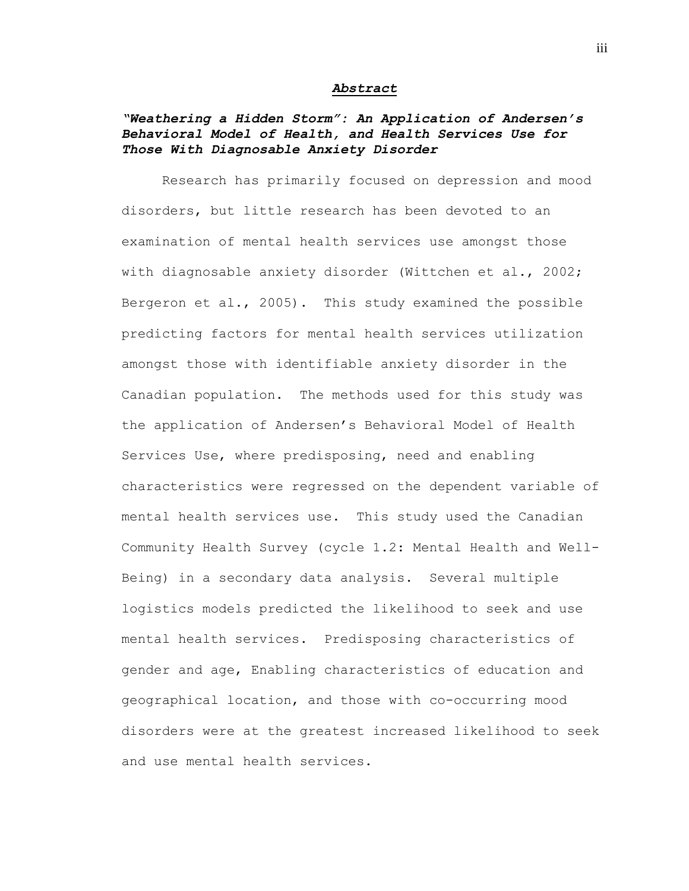#### *Abstract*

## *"Weathering a Hidden Storm": An Application of Andersen's Behavioral Model of Health, and Health Services Use for Those With Diagnosable Anxiety Disorder*

Research has primarily focused on depression and mood disorders, but little research has been devoted to an examination of mental health services use amongst those with diagnosable anxiety disorder (Wittchen et al., 2002; Bergeron et al., 2005). This study examined the possible predicting factors for mental health services utilization amongst those with identifiable anxiety disorder in the Canadian population. The methods used for this study was the application of Andersen"s Behavioral Model of Health Services Use, where predisposing, need and enabling characteristics were regressed on the dependent variable of mental health services use. This study used the Canadian Community Health Survey (cycle 1.2: Mental Health and Well-Being) in a secondary data analysis. Several multiple logistics models predicted the likelihood to seek and use mental health services. Predisposing characteristics of gender and age, Enabling characteristics of education and geographical location, and those with co-occurring mood disorders were at the greatest increased likelihood to seek and use mental health services.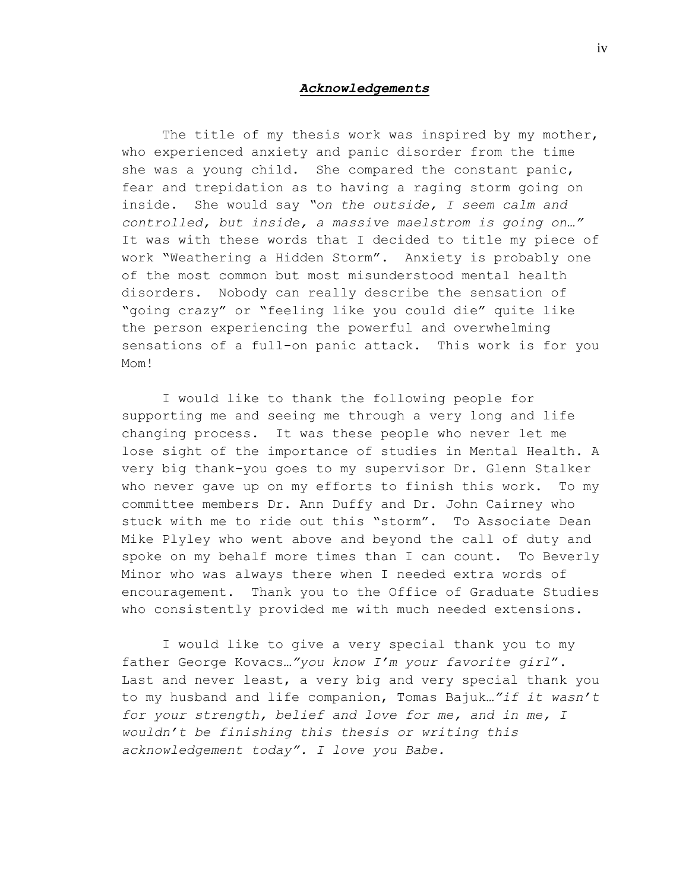#### *Acknowledgements*

The title of my thesis work was inspired by my mother, who experienced anxiety and panic disorder from the time she was a young child. She compared the constant panic, fear and trepidation as to having a raging storm going on inside. She would say *"on the outside, I seem calm and controlled, but inside, a massive maelstrom is going on…"*  It was with these words that I decided to title my piece of work "Weathering a Hidden Storm". Anxiety is probably one of the most common but most misunderstood mental health disorders. Nobody can really describe the sensation of "going crazy" or "feeling like you could die" quite like the person experiencing the powerful and overwhelming sensations of a full-on panic attack. This work is for you M<sub>om</sub>!

I would like to thank the following people for supporting me and seeing me through a very long and life changing process. It was these people who never let me lose sight of the importance of studies in Mental Health. A very big thank-you goes to my supervisor Dr. Glenn Stalker who never gave up on my efforts to finish this work. To my committee members Dr. Ann Duffy and Dr. John Cairney who stuck with me to ride out this "storm". To Associate Dean Mike Plyley who went above and beyond the call of duty and spoke on my behalf more times than I can count. To Beverly Minor who was always there when I needed extra words of encouragement. Thank you to the Office of Graduate Studies who consistently provided me with much needed extensions.

I would like to give a very special thank you to my father George Kovacs*…"you know I'm your favorite girl*". Last and never least, a very big and very special thank you to my husband and life companion, Tomas Bajuk*…"if it wasn't for your strength, belief and love for me, and in me, I wouldn't be finishing this thesis or writing this acknowledgement today". I love you Babe.*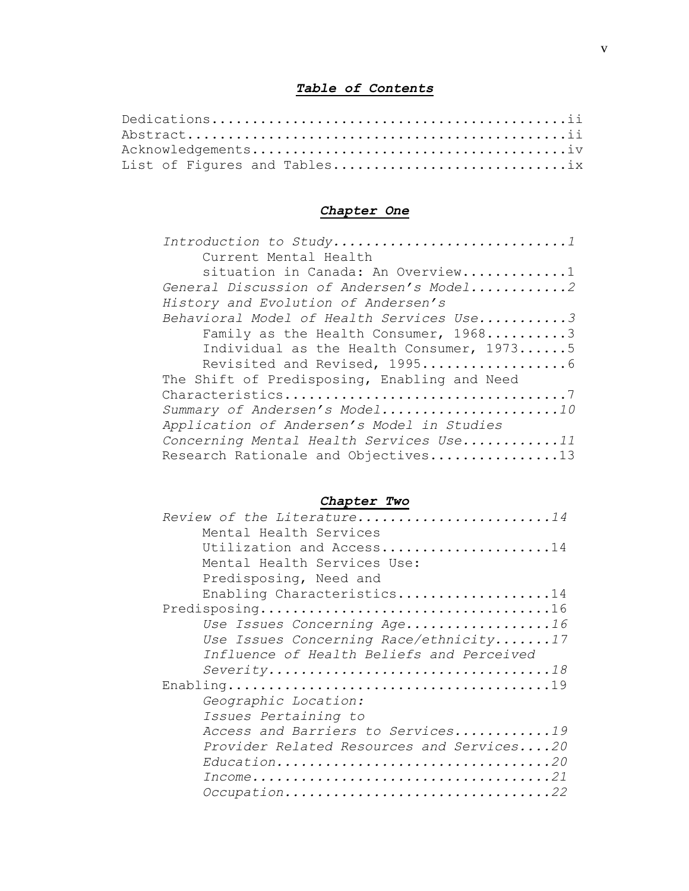## *Table of Contents*

| List of Figures and Tables |  |
|----------------------------|--|

## *Chapter One*

| Current Mental Health                        |
|----------------------------------------------|
| situation in Canada: An Overview1            |
| General Discussion of Andersen's Model2      |
| History and Evolution of Andersen's          |
| Behavioral Model of Health Services Use3     |
| Family as the Health Consumer, 19683         |
| Individual as the Health Consumer, 19735     |
|                                              |
| The Shift of Predisposing, Enabling and Need |
|                                              |
| Summary of Andersen's Model10                |
| Application of Andersen's Model in Studies   |
| Concerning Mental Health Services Use11      |
| Research Rationale and Objectives13          |

## *Chapter Two*

| Review of the Literature14                |
|-------------------------------------------|
| Mental Health Services                    |
| Utilization and Access14                  |
| Mental Health Services Use:               |
| Predisposing, Need and                    |
| Enabling Characteristics14                |
|                                           |
| Use Issues Concerning Age16               |
| Use Issues Concerning Race/ethnicity17    |
| Influence of Health Beliefs and Perceived |
|                                           |
|                                           |
| Geographic Location:                      |
| Issues Pertaining to                      |
| Access and Barriers to Services19         |
| Provider Related Resources and Services20 |
| Education20                               |
|                                           |
| Occupation22                              |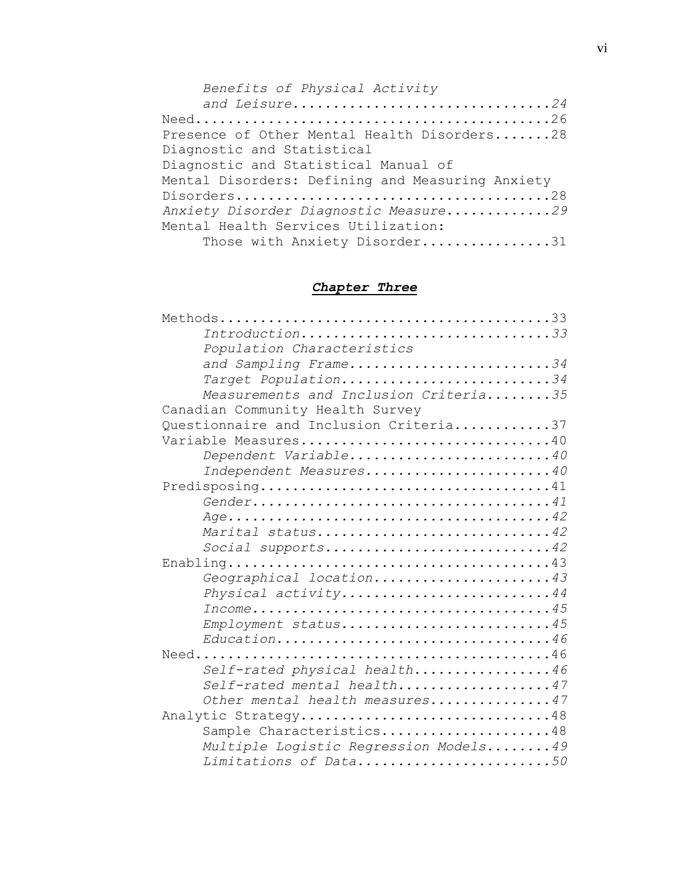| Benefits of Physical Activity                    |  |
|--------------------------------------------------|--|
| and Leisure24                                    |  |
|                                                  |  |
| Presence of Other Mental Health Disorders28      |  |
| Diagnostic and Statistical                       |  |
| Diagnostic and Statistical Manual of             |  |
| Mental Disorders: Defining and Measuring Anxiety |  |
|                                                  |  |
| Anxiety Disorder Diagnostic Measure29            |  |
| Mental Health Services Utilization:              |  |
| Those with Anxiety Disorder31                    |  |

## *Chapter Three*

| Introduction33                                                                              |
|---------------------------------------------------------------------------------------------|
| Population Characteristics                                                                  |
| and Sampling Frame34                                                                        |
| Target Population34                                                                         |
| Measurements and Inclusion Criteria35                                                       |
| Canadian Community Health Survey                                                            |
| Questionnaire and Inclusion Criteria37                                                      |
| Variable Measures40                                                                         |
| Dependent Variable40                                                                        |
| Independent Measures40                                                                      |
| Predisposing41                                                                              |
|                                                                                             |
|                                                                                             |
| Marital status42                                                                            |
| Social supports42                                                                           |
|                                                                                             |
| Geographical location43                                                                     |
| Physical activity44                                                                         |
| $Income \dots \dots \dots \dots \dots \dots \dots \dots \dots \dots \dots \dots \dots \ 45$ |
| Employment status45                                                                         |
| Education46                                                                                 |
|                                                                                             |
| Self-rated physical health46                                                                |
| Self-rated mental health47                                                                  |
| Other mental health measures47                                                              |
| Analytic Strategy48                                                                         |
| Sample Characteristics48                                                                    |
| Multiple Logistic Regression Models49                                                       |
| Limitations of Data50                                                                       |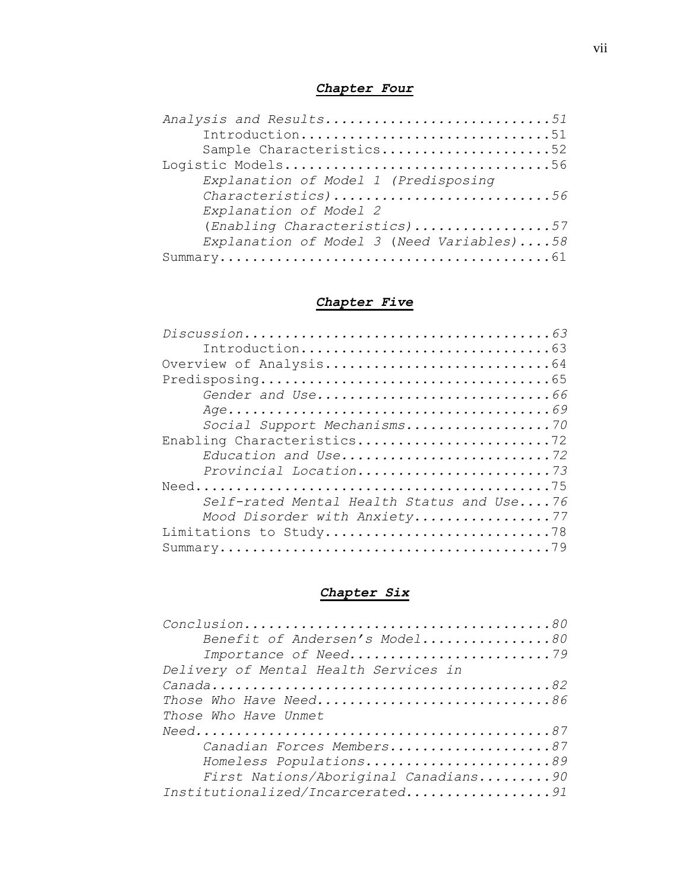## *Chapter Four*

| Analysis and Results51                    |
|-------------------------------------------|
| Introduction51                            |
| Sample Characteristics52                  |
| Logistic Models56                         |
| Explanation of Model 1 (Predisposing      |
| Characteristics)56                        |
| Explanation of Model 2                    |
| (Enabling Characteristics)57              |
| Explanation of Model 3 (Need Variables)58 |
|                                           |

## *Chapter Five*

| Gender and Use66                          |
|-------------------------------------------|
|                                           |
| Social Support Mechanisms70               |
| Enabling Characteristics72                |
| Education and Use72                       |
| Provincial Location73                     |
|                                           |
| Self-rated Mental Health Status and Use76 |
| Mood Disorder with Anxiety77              |
| Limitations to Study78                    |
|                                           |
|                                           |

## *Chapter Six*

| Benefit of Andersen's Model80         |
|---------------------------------------|
| Importance of Need79                  |
| Delivery of Mental Health Services in |
|                                       |
| Those Who Have Need86                 |
| Those Who Have Unmet                  |
|                                       |
| Canadian Forces Members87             |
| Homeless Populations89                |
| First Nations/Aboriginal Canadians90  |
| Institutionalized/Incarcerated91      |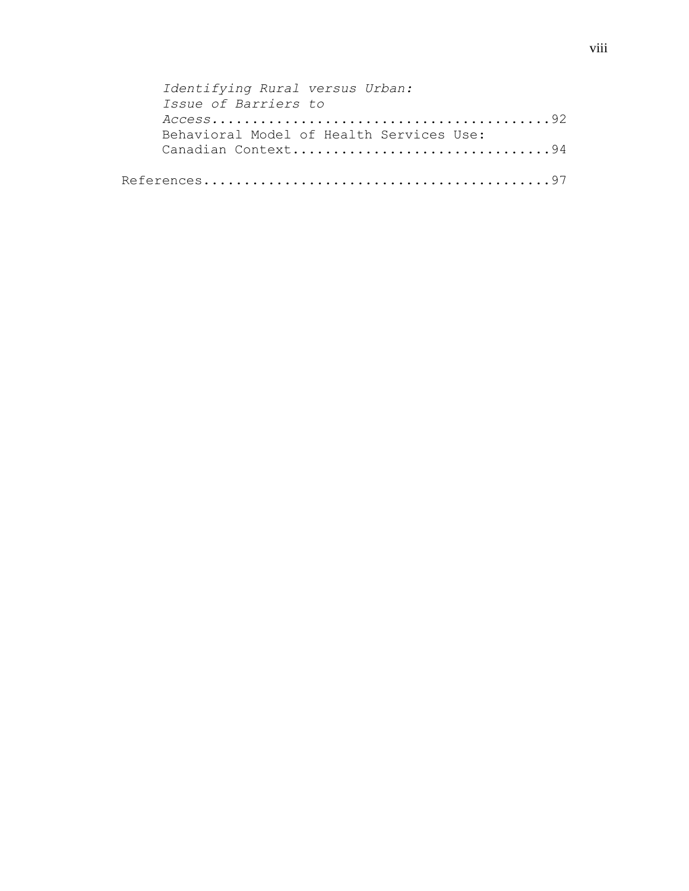| Identifying Rural versus Urban:          |
|------------------------------------------|
| Issue of Barriers to                     |
|                                          |
| Behavioral Model of Health Services Use: |
| Canadian Context94                       |
|                                          |
|                                          |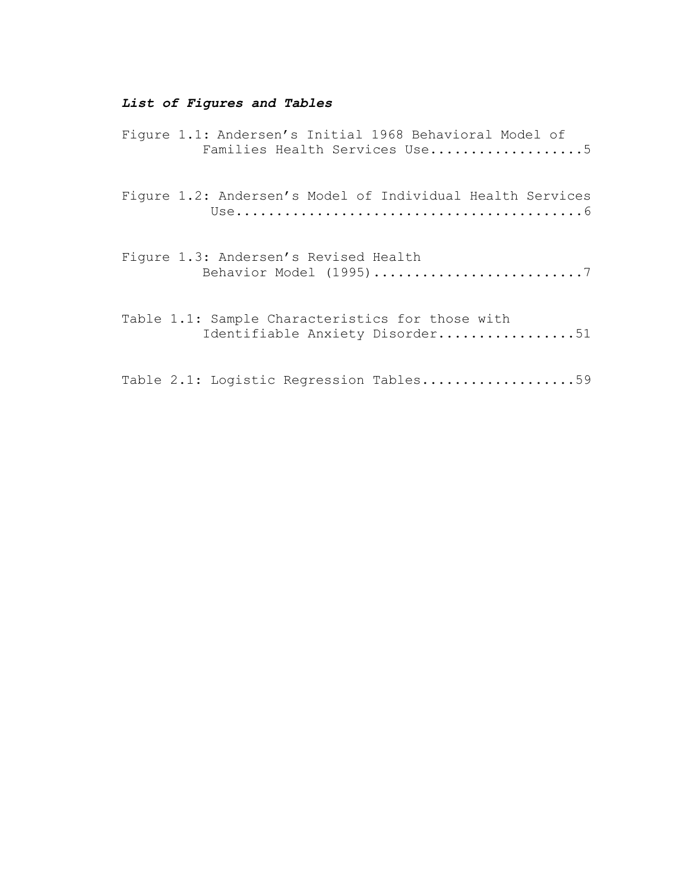## *List of Figures and Tables*

| Figure 1.1: Andersen's Initial 1968 Behavioral Model of<br>Families Health Services Use5 |
|------------------------------------------------------------------------------------------|
| Figure 1.2: Andersen's Model of Individual Health Services                               |
| Figure 1.3: Andersen's Revised Health<br>Behavior Model (1995)7                          |
| Table 1.1: Sample Characteristics for those with<br>Identifiable Anxiety Disorder51      |
| Table 2.1: Logistic Regression Tables59                                                  |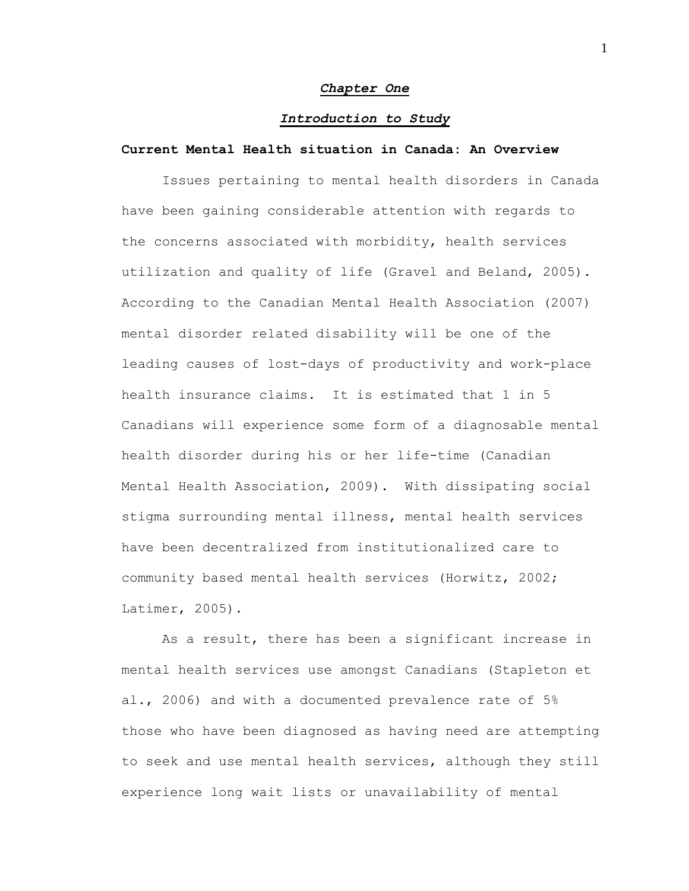#### *Chapter One*

#### *Introduction to Study*

#### **Current Mental Health situation in Canada: An Overview**

Issues pertaining to mental health disorders in Canada have been gaining considerable attention with regards to the concerns associated with morbidity, health services utilization and quality of life (Gravel and Beland, 2005). According to the Canadian Mental Health Association (2007) mental disorder related disability will be one of the leading causes of lost-days of productivity and work-place health insurance claims. It is estimated that 1 in 5 Canadians will experience some form of a diagnosable mental health disorder during his or her life-time (Canadian Mental Health Association, 2009). With dissipating social stigma surrounding mental illness, mental health services have been decentralized from institutionalized care to community based mental health services (Horwitz, 2002; Latimer, 2005).

As a result, there has been a significant increase in mental health services use amongst Canadians (Stapleton et al., 2006) and with a documented prevalence rate of 5% those who have been diagnosed as having need are attempting to seek and use mental health services, although they still experience long wait lists or unavailability of mental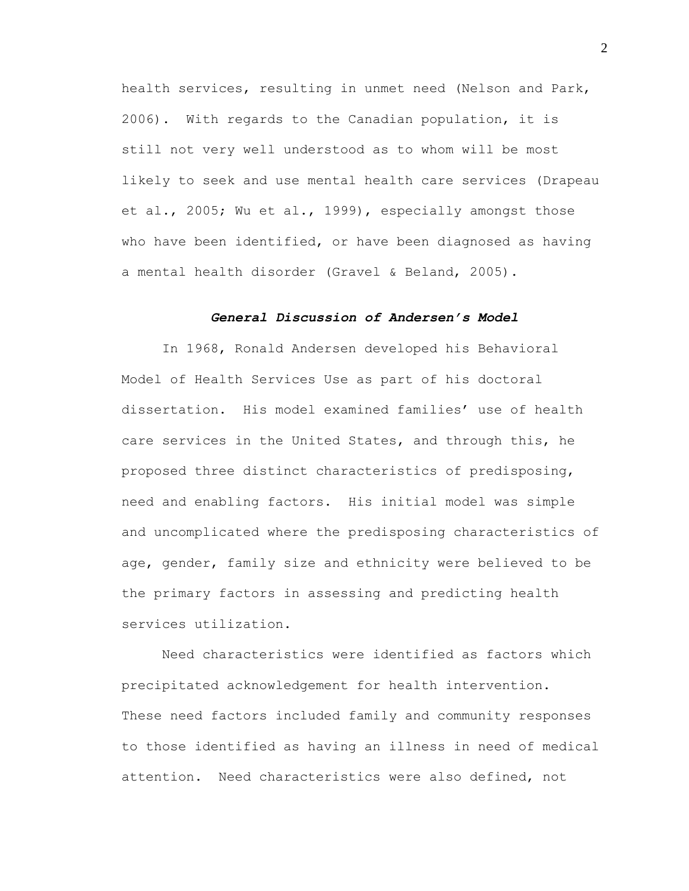health services, resulting in unmet need (Nelson and Park, 2006). With regards to the Canadian population, it is still not very well understood as to whom will be most likely to seek and use mental health care services (Drapeau et al., 2005; Wu et al., 1999), especially amongst those who have been identified, or have been diagnosed as having a mental health disorder (Gravel & Beland, 2005).

### *General Discussion of Andersen's Model*

In 1968, Ronald Andersen developed his Behavioral Model of Health Services Use as part of his doctoral dissertation. His model examined families' use of health care services in the United States, and through this, he proposed three distinct characteristics of predisposing, need and enabling factors. His initial model was simple and uncomplicated where the predisposing characteristics of age, gender, family size and ethnicity were believed to be the primary factors in assessing and predicting health services utilization.

Need characteristics were identified as factors which precipitated acknowledgement for health intervention. These need factors included family and community responses to those identified as having an illness in need of medical attention. Need characteristics were also defined, not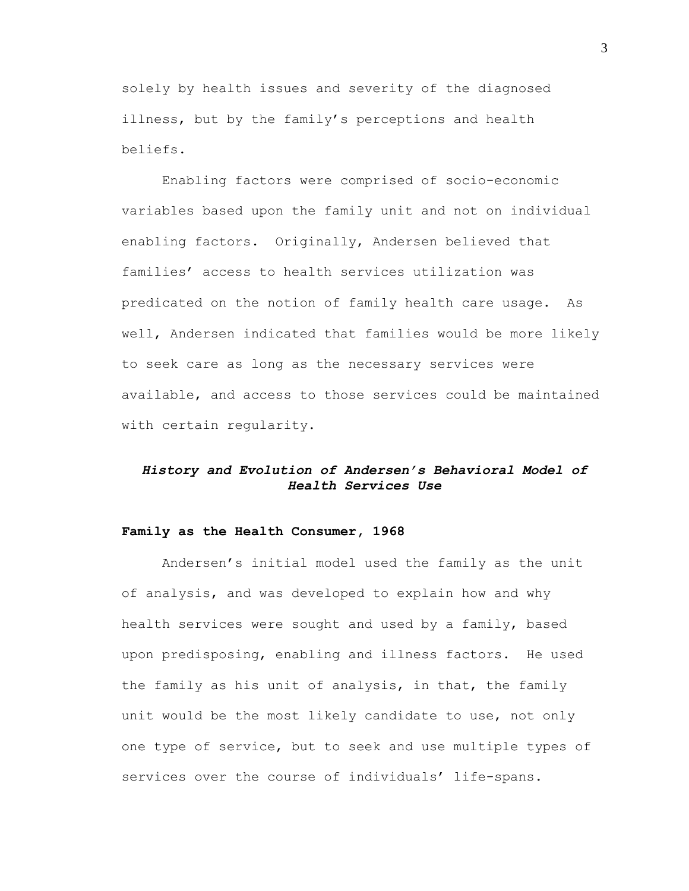solely by health issues and severity of the diagnosed illness, but by the family's perceptions and health beliefs.

Enabling factors were comprised of socio-economic variables based upon the family unit and not on individual enabling factors. Originally, Andersen believed that families' access to health services utilization was predicated on the notion of family health care usage. As well, Andersen indicated that families would be more likely to seek care as long as the necessary services were available, and access to those services could be maintained with certain regularity.

## *History and Evolution of Andersen's Behavioral Model of Health Services Use*

#### **Family as the Health Consumer, 1968**

Andersen"s initial model used the family as the unit of analysis, and was developed to explain how and why health services were sought and used by a family, based upon predisposing, enabling and illness factors. He used the family as his unit of analysis, in that, the family unit would be the most likely candidate to use, not only one type of service, but to seek and use multiple types of services over the course of individuals' life-spans.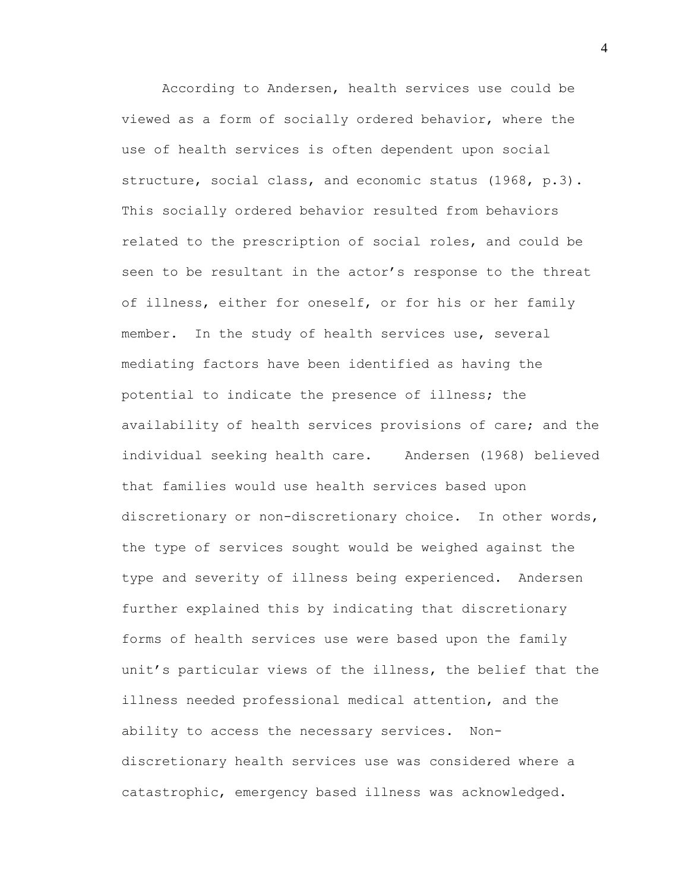According to Andersen, health services use could be viewed as a form of socially ordered behavior, where the use of health services is often dependent upon social structure, social class, and economic status (1968, p.3). This socially ordered behavior resulted from behaviors related to the prescription of social roles, and could be seen to be resultant in the actor's response to the threat of illness, either for oneself, or for his or her family member. In the study of health services use, several mediating factors have been identified as having the potential to indicate the presence of illness; the availability of health services provisions of care; and the individual seeking health care. Andersen (1968) believed that families would use health services based upon discretionary or non-discretionary choice. In other words, the type of services sought would be weighed against the type and severity of illness being experienced. Andersen further explained this by indicating that discretionary forms of health services use were based upon the family unit's particular views of the illness, the belief that the illness needed professional medical attention, and the ability to access the necessary services. Nondiscretionary health services use was considered where a catastrophic, emergency based illness was acknowledged.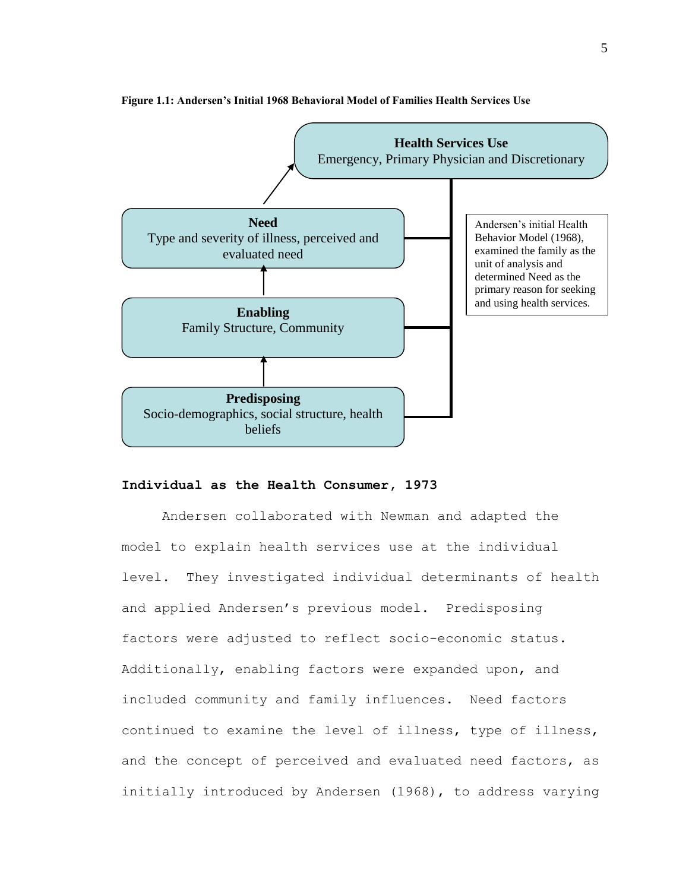

#### **Figure 1.1: Andersen's Initial 1968 Behavioral Model of Families Health Services Use**

#### **Individual as the Health Consumer, 1973**

Andersen collaborated with Newman and adapted the model to explain health services use at the individual level. They investigated individual determinants of health and applied Andersen"s previous model. Predisposing factors were adjusted to reflect socio-economic status. Additionally, enabling factors were expanded upon, and included community and family influences. Need factors continued to examine the level of illness, type of illness, and the concept of perceived and evaluated need factors, as initially introduced by Andersen (1968), to address varying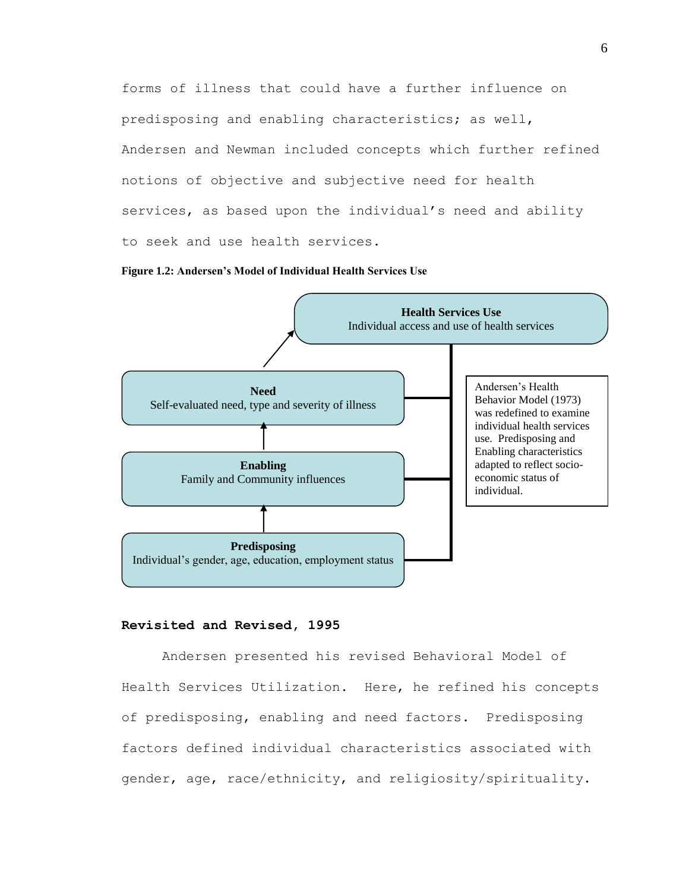forms of illness that could have a further influence on predisposing and enabling characteristics; as well, Andersen and Newman included concepts which further refined notions of objective and subjective need for health services, as based upon the individual's need and ability to seek and use health services.





#### **Revisited and Revised, 1995**

Andersen presented his revised Behavioral Model of Health Services Utilization. Here, he refined his concepts of predisposing, enabling and need factors. Predisposing factors defined individual characteristics associated with gender, age, race/ethnicity, and religiosity/spirituality.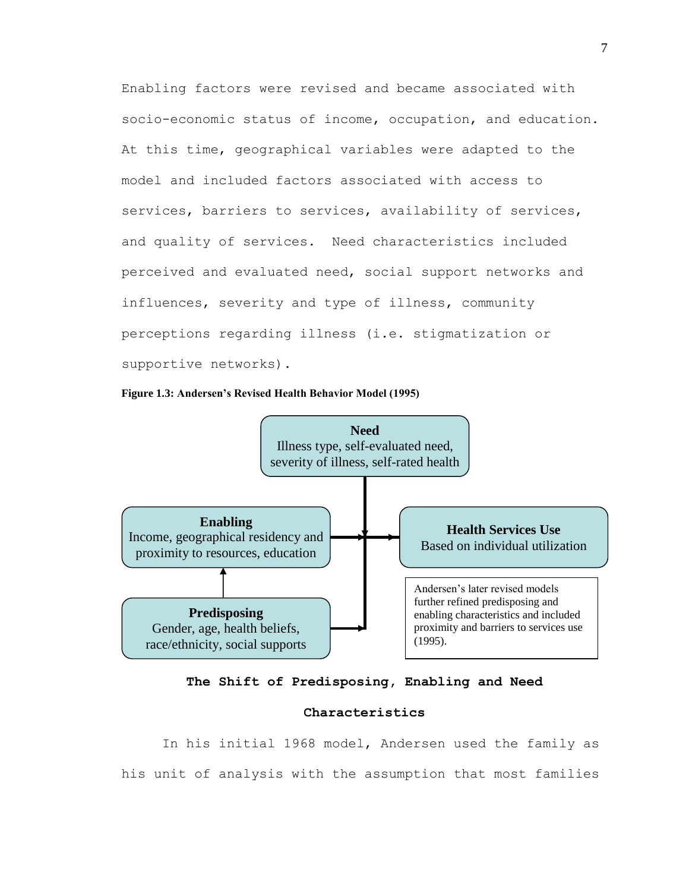Enabling factors were revised and became associated with socio-economic status of income, occupation, and education. At this time, geographical variables were adapted to the model and included factors associated with access to services, barriers to services, availability of services, and quality of services. Need characteristics included perceived and evaluated need, social support networks and influences, severity and type of illness, community perceptions regarding illness (i.e. stigmatization or supportive networks).







### **Characteristics**

In his initial 1968 model, Andersen used the family as his unit of analysis with the assumption that most families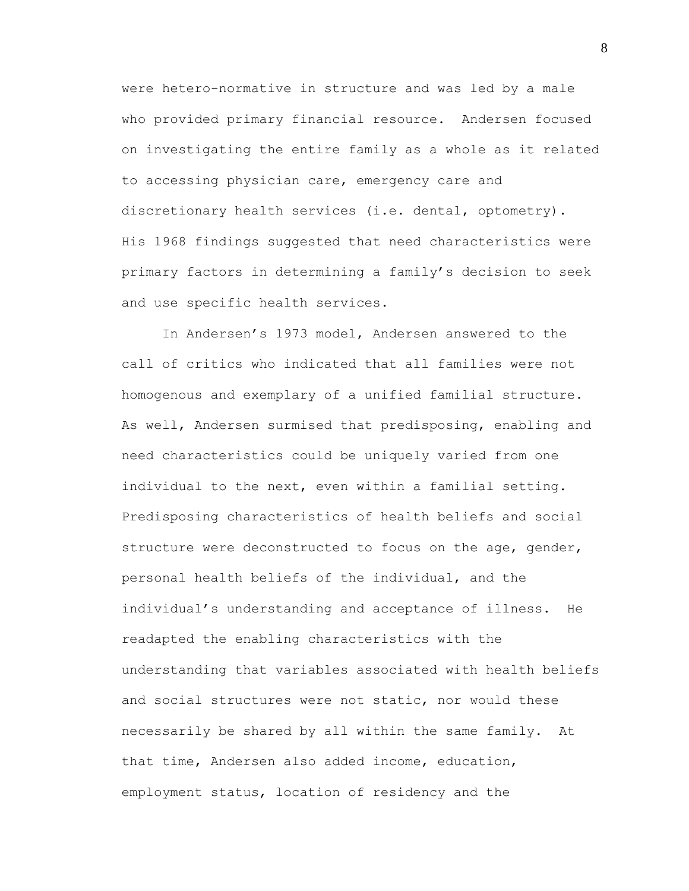were hetero-normative in structure and was led by a male who provided primary financial resource. Andersen focused on investigating the entire family as a whole as it related to accessing physician care, emergency care and discretionary health services (i.e. dental, optometry). His 1968 findings suggested that need characteristics were primary factors in determining a family"s decision to seek and use specific health services.

In Andersen's 1973 model, Andersen answered to the call of critics who indicated that all families were not homogenous and exemplary of a unified familial structure. As well, Andersen surmised that predisposing, enabling and need characteristics could be uniquely varied from one individual to the next, even within a familial setting. Predisposing characteristics of health beliefs and social structure were deconstructed to focus on the age, gender, personal health beliefs of the individual, and the individual"s understanding and acceptance of illness. He readapted the enabling characteristics with the understanding that variables associated with health beliefs and social structures were not static, nor would these necessarily be shared by all within the same family. At that time, Andersen also added income, education, employment status, location of residency and the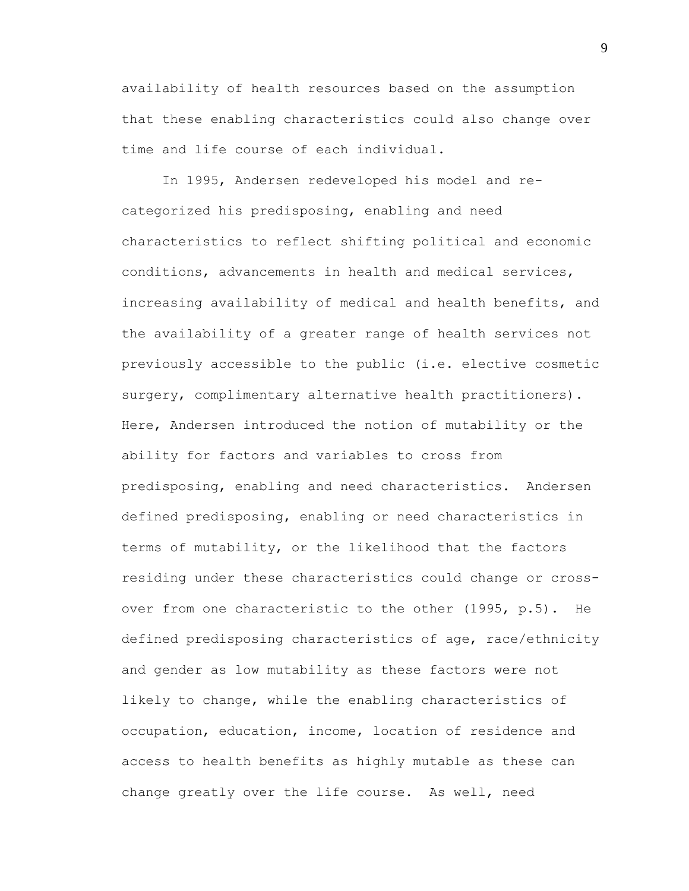availability of health resources based on the assumption that these enabling characteristics could also change over time and life course of each individual.

In 1995, Andersen redeveloped his model and recategorized his predisposing, enabling and need characteristics to reflect shifting political and economic conditions, advancements in health and medical services, increasing availability of medical and health benefits, and the availability of a greater range of health services not previously accessible to the public (i.e. elective cosmetic surgery, complimentary alternative health practitioners). Here, Andersen introduced the notion of mutability or the ability for factors and variables to cross from predisposing, enabling and need characteristics. Andersen defined predisposing, enabling or need characteristics in terms of mutability, or the likelihood that the factors residing under these characteristics could change or crossover from one characteristic to the other (1995, p.5). He defined predisposing characteristics of age, race/ethnicity and gender as low mutability as these factors were not likely to change, while the enabling characteristics of occupation, education, income, location of residence and access to health benefits as highly mutable as these can change greatly over the life course. As well, need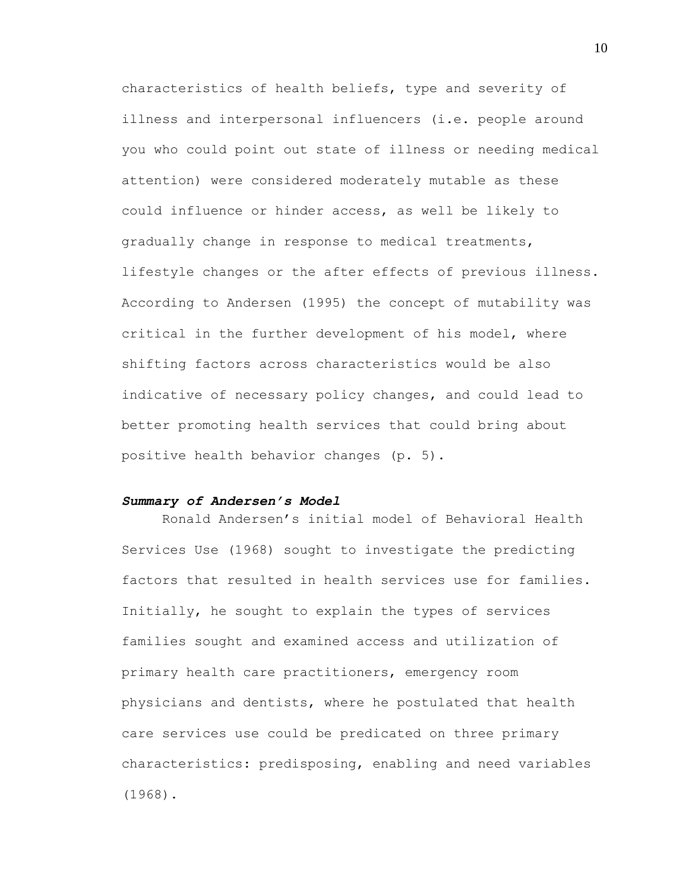characteristics of health beliefs, type and severity of illness and interpersonal influencers (i.e. people around you who could point out state of illness or needing medical attention) were considered moderately mutable as these could influence or hinder access, as well be likely to gradually change in response to medical treatments, lifestyle changes or the after effects of previous illness. According to Andersen (1995) the concept of mutability was critical in the further development of his model, where shifting factors across characteristics would be also indicative of necessary policy changes, and could lead to better promoting health services that could bring about positive health behavior changes (p. 5).

#### *Summary of Andersen's Model*

Ronald Andersen"s initial model of Behavioral Health Services Use (1968) sought to investigate the predicting factors that resulted in health services use for families. Initially, he sought to explain the types of services families sought and examined access and utilization of primary health care practitioners, emergency room physicians and dentists, where he postulated that health care services use could be predicated on three primary characteristics: predisposing, enabling and need variables (1968).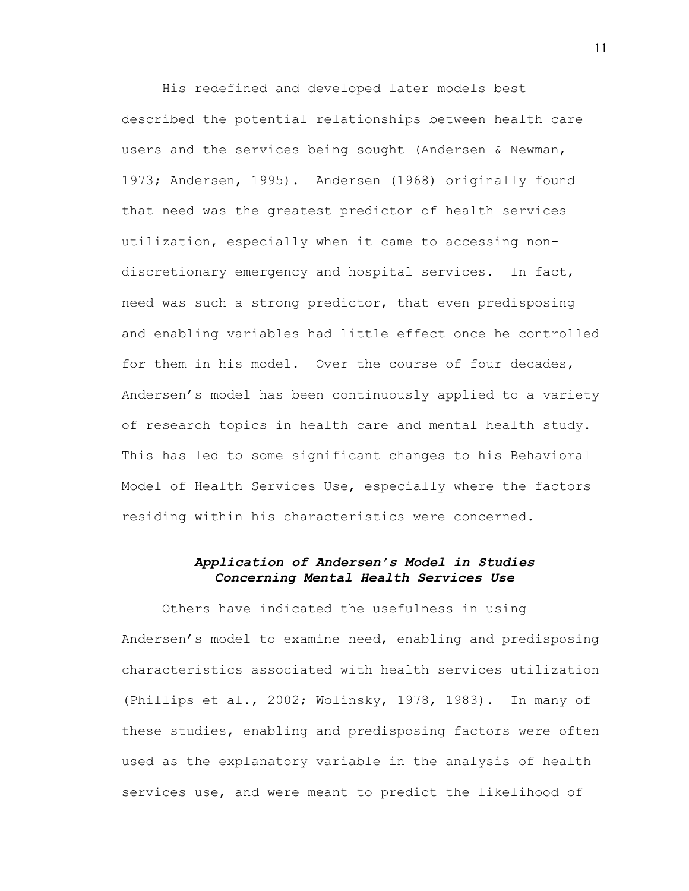His redefined and developed later models best described the potential relationships between health care users and the services being sought (Andersen & Newman, 1973; Andersen, 1995). Andersen (1968) originally found that need was the greatest predictor of health services utilization, especially when it came to accessing nondiscretionary emergency and hospital services. In fact, need was such a strong predictor, that even predisposing and enabling variables had little effect once he controlled for them in his model. Over the course of four decades, Andersen"s model has been continuously applied to a variety of research topics in health care and mental health study. This has led to some significant changes to his Behavioral Model of Health Services Use, especially where the factors residing within his characteristics were concerned.

### *Application of Andersen's Model in Studies Concerning Mental Health Services Use*

Others have indicated the usefulness in using Andersen"s model to examine need, enabling and predisposing characteristics associated with health services utilization (Phillips et al., 2002; Wolinsky, 1978, 1983). In many of these studies, enabling and predisposing factors were often used as the explanatory variable in the analysis of health services use, and were meant to predict the likelihood of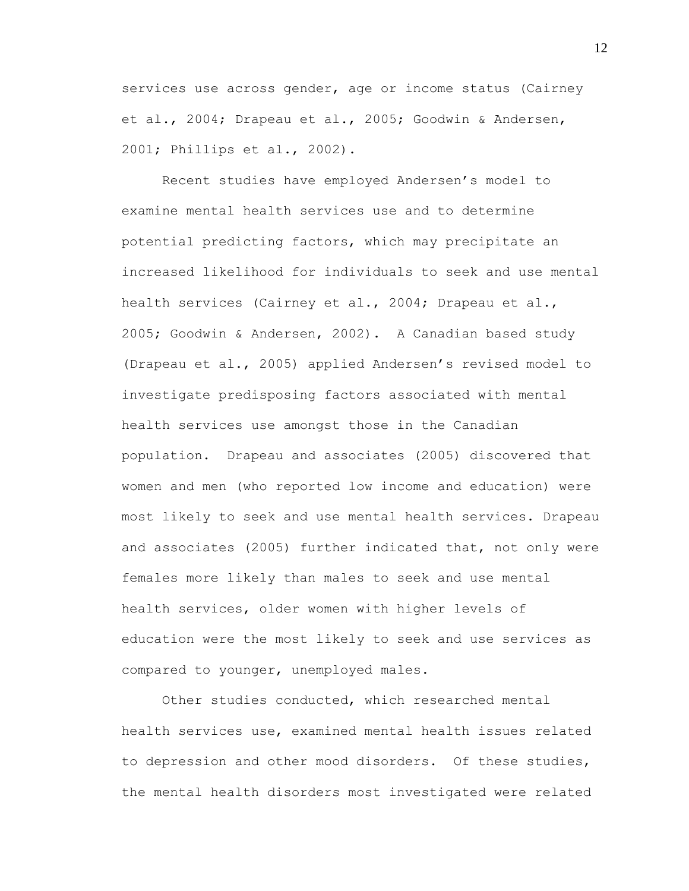services use across gender, age or income status (Cairney et al., 2004; Drapeau et al., 2005; Goodwin & Andersen, 2001; Phillips et al., 2002).

Recent studies have employed Andersen"s model to examine mental health services use and to determine potential predicting factors, which may precipitate an increased likelihood for individuals to seek and use mental health services (Cairney et al., 2004; Drapeau et al., 2005; Goodwin & Andersen, 2002). A Canadian based study (Drapeau et al., 2005) applied Andersen"s revised model to investigate predisposing factors associated with mental health services use amongst those in the Canadian population. Drapeau and associates (2005) discovered that women and men (who reported low income and education) were most likely to seek and use mental health services. Drapeau and associates (2005) further indicated that, not only were females more likely than males to seek and use mental health services, older women with higher levels of education were the most likely to seek and use services as compared to younger, unemployed males.

Other studies conducted, which researched mental health services use, examined mental health issues related to depression and other mood disorders. Of these studies, the mental health disorders most investigated were related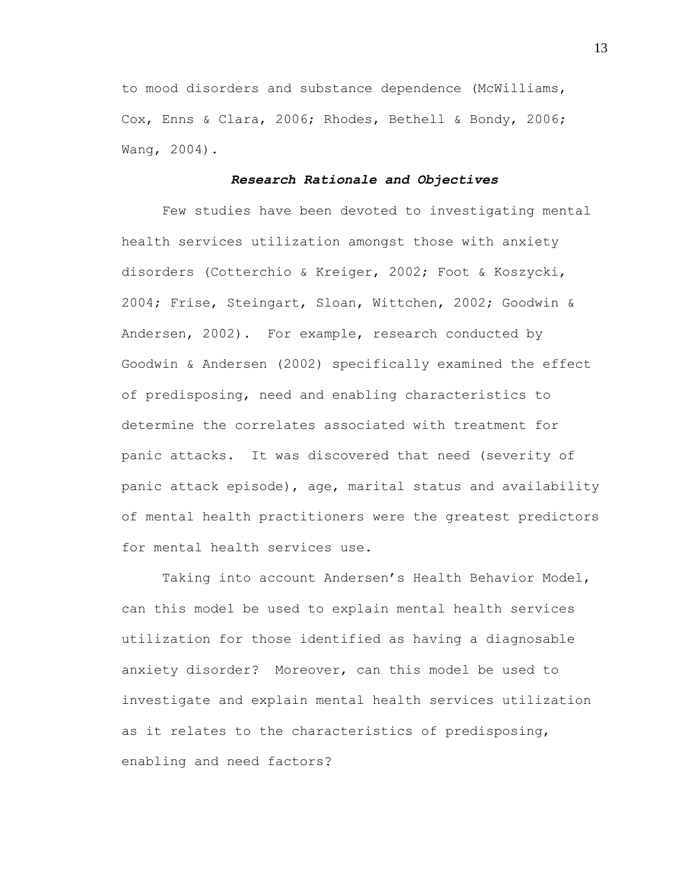to mood disorders and substance dependence (McWilliams, Cox, Enns & Clara, 2006; Rhodes, Bethell & Bondy, 2006; Wang, 2004).

#### *Research Rationale and Objectives*

Few studies have been devoted to investigating mental health services utilization amongst those with anxiety disorders (Cotterchio & Kreiger, 2002; Foot & Koszycki, 2004; Frise, Steingart, Sloan, Wittchen, 2002; Goodwin & Andersen, 2002). For example, research conducted by Goodwin & Andersen (2002) specifically examined the effect of predisposing, need and enabling characteristics to determine the correlates associated with treatment for panic attacks. It was discovered that need (severity of panic attack episode), age, marital status and availability of mental health practitioners were the greatest predictors for mental health services use.

Taking into account Andersen"s Health Behavior Model, can this model be used to explain mental health services utilization for those identified as having a diagnosable anxiety disorder? Moreover, can this model be used to investigate and explain mental health services utilization as it relates to the characteristics of predisposing, enabling and need factors?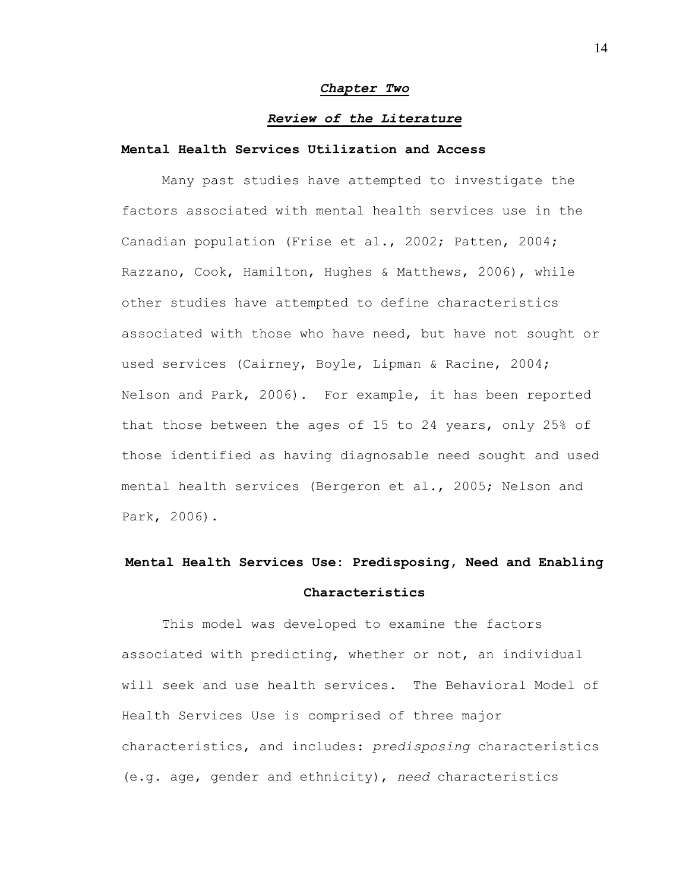#### *Chapter Two*

#### *Review of the Literature*

#### **Mental Health Services Utilization and Access**

Many past studies have attempted to investigate the factors associated with mental health services use in the Canadian population (Frise et al., 2002; Patten, 2004; Razzano, Cook, Hamilton, Hughes & Matthews, 2006), while other studies have attempted to define characteristics associated with those who have need, but have not sought or used services (Cairney, Boyle, Lipman & Racine, 2004; Nelson and Park, 2006). For example, it has been reported that those between the ages of 15 to 24 years, only 25% of those identified as having diagnosable need sought and used mental health services (Bergeron et al., 2005; Nelson and Park, 2006).

# **Mental Health Services Use: Predisposing, Need and Enabling Characteristics**

This model was developed to examine the factors associated with predicting, whether or not, an individual will seek and use health services. The Behavioral Model of Health Services Use is comprised of three major characteristics, and includes: *predisposing* characteristics (e.g. age, gender and ethnicity), *need* characteristics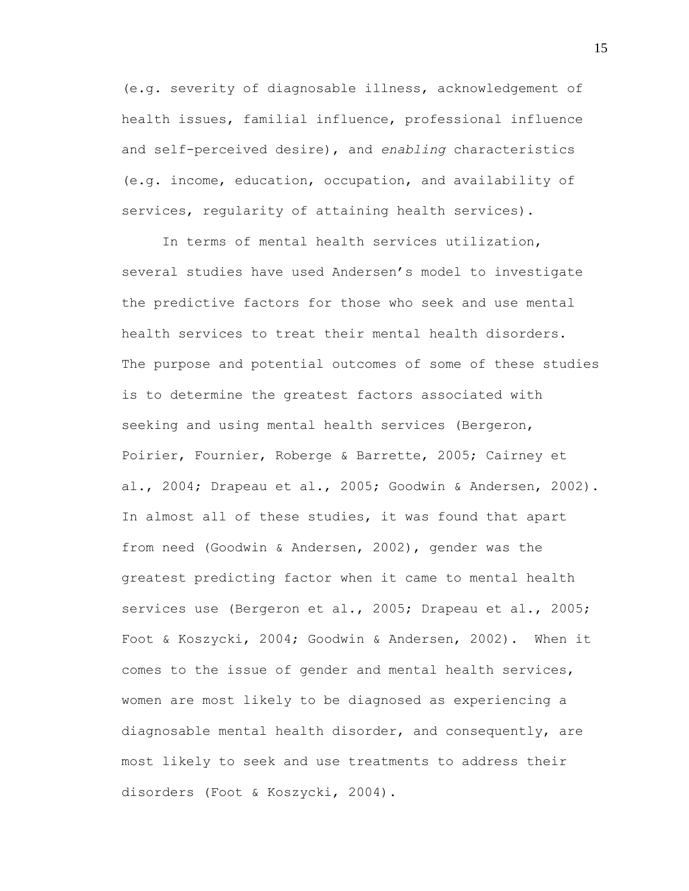(e.g. severity of diagnosable illness, acknowledgement of health issues, familial influence, professional influence and self-perceived desire), and *enabling* characteristics (e.g. income, education, occupation, and availability of services, regularity of attaining health services).

In terms of mental health services utilization, several studies have used Andersen's model to investigate the predictive factors for those who seek and use mental health services to treat their mental health disorders. The purpose and potential outcomes of some of these studies is to determine the greatest factors associated with seeking and using mental health services (Bergeron, Poirier, Fournier, Roberge & Barrette, 2005; Cairney et al., 2004; Drapeau et al., 2005; Goodwin & Andersen, 2002). In almost all of these studies, it was found that apart from need (Goodwin & Andersen, 2002), gender was the greatest predicting factor when it came to mental health services use (Bergeron et al., 2005; Drapeau et al., 2005; Foot & Koszycki, 2004; Goodwin & Andersen, 2002). When it comes to the issue of gender and mental health services, women are most likely to be diagnosed as experiencing a diagnosable mental health disorder, and consequently, are most likely to seek and use treatments to address their disorders (Foot & Koszycki, 2004).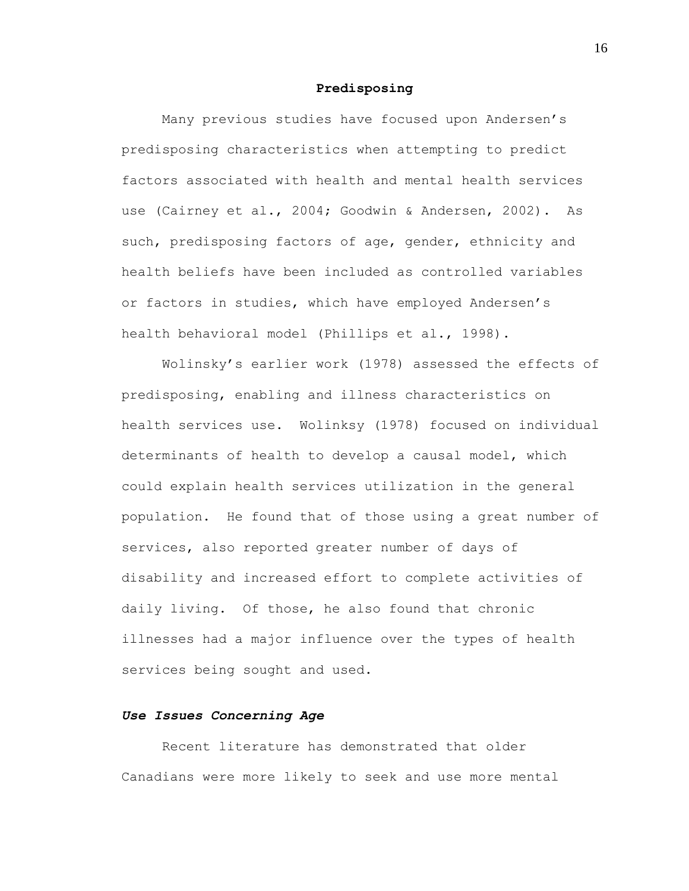#### **Predisposing**

Many previous studies have focused upon Andersen"s predisposing characteristics when attempting to predict factors associated with health and mental health services use (Cairney et al., 2004; Goodwin & Andersen, 2002). As such, predisposing factors of age, gender, ethnicity and health beliefs have been included as controlled variables or factors in studies, which have employed Andersen"s health behavioral model (Phillips et al., 1998).

Wolinsky"s earlier work (1978) assessed the effects of predisposing, enabling and illness characteristics on health services use. Wolinksy (1978) focused on individual determinants of health to develop a causal model, which could explain health services utilization in the general population. He found that of those using a great number of services, also reported greater number of days of disability and increased effort to complete activities of daily living. Of those, he also found that chronic illnesses had a major influence over the types of health services being sought and used.

#### *Use Issues Concerning Age*

Recent literature has demonstrated that older Canadians were more likely to seek and use more mental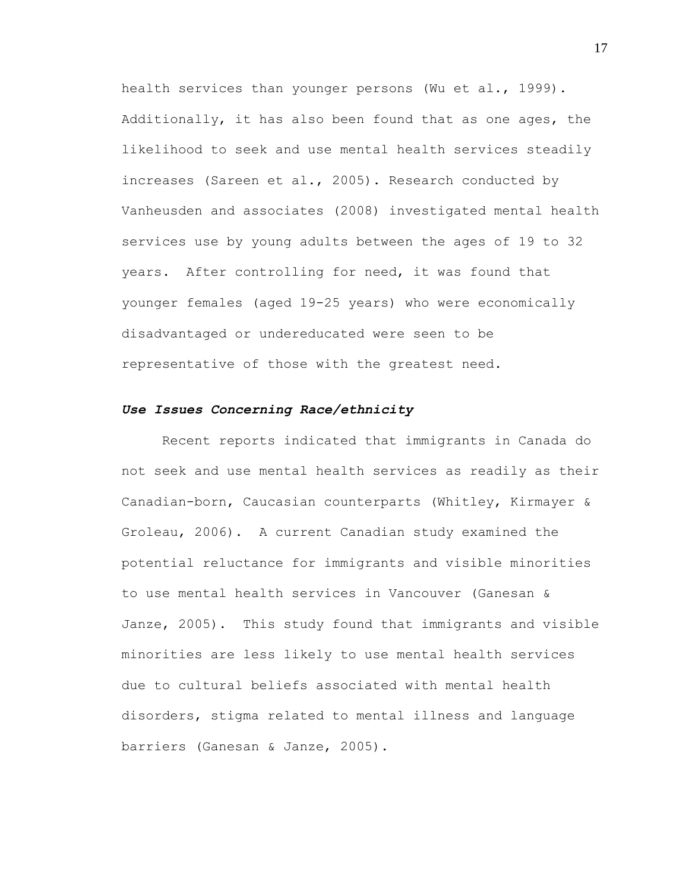health services than younger persons (Wu et al., 1999). Additionally, it has also been found that as one ages, the likelihood to seek and use mental health services steadily increases (Sareen et al., 2005). Research conducted by Vanheusden and associates (2008) investigated mental health services use by young adults between the ages of 19 to 32 years. After controlling for need, it was found that younger females (aged 19-25 years) who were economically disadvantaged or undereducated were seen to be representative of those with the greatest need.

#### *Use Issues Concerning Race/ethnicity*

Recent reports indicated that immigrants in Canada do not seek and use mental health services as readily as their Canadian-born, Caucasian counterparts (Whitley, Kirmayer & Groleau, 2006). A current Canadian study examined the potential reluctance for immigrants and visible minorities to use mental health services in Vancouver (Ganesan & Janze, 2005). This study found that immigrants and visible minorities are less likely to use mental health services due to cultural beliefs associated with mental health disorders, stigma related to mental illness and language barriers (Ganesan & Janze, 2005).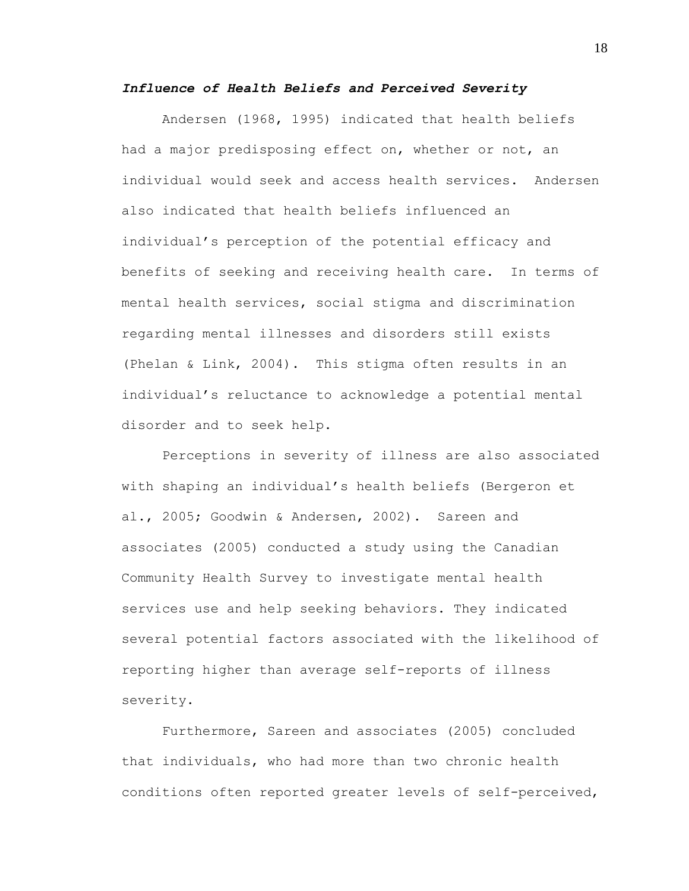#### *Influence of Health Beliefs and Perceived Severity*

Andersen (1968, 1995) indicated that health beliefs had a major predisposing effect on, whether or not, an individual would seek and access health services. Andersen also indicated that health beliefs influenced an individual"s perception of the potential efficacy and benefits of seeking and receiving health care. In terms of mental health services, social stigma and discrimination regarding mental illnesses and disorders still exists (Phelan & Link, 2004). This stigma often results in an individual"s reluctance to acknowledge a potential mental disorder and to seek help.

Perceptions in severity of illness are also associated with shaping an individual"s health beliefs (Bergeron et al., 2005; Goodwin & Andersen, 2002). Sareen and associates (2005) conducted a study using the Canadian Community Health Survey to investigate mental health services use and help seeking behaviors. They indicated several potential factors associated with the likelihood of reporting higher than average self-reports of illness severity.

Furthermore, Sareen and associates (2005) concluded that individuals, who had more than two chronic health conditions often reported greater levels of self-perceived,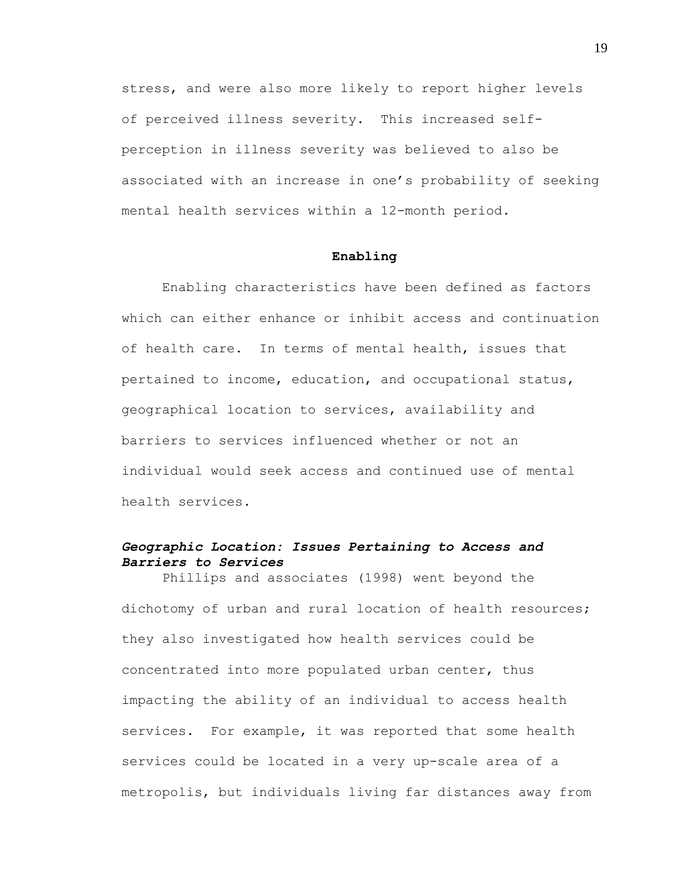stress, and were also more likely to report higher levels of perceived illness severity. This increased selfperception in illness severity was believed to also be associated with an increase in one"s probability of seeking mental health services within a 12-month period.

#### **Enabling**

Enabling characteristics have been defined as factors which can either enhance or inhibit access and continuation of health care. In terms of mental health, issues that pertained to income, education, and occupational status, geographical location to services, availability and barriers to services influenced whether or not an individual would seek access and continued use of mental health services.

### *Geographic Location: Issues Pertaining to Access and Barriers to Services*

Phillips and associates (1998) went beyond the dichotomy of urban and rural location of health resources; they also investigated how health services could be concentrated into more populated urban center, thus impacting the ability of an individual to access health services. For example, it was reported that some health services could be located in a very up-scale area of a metropolis, but individuals living far distances away from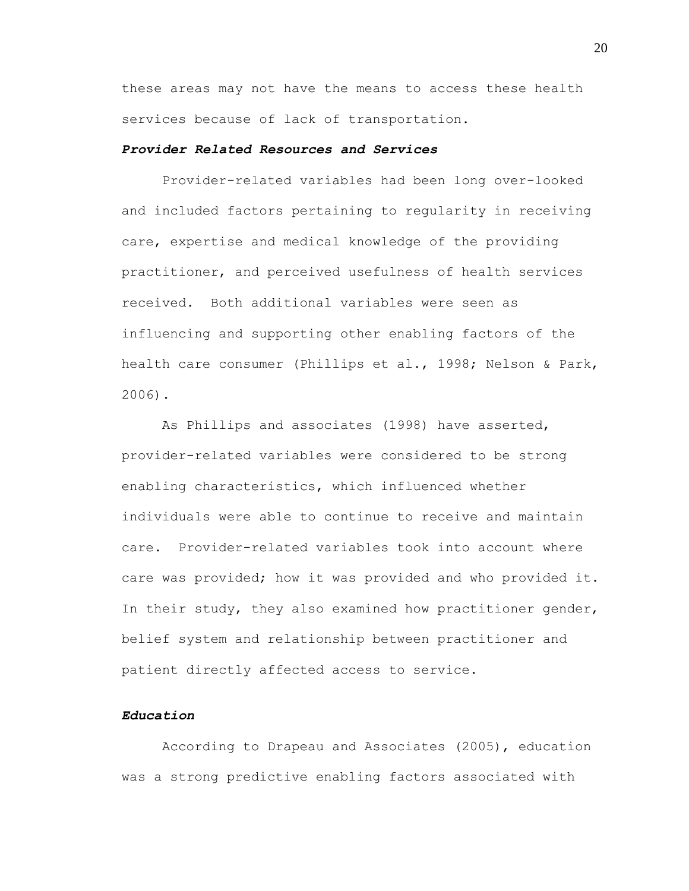these areas may not have the means to access these health services because of lack of transportation.

#### *Provider Related Resources and Services*

Provider-related variables had been long over-looked and included factors pertaining to regularity in receiving care, expertise and medical knowledge of the providing practitioner, and perceived usefulness of health services received. Both additional variables were seen as influencing and supporting other enabling factors of the health care consumer (Phillips et al., 1998; Nelson & Park, 2006).

As Phillips and associates (1998) have asserted, provider-related variables were considered to be strong enabling characteristics, which influenced whether individuals were able to continue to receive and maintain care. Provider-related variables took into account where care was provided; how it was provided and who provided it. In their study, they also examined how practitioner gender, belief system and relationship between practitioner and patient directly affected access to service.

#### *Education*

According to Drapeau and Associates (2005), education was a strong predictive enabling factors associated with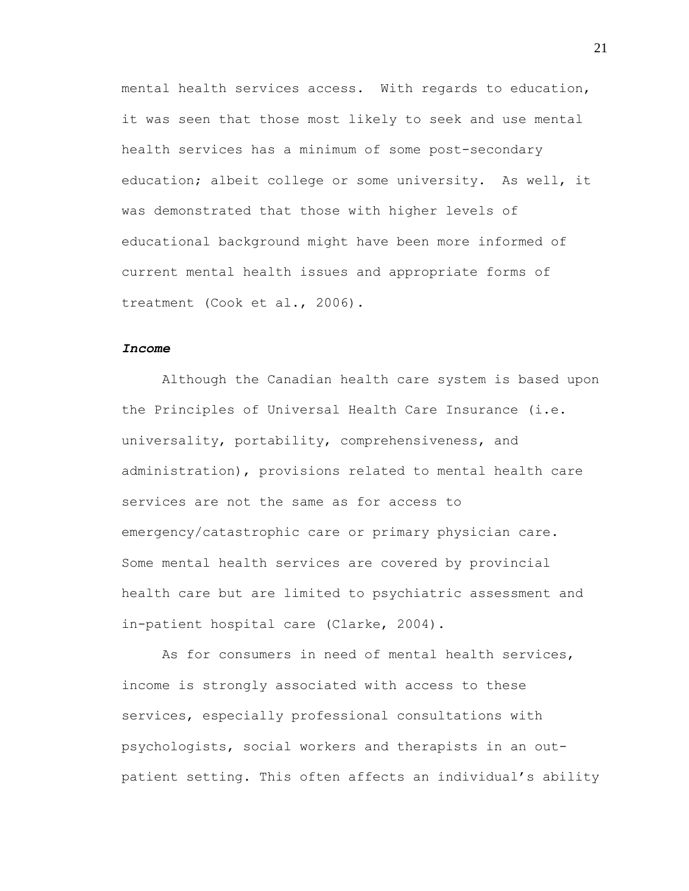mental health services access. With regards to education, it was seen that those most likely to seek and use mental health services has a minimum of some post-secondary education; albeit college or some university. As well, it was demonstrated that those with higher levels of educational background might have been more informed of current mental health issues and appropriate forms of treatment (Cook et al., 2006).

#### *Income*

Although the Canadian health care system is based upon the Principles of Universal Health Care Insurance (i.e. universality, portability, comprehensiveness, and administration), provisions related to mental health care services are not the same as for access to emergency/catastrophic care or primary physician care. Some mental health services are covered by provincial health care but are limited to psychiatric assessment and in-patient hospital care (Clarke, 2004).

As for consumers in need of mental health services, income is strongly associated with access to these services, especially professional consultations with psychologists, social workers and therapists in an outpatient setting. This often affects an individual"s ability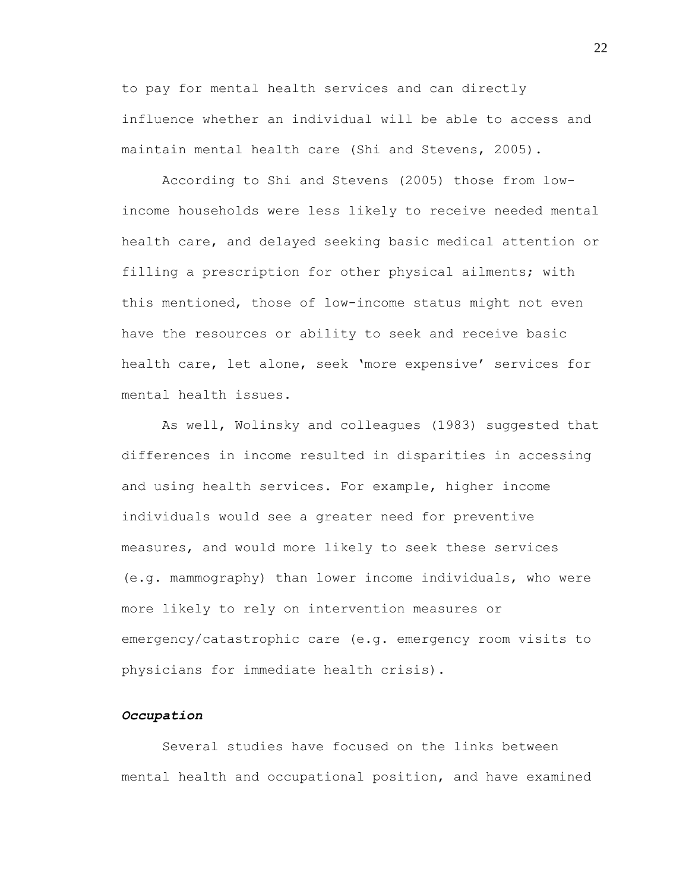to pay for mental health services and can directly influence whether an individual will be able to access and maintain mental health care (Shi and Stevens, 2005).

According to Shi and Stevens (2005) those from lowincome households were less likely to receive needed mental health care, and delayed seeking basic medical attention or filling a prescription for other physical ailments; with this mentioned, those of low-income status might not even have the resources or ability to seek and receive basic health care, let alone, seek "more expensive" services for mental health issues.

As well, Wolinsky and colleagues (1983) suggested that differences in income resulted in disparities in accessing and using health services. For example, higher income individuals would see a greater need for preventive measures, and would more likely to seek these services (e.g. mammography) than lower income individuals, who were more likely to rely on intervention measures or emergency/catastrophic care (e.g. emergency room visits to physicians for immediate health crisis).

#### *Occupation*

Several studies have focused on the links between mental health and occupational position, and have examined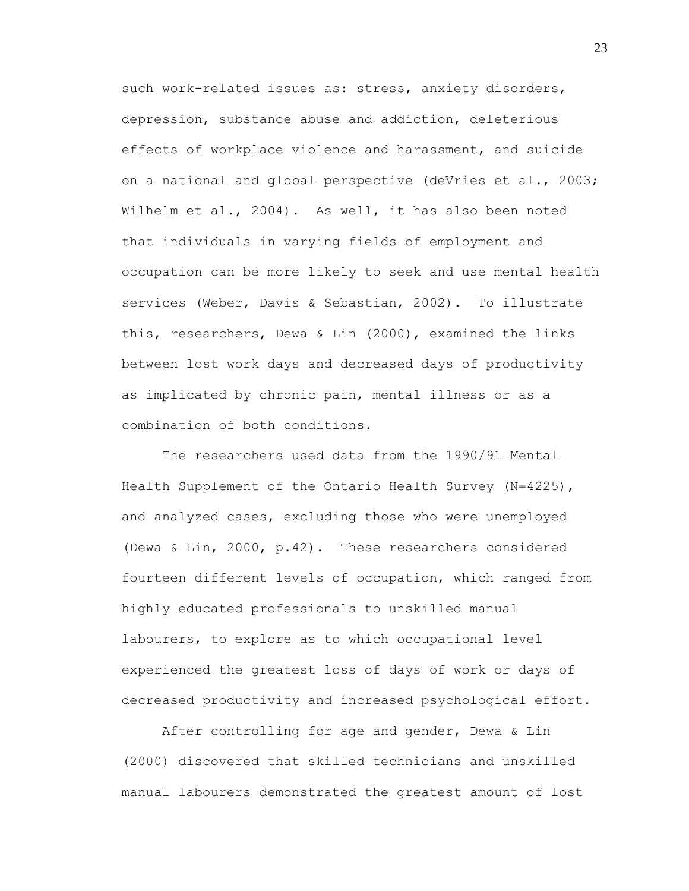such work-related issues as: stress, anxiety disorders, depression, substance abuse and addiction, deleterious effects of workplace violence and harassment, and suicide on a national and global perspective (deVries et al., 2003; Wilhelm et al., 2004). As well, it has also been noted that individuals in varying fields of employment and occupation can be more likely to seek and use mental health services (Weber, Davis & Sebastian, 2002). To illustrate this, researchers, Dewa & Lin (2000), examined the links between lost work days and decreased days of productivity as implicated by chronic pain, mental illness or as a combination of both conditions.

The researchers used data from the 1990/91 Mental Health Supplement of the Ontario Health Survey (N=4225), and analyzed cases, excluding those who were unemployed (Dewa & Lin, 2000, p.42). These researchers considered fourteen different levels of occupation, which ranged from highly educated professionals to unskilled manual labourers, to explore as to which occupational level experienced the greatest loss of days of work or days of decreased productivity and increased psychological effort.

After controlling for age and gender, Dewa & Lin (2000) discovered that skilled technicians and unskilled manual labourers demonstrated the greatest amount of lost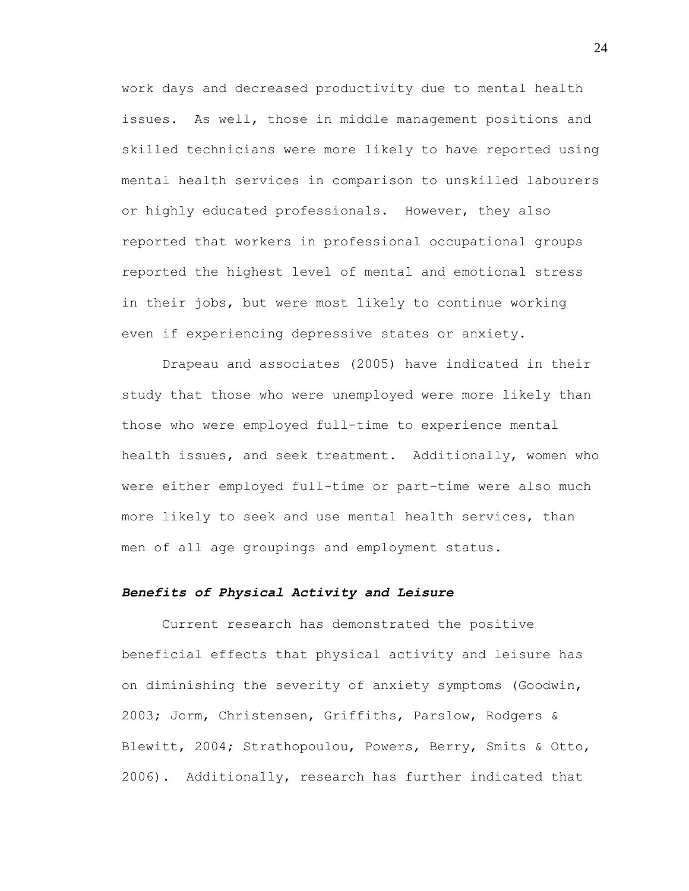work days and decreased productivity due to mental health issues. As well, those in middle management positions and skilled technicians were more likely to have reported using mental health services in comparison to unskilled labourers or highly educated professionals. However, they also reported that workers in professional occupational groups reported the highest level of mental and emotional stress in their jobs, but were most likely to continue working even if experiencing depressive states or anxiety.

Drapeau and associates (2005) have indicated in their study that those who were unemployed were more likely than those who were employed full-time to experience mental health issues, and seek treatment. Additionally, women who were either employed full-time or part-time were also much more likely to seek and use mental health services, than men of all age groupings and employment status.

#### *Benefits of Physical Activity and Leisure*

Current research has demonstrated the positive beneficial effects that physical activity and leisure has on diminishing the severity of anxiety symptoms (Goodwin, 2003; Jorm, Christensen, Griffiths, Parslow, Rodgers & Blewitt, 2004; Strathopoulou, Powers, Berry, Smits & Otto, 2006). Additionally, research has further indicated that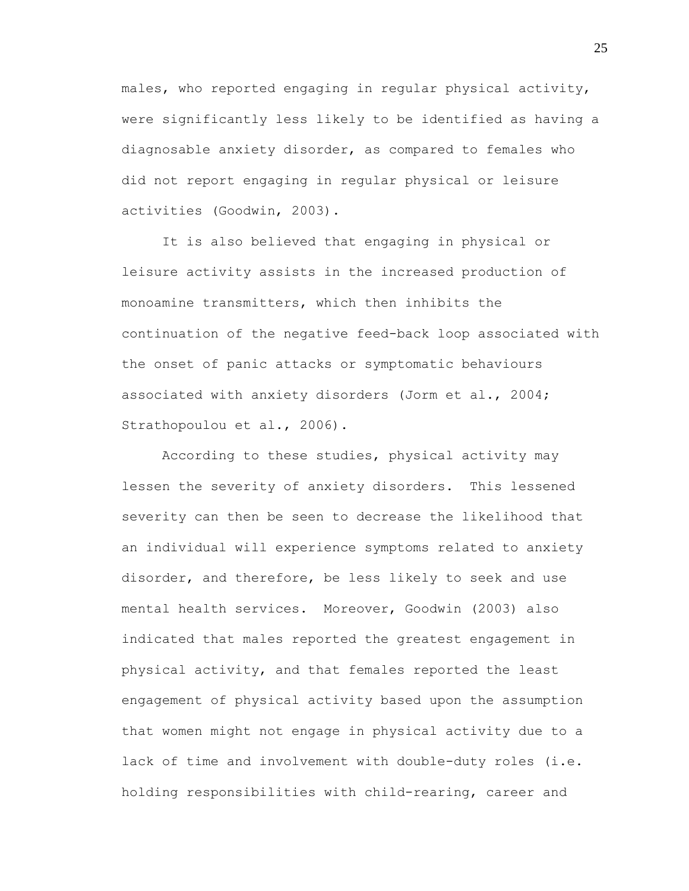males, who reported engaging in regular physical activity, were significantly less likely to be identified as having a diagnosable anxiety disorder, as compared to females who did not report engaging in regular physical or leisure activities (Goodwin, 2003).

It is also believed that engaging in physical or leisure activity assists in the increased production of monoamine transmitters, which then inhibits the continuation of the negative feed-back loop associated with the onset of panic attacks or symptomatic behaviours associated with anxiety disorders (Jorm et al., 2004; Strathopoulou et al., 2006).

According to these studies, physical activity may lessen the severity of anxiety disorders. This lessened severity can then be seen to decrease the likelihood that an individual will experience symptoms related to anxiety disorder, and therefore, be less likely to seek and use mental health services. Moreover, Goodwin (2003) also indicated that males reported the greatest engagement in physical activity, and that females reported the least engagement of physical activity based upon the assumption that women might not engage in physical activity due to a lack of time and involvement with double-duty roles (i.e. holding responsibilities with child-rearing, career and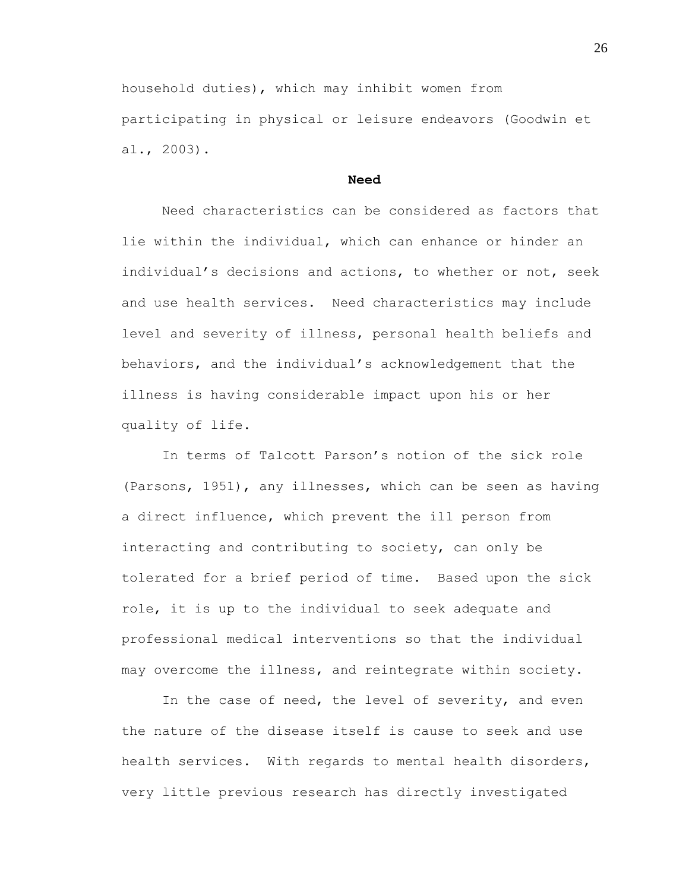household duties), which may inhibit women from participating in physical or leisure endeavors (Goodwin et al., 2003).

#### **Need**

Need characteristics can be considered as factors that lie within the individual, which can enhance or hinder an individual's decisions and actions, to whether or not, seek and use health services. Need characteristics may include level and severity of illness, personal health beliefs and behaviors, and the individual"s acknowledgement that the illness is having considerable impact upon his or her quality of life.

In terms of Talcott Parson"s notion of the sick role (Parsons, 1951), any illnesses, which can be seen as having a direct influence, which prevent the ill person from interacting and contributing to society, can only be tolerated for a brief period of time. Based upon the sick role, it is up to the individual to seek adequate and professional medical interventions so that the individual may overcome the illness, and reintegrate within society.

In the case of need, the level of severity, and even the nature of the disease itself is cause to seek and use health services. With regards to mental health disorders, very little previous research has directly investigated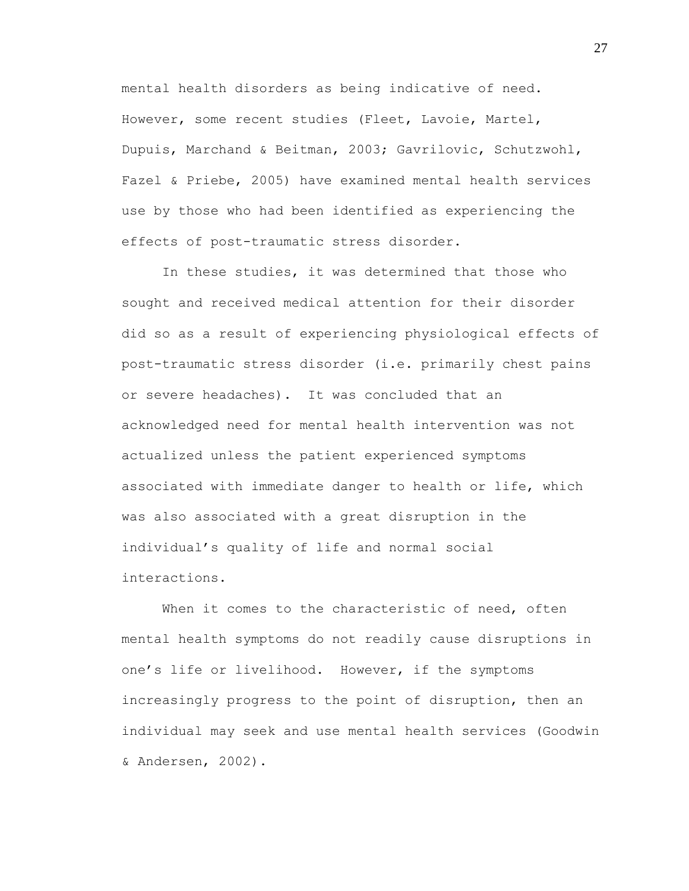mental health disorders as being indicative of need. However, some recent studies (Fleet, Lavoie, Martel, Dupuis, Marchand & Beitman, 2003; Gavrilovic, Schutzwohl, Fazel & Priebe, 2005) have examined mental health services use by those who had been identified as experiencing the effects of post-traumatic stress disorder.

In these studies, it was determined that those who sought and received medical attention for their disorder did so as a result of experiencing physiological effects of post-traumatic stress disorder (i.e. primarily chest pains or severe headaches). It was concluded that an acknowledged need for mental health intervention was not actualized unless the patient experienced symptoms associated with immediate danger to health or life, which was also associated with a great disruption in the individual"s quality of life and normal social interactions.

When it comes to the characteristic of need, often mental health symptoms do not readily cause disruptions in one"s life or livelihood. However, if the symptoms increasingly progress to the point of disruption, then an individual may seek and use mental health services (Goodwin & Andersen, 2002).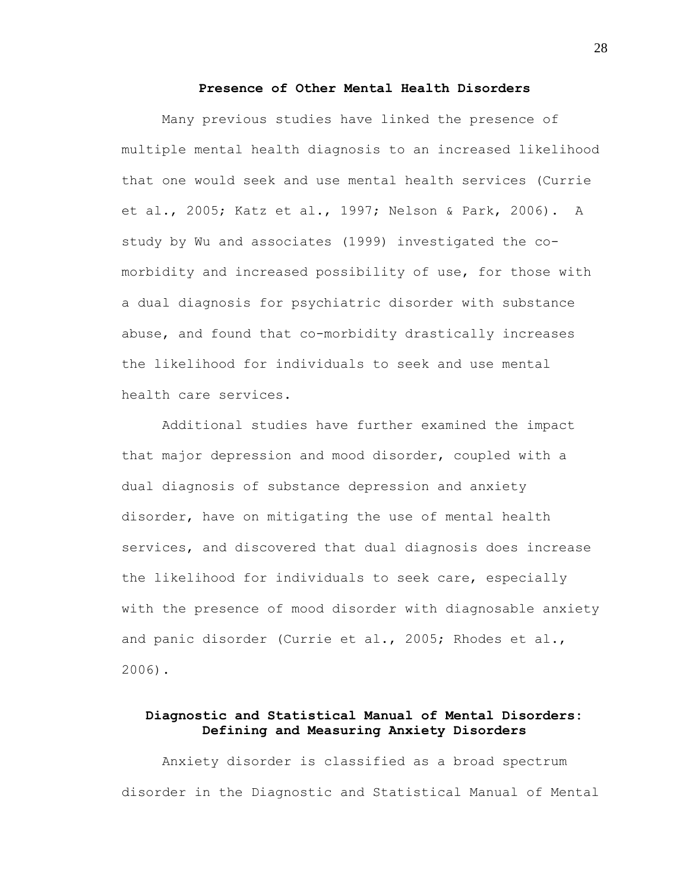### **Presence of Other Mental Health Disorders**

Many previous studies have linked the presence of multiple mental health diagnosis to an increased likelihood that one would seek and use mental health services (Currie et al., 2005; Katz et al., 1997; Nelson & Park, 2006). A study by Wu and associates (1999) investigated the comorbidity and increased possibility of use, for those with a dual diagnosis for psychiatric disorder with substance abuse, and found that co-morbidity drastically increases the likelihood for individuals to seek and use mental health care services.

Additional studies have further examined the impact that major depression and mood disorder, coupled with a dual diagnosis of substance depression and anxiety disorder, have on mitigating the use of mental health services, and discovered that dual diagnosis does increase the likelihood for individuals to seek care, especially with the presence of mood disorder with diagnosable anxiety and panic disorder (Currie et al., 2005; Rhodes et al., 2006).

# **Diagnostic and Statistical Manual of Mental Disorders: Defining and Measuring Anxiety Disorders**

Anxiety disorder is classified as a broad spectrum disorder in the Diagnostic and Statistical Manual of Mental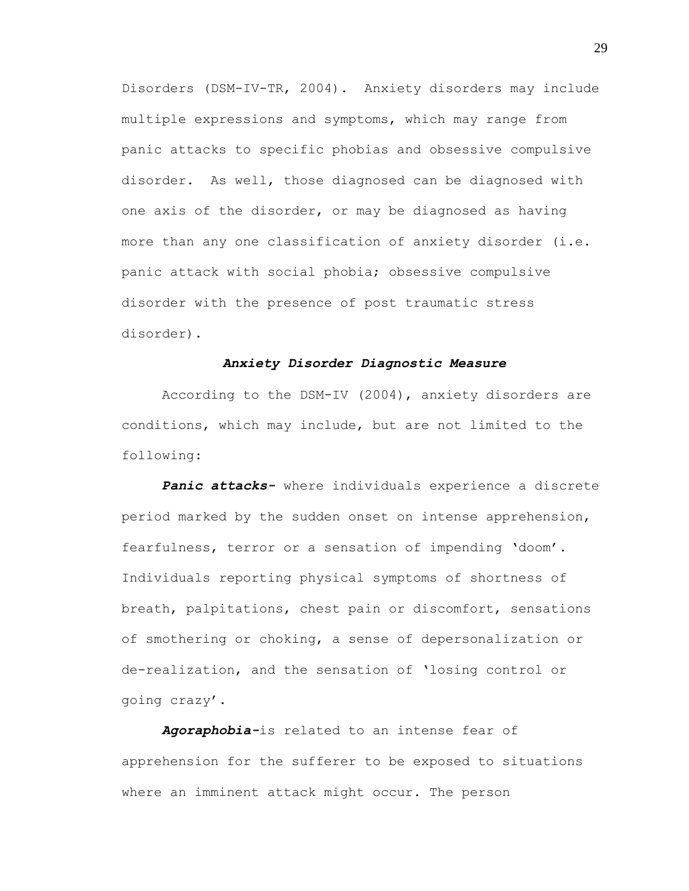Disorders (DSM-IV-TR, 2004). Anxiety disorders may include multiple expressions and symptoms, which may range from panic attacks to specific phobias and obsessive compulsive disorder. As well, those diagnosed can be diagnosed with one axis of the disorder, or may be diagnosed as having more than any one classification of anxiety disorder (i.e. panic attack with social phobia; obsessive compulsive disorder with the presence of post traumatic stress disorder).

### *Anxiety Disorder Diagnostic Measure*

According to the DSM-IV (2004), anxiety disorders are conditions, which may include, but are not limited to the following:

*Panic attacks-* where individuals experience a discrete period marked by the sudden onset on intense apprehension, fearfulness, terror or a sensation of impending "doom". Individuals reporting physical symptoms of shortness of breath, palpitations, chest pain or discomfort, sensations of smothering or choking, a sense of depersonalization or de-realization, and the sensation of "losing control or going crazy".

*Agoraphobia-*is related to an intense fear of apprehension for the sufferer to be exposed to situations where an imminent attack might occur. The person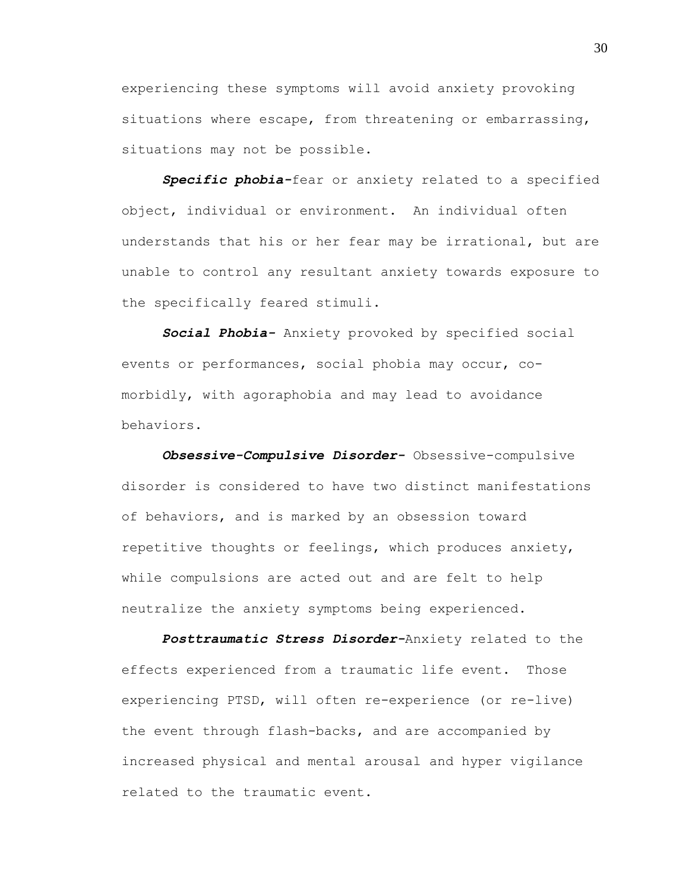experiencing these symptoms will avoid anxiety provoking situations where escape, from threatening or embarrassing, situations may not be possible.

*Specific phobia-*fear or anxiety related to a specified object, individual or environment. An individual often understands that his or her fear may be irrational, but are unable to control any resultant anxiety towards exposure to the specifically feared stimuli.

*Social Phobia-* Anxiety provoked by specified social events or performances, social phobia may occur, comorbidly, with agoraphobia and may lead to avoidance behaviors.

*Obsessive-Compulsive Disorder-* Obsessive-compulsive disorder is considered to have two distinct manifestations of behaviors, and is marked by an obsession toward repetitive thoughts or feelings, which produces anxiety, while compulsions are acted out and are felt to help neutralize the anxiety symptoms being experienced.

*Posttraumatic Stress Disorder-*Anxiety related to the effects experienced from a traumatic life event. Those experiencing PTSD, will often re-experience (or re-live) the event through flash-backs, and are accompanied by increased physical and mental arousal and hyper vigilance related to the traumatic event.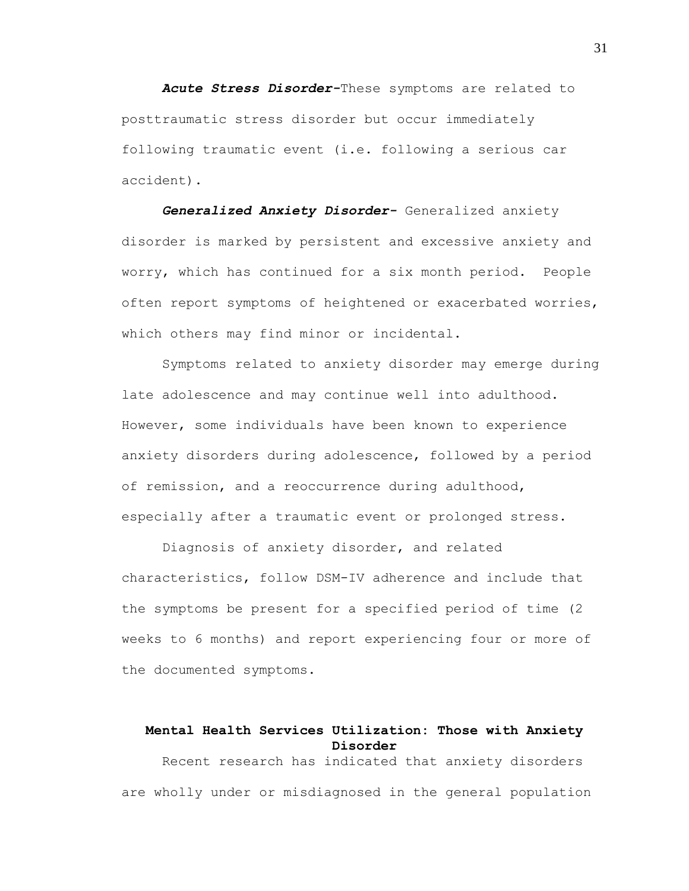*Acute Stress Disorder-*These symptoms are related to posttraumatic stress disorder but occur immediately following traumatic event (i.e. following a serious car accident).

*Generalized Anxiety Disorder-* Generalized anxiety disorder is marked by persistent and excessive anxiety and worry, which has continued for a six month period. People often report symptoms of heightened or exacerbated worries, which others may find minor or incidental.

Symptoms related to anxiety disorder may emerge during late adolescence and may continue well into adulthood. However, some individuals have been known to experience anxiety disorders during adolescence, followed by a period of remission, and a reoccurrence during adulthood, especially after a traumatic event or prolonged stress.

Diagnosis of anxiety disorder, and related characteristics, follow DSM-IV adherence and include that the symptoms be present for a specified period of time (2 weeks to 6 months) and report experiencing four or more of the documented symptoms.

# **Mental Health Services Utilization: Those with Anxiety Disorder**

Recent research has indicated that anxiety disorders are wholly under or misdiagnosed in the general population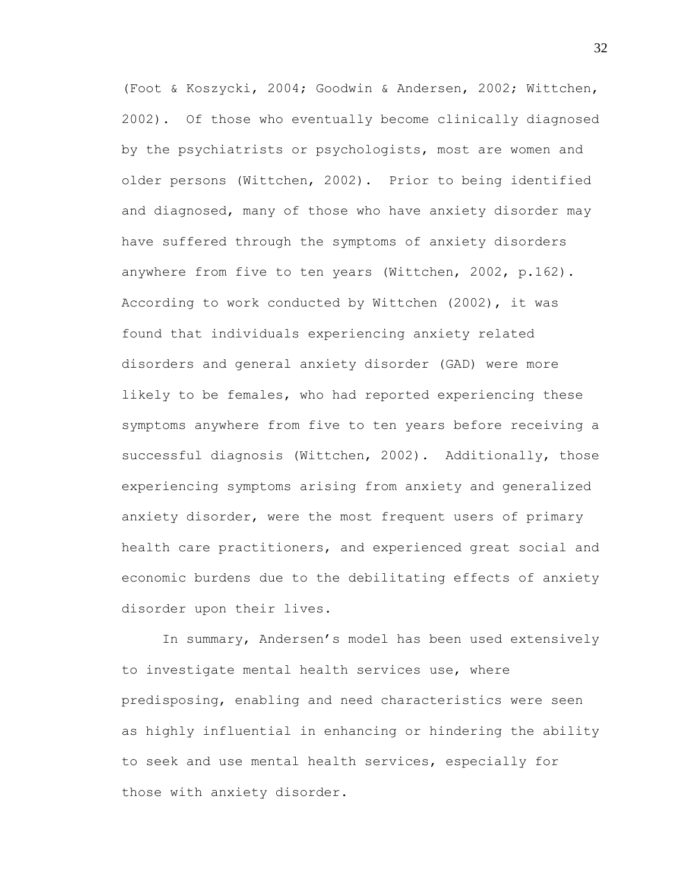(Foot & Koszycki, 2004; Goodwin & Andersen, 2002; Wittchen, 2002). Of those who eventually become clinically diagnosed by the psychiatrists or psychologists, most are women and older persons (Wittchen, 2002). Prior to being identified and diagnosed, many of those who have anxiety disorder may have suffered through the symptoms of anxiety disorders anywhere from five to ten years (Wittchen, 2002, p.162). According to work conducted by Wittchen (2002), it was found that individuals experiencing anxiety related disorders and general anxiety disorder (GAD) were more likely to be females, who had reported experiencing these symptoms anywhere from five to ten years before receiving a successful diagnosis (Wittchen, 2002). Additionally, those experiencing symptoms arising from anxiety and generalized anxiety disorder, were the most frequent users of primary health care practitioners, and experienced great social and economic burdens due to the debilitating effects of anxiety disorder upon their lives.

In summary, Andersen"s model has been used extensively to investigate mental health services use, where predisposing, enabling and need characteristics were seen as highly influential in enhancing or hindering the ability to seek and use mental health services, especially for those with anxiety disorder.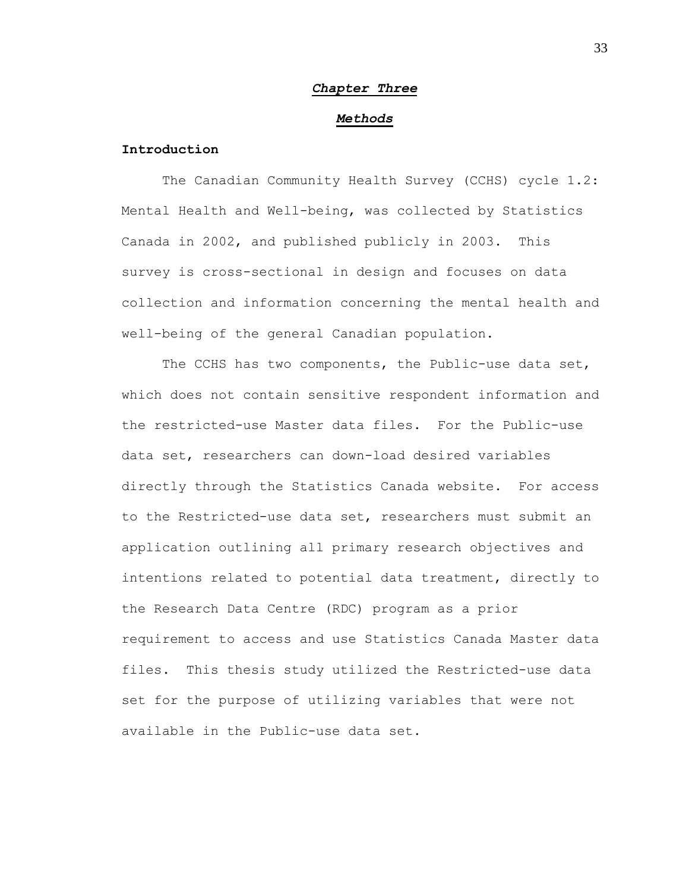# *Chapter Three*

### *Methods*

# **Introduction**

The Canadian Community Health Survey (CCHS) cycle 1.2: Mental Health and Well-being, was collected by Statistics Canada in 2002, and published publicly in 2003. This survey is cross-sectional in design and focuses on data collection and information concerning the mental health and well-being of the general Canadian population.

The CCHS has two components, the Public-use data set, which does not contain sensitive respondent information and the restricted-use Master data files. For the Public-use data set, researchers can down-load desired variables directly through the Statistics Canada website. For access to the Restricted-use data set, researchers must submit an application outlining all primary research objectives and intentions related to potential data treatment, directly to the Research Data Centre (RDC) program as a prior requirement to access and use Statistics Canada Master data files. This thesis study utilized the Restricted-use data set for the purpose of utilizing variables that were not available in the Public-use data set.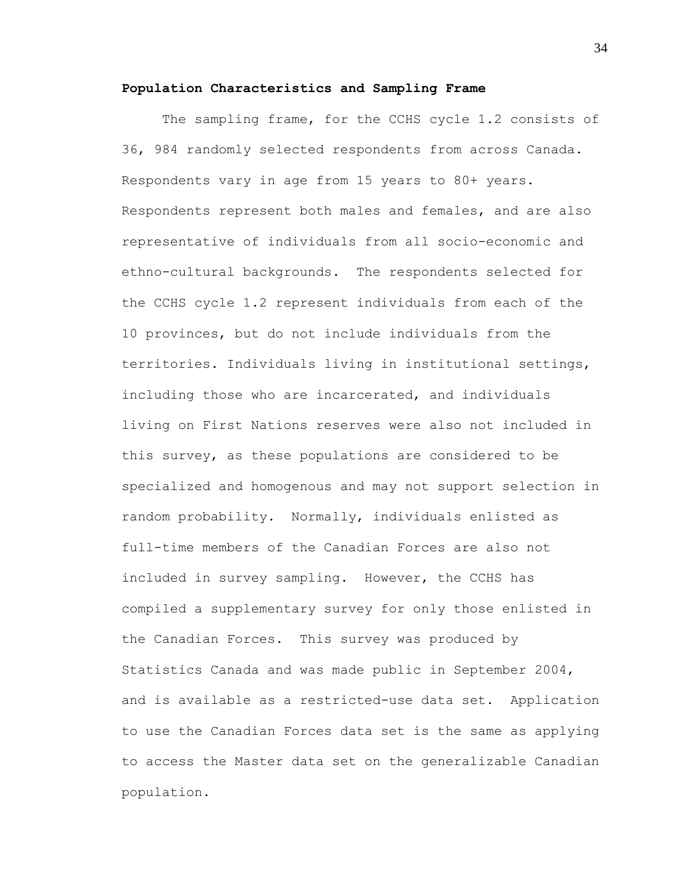### **Population Characteristics and Sampling Frame**

The sampling frame, for the CCHS cycle 1.2 consists of 36, 984 randomly selected respondents from across Canada. Respondents vary in age from 15 years to 80+ years. Respondents represent both males and females, and are also representative of individuals from all socio-economic and ethno-cultural backgrounds. The respondents selected for the CCHS cycle 1.2 represent individuals from each of the 10 provinces, but do not include individuals from the territories. Individuals living in institutional settings, including those who are incarcerated, and individuals living on First Nations reserves were also not included in this survey, as these populations are considered to be specialized and homogenous and may not support selection in random probability. Normally, individuals enlisted as full-time members of the Canadian Forces are also not included in survey sampling. However, the CCHS has compiled a supplementary survey for only those enlisted in the Canadian Forces. This survey was produced by Statistics Canada and was made public in September 2004, and is available as a restricted-use data set. Application to use the Canadian Forces data set is the same as applying to access the Master data set on the generalizable Canadian population.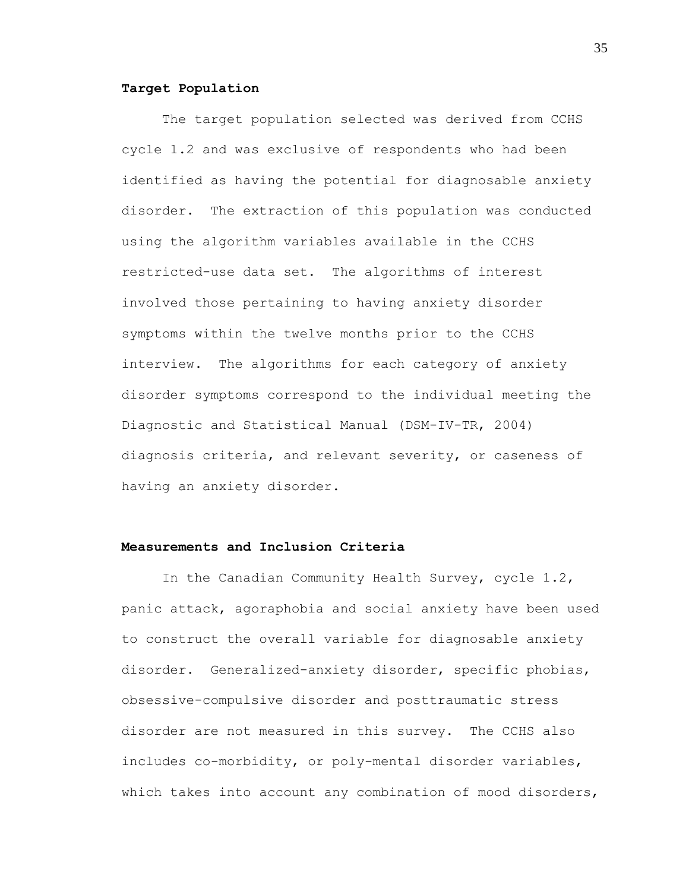### **Target Population**

The target population selected was derived from CCHS cycle 1.2 and was exclusive of respondents who had been identified as having the potential for diagnosable anxiety disorder. The extraction of this population was conducted using the algorithm variables available in the CCHS restricted-use data set. The algorithms of interest involved those pertaining to having anxiety disorder symptoms within the twelve months prior to the CCHS interview. The algorithms for each category of anxiety disorder symptoms correspond to the individual meeting the Diagnostic and Statistical Manual (DSM-IV-TR, 2004) diagnosis criteria, and relevant severity, or caseness of having an anxiety disorder.

# **Measurements and Inclusion Criteria**

In the Canadian Community Health Survey, cycle 1.2, panic attack, agoraphobia and social anxiety have been used to construct the overall variable for diagnosable anxiety disorder. Generalized-anxiety disorder, specific phobias, obsessive-compulsive disorder and posttraumatic stress disorder are not measured in this survey. The CCHS also includes co-morbidity, or poly-mental disorder variables, which takes into account any combination of mood disorders,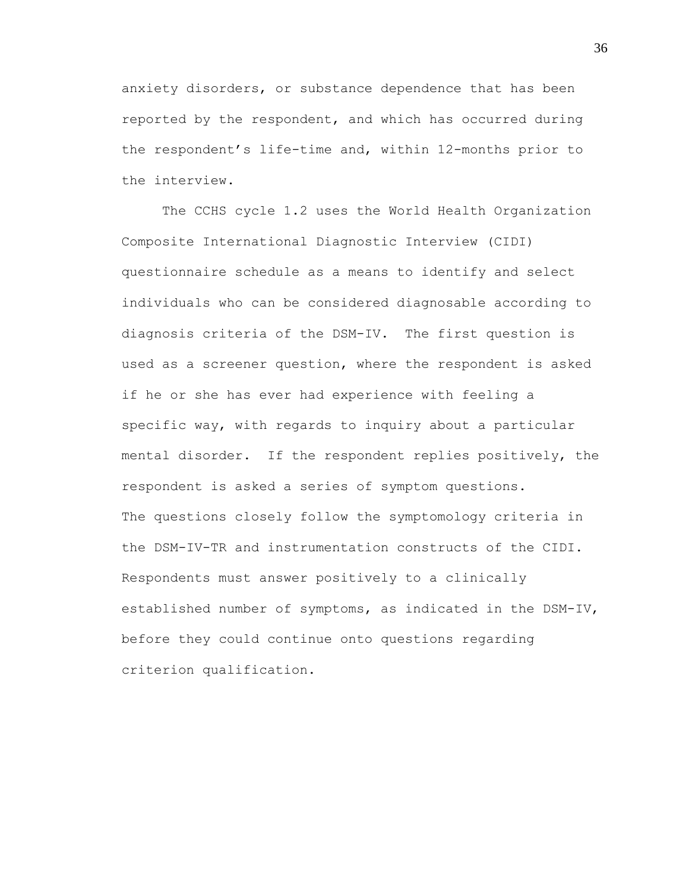anxiety disorders, or substance dependence that has been reported by the respondent, and which has occurred during the respondent's life-time and, within 12-months prior to the interview.

The CCHS cycle 1.2 uses the World Health Organization Composite International Diagnostic Interview (CIDI) questionnaire schedule as a means to identify and select individuals who can be considered diagnosable according to diagnosis criteria of the DSM-IV. The first question is used as a screener question, where the respondent is asked if he or she has ever had experience with feeling a specific way, with regards to inquiry about a particular mental disorder. If the respondent replies positively, the respondent is asked a series of symptom questions. The questions closely follow the symptomology criteria in the DSM-IV-TR and instrumentation constructs of the CIDI. Respondents must answer positively to a clinically established number of symptoms, as indicated in the DSM-IV, before they could continue onto questions regarding criterion qualification.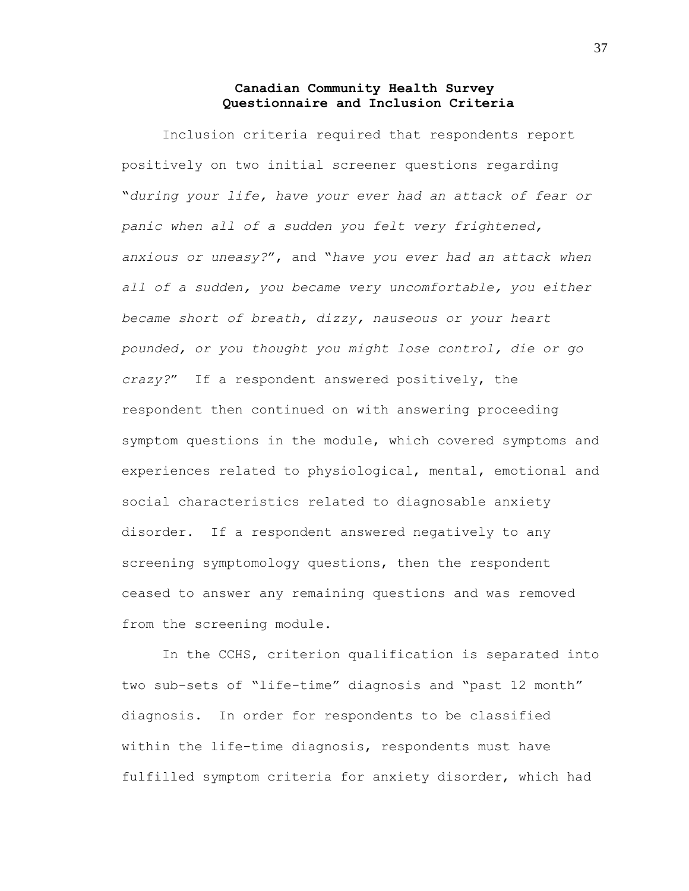# **Canadian Community Health Survey Questionnaire and Inclusion Criteria**

Inclusion criteria required that respondents report positively on two initial screener questions regarding "*during your life, have your ever had an attack of fear or panic when all of a sudden you felt very frightened, anxious or uneasy?*", and "*have you ever had an attack when all of a sudden, you became very uncomfortable, you either became short of breath, dizzy, nauseous or your heart pounded, or you thought you might lose control, die or go crazy?*" If a respondent answered positively, the respondent then continued on with answering proceeding symptom questions in the module, which covered symptoms and experiences related to physiological, mental, emotional and social characteristics related to diagnosable anxiety disorder. If a respondent answered negatively to any screening symptomology questions, then the respondent ceased to answer any remaining questions and was removed from the screening module.

In the CCHS, criterion qualification is separated into two sub-sets of "life-time" diagnosis and "past 12 month" diagnosis. In order for respondents to be classified within the life-time diagnosis, respondents must have fulfilled symptom criteria for anxiety disorder, which had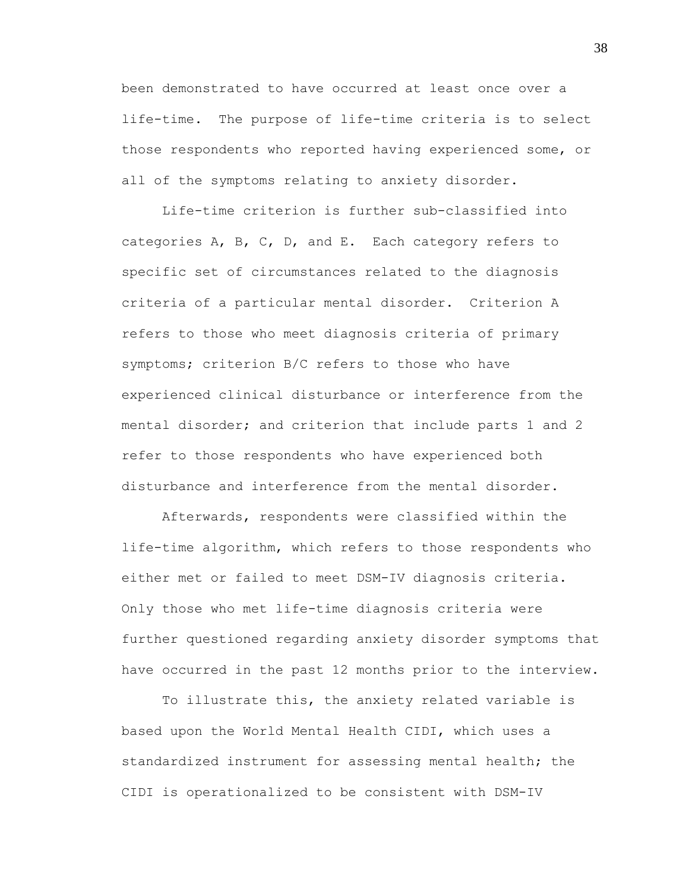been demonstrated to have occurred at least once over a life-time. The purpose of life-time criteria is to select those respondents who reported having experienced some, or all of the symptoms relating to anxiety disorder.

Life-time criterion is further sub-classified into categories A, B, C, D, and E. Each category refers to specific set of circumstances related to the diagnosis criteria of a particular mental disorder. Criterion A refers to those who meet diagnosis criteria of primary symptoms; criterion B/C refers to those who have experienced clinical disturbance or interference from the mental disorder; and criterion that include parts 1 and 2 refer to those respondents who have experienced both disturbance and interference from the mental disorder.

Afterwards, respondents were classified within the life-time algorithm, which refers to those respondents who either met or failed to meet DSM-IV diagnosis criteria. Only those who met life-time diagnosis criteria were further questioned regarding anxiety disorder symptoms that have occurred in the past 12 months prior to the interview.

To illustrate this, the anxiety related variable is based upon the World Mental Health CIDI, which uses a standardized instrument for assessing mental health; the CIDI is operationalized to be consistent with DSM-IV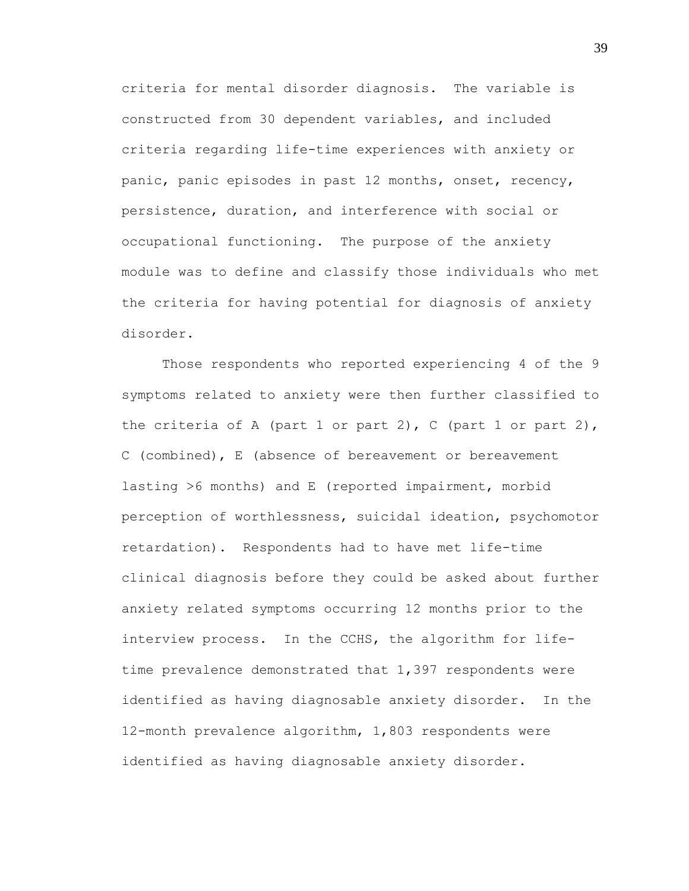criteria for mental disorder diagnosis. The variable is constructed from 30 dependent variables, and included criteria regarding life-time experiences with anxiety or panic, panic episodes in past 12 months, onset, recency, persistence, duration, and interference with social or occupational functioning. The purpose of the anxiety module was to define and classify those individuals who met the criteria for having potential for diagnosis of anxiety disorder.

Those respondents who reported experiencing 4 of the 9 symptoms related to anxiety were then further classified to the criteria of A (part 1 or part 2), C (part 1 or part 2), C (combined), E (absence of bereavement or bereavement lasting >6 months) and E (reported impairment, morbid perception of worthlessness, suicidal ideation, psychomotor retardation). Respondents had to have met life-time clinical diagnosis before they could be asked about further anxiety related symptoms occurring 12 months prior to the interview process. In the CCHS, the algorithm for lifetime prevalence demonstrated that 1,397 respondents were identified as having diagnosable anxiety disorder. In the 12-month prevalence algorithm, 1,803 respondents were identified as having diagnosable anxiety disorder.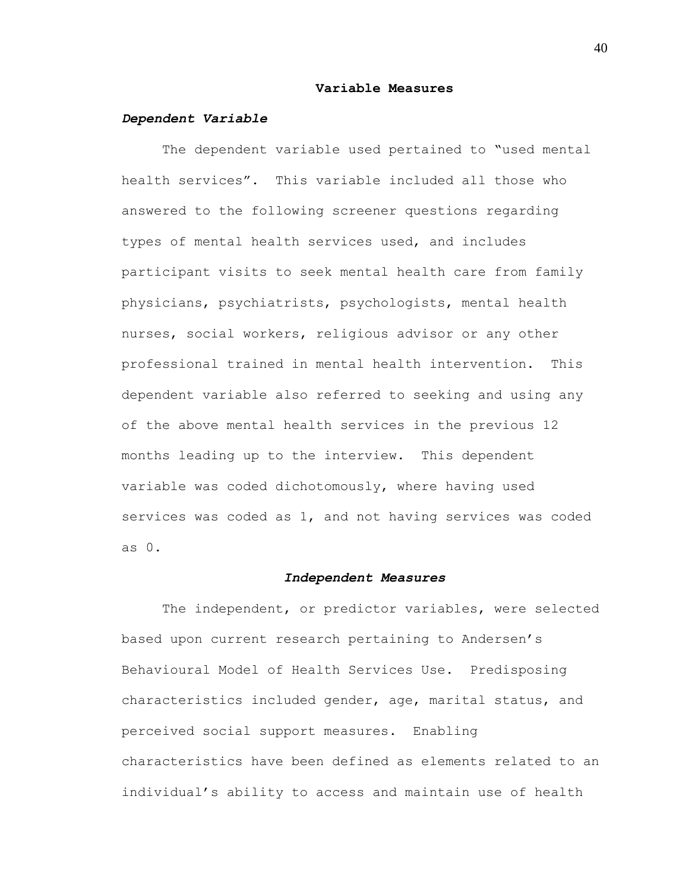#### **Variable Measures**

### *Dependent Variable*

The dependent variable used pertained to "used mental health services". This variable included all those who answered to the following screener questions regarding types of mental health services used, and includes participant visits to seek mental health care from family physicians, psychiatrists, psychologists, mental health nurses, social workers, religious advisor or any other professional trained in mental health intervention. This dependent variable also referred to seeking and using any of the above mental health services in the previous 12 months leading up to the interview. This dependent variable was coded dichotomously, where having used services was coded as 1, and not having services was coded as 0.

### *Independent Measures*

The independent, or predictor variables, were selected based upon current research pertaining to Andersen"s Behavioural Model of Health Services Use. Predisposing characteristics included gender, age, marital status, and perceived social support measures. Enabling characteristics have been defined as elements related to an individual's ability to access and maintain use of health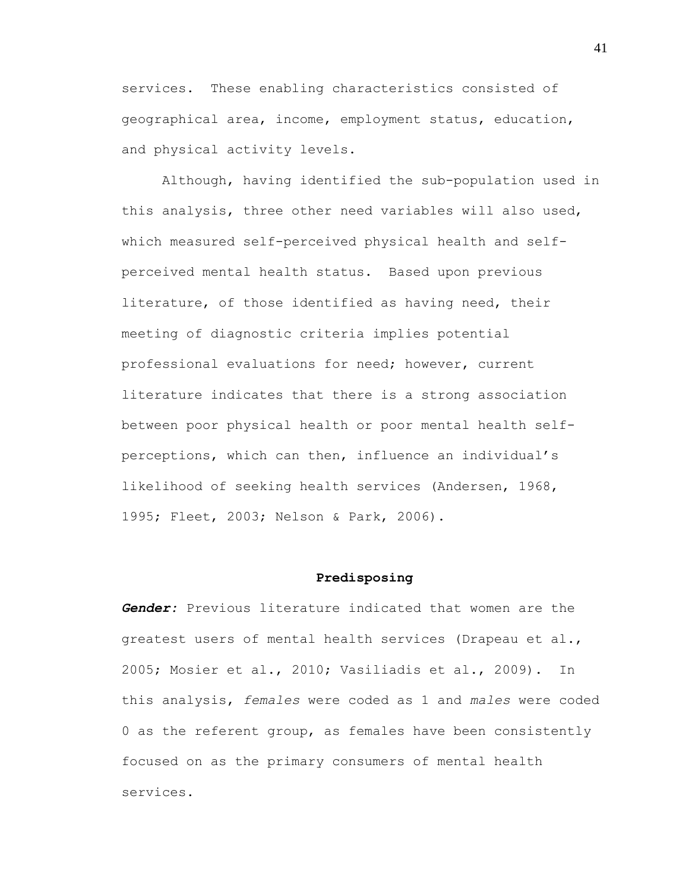services. These enabling characteristics consisted of geographical area, income, employment status, education, and physical activity levels.

Although, having identified the sub-population used in this analysis, three other need variables will also used, which measured self-perceived physical health and selfperceived mental health status. Based upon previous literature, of those identified as having need, their meeting of diagnostic criteria implies potential professional evaluations for need; however, current literature indicates that there is a strong association between poor physical health or poor mental health selfperceptions, which can then, influence an individual"s likelihood of seeking health services (Andersen, 1968, 1995; Fleet, 2003; Nelson & Park, 2006).

### **Predisposing**

*Gender:* Previous literature indicated that women are the greatest users of mental health services (Drapeau et al., 2005; Mosier et al., 2010; Vasiliadis et al., 2009). In this analysis, *females* were coded as 1 and *males* were coded 0 as the referent group, as females have been consistently focused on as the primary consumers of mental health services.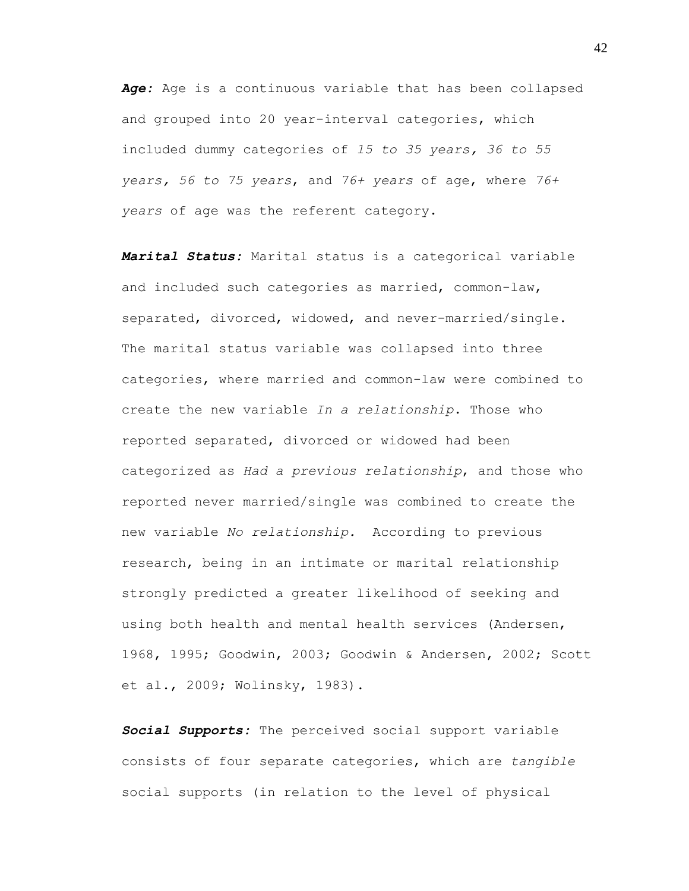*Age:* Age is a continuous variable that has been collapsed and grouped into 20 year-interval categories, which included dummy categories of *15 to 35 years, 36 to 55 years, 56 to 75 years*, and *76+ years* of age, where *76+ years* of age was the referent category.

*Marital Status:* Marital status is a categorical variable and included such categories as married, common-law, separated, divorced, widowed, and never-married/single. The marital status variable was collapsed into three categories, where married and common-law were combined to create the new variable *In a relationship*. Those who reported separated, divorced or widowed had been categorized as *Had a previous relationship*, and those who reported never married/single was combined to create the new variable *No relationship.* According to previous research, being in an intimate or marital relationship strongly predicted a greater likelihood of seeking and using both health and mental health services (Andersen, 1968, 1995; Goodwin, 2003; Goodwin & Andersen, 2002; Scott et al., 2009; Wolinsky, 1983).

*Social Supports:* The perceived social support variable consists of four separate categories, which are *tangible*  social supports (in relation to the level of physical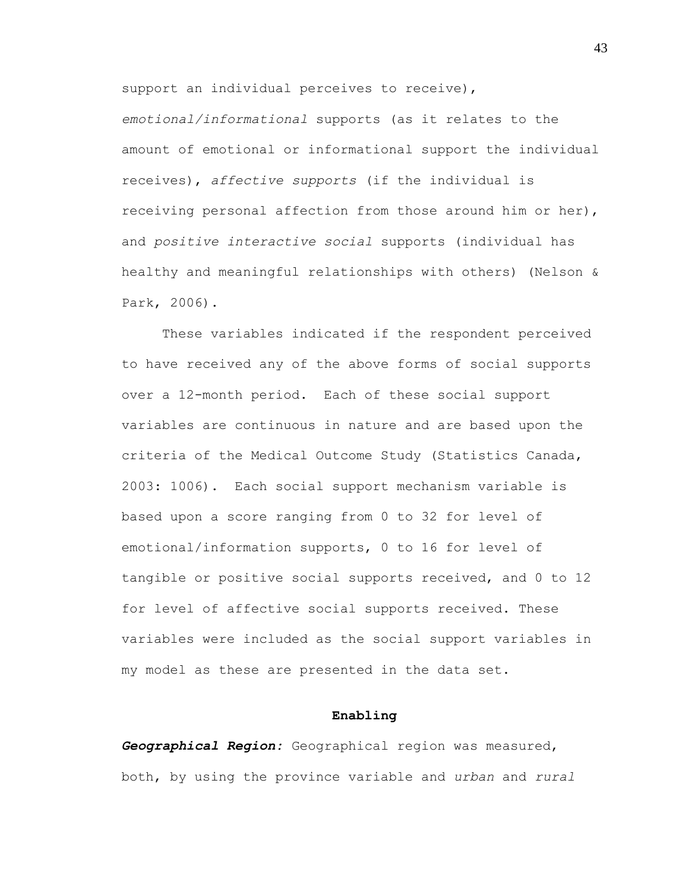support an individual perceives to receive),

*emotional/informational* supports (as it relates to the amount of emotional or informational support the individual receives), *affective supports* (if the individual is receiving personal affection from those around him or her), and *positive interactive social* supports (individual has healthy and meaningful relationships with others) (Nelson & Park, 2006).

These variables indicated if the respondent perceived to have received any of the above forms of social supports over a 12-month period. Each of these social support variables are continuous in nature and are based upon the criteria of the Medical Outcome Study (Statistics Canada, 2003: 1006). Each social support mechanism variable is based upon a score ranging from 0 to 32 for level of emotional/information supports, 0 to 16 for level of tangible or positive social supports received, and 0 to 12 for level of affective social supports received. These variables were included as the social support variables in my model as these are presented in the data set.

#### **Enabling**

*Geographical Region:* Geographical region was measured, both, by using the province variable and *urban* and *rural*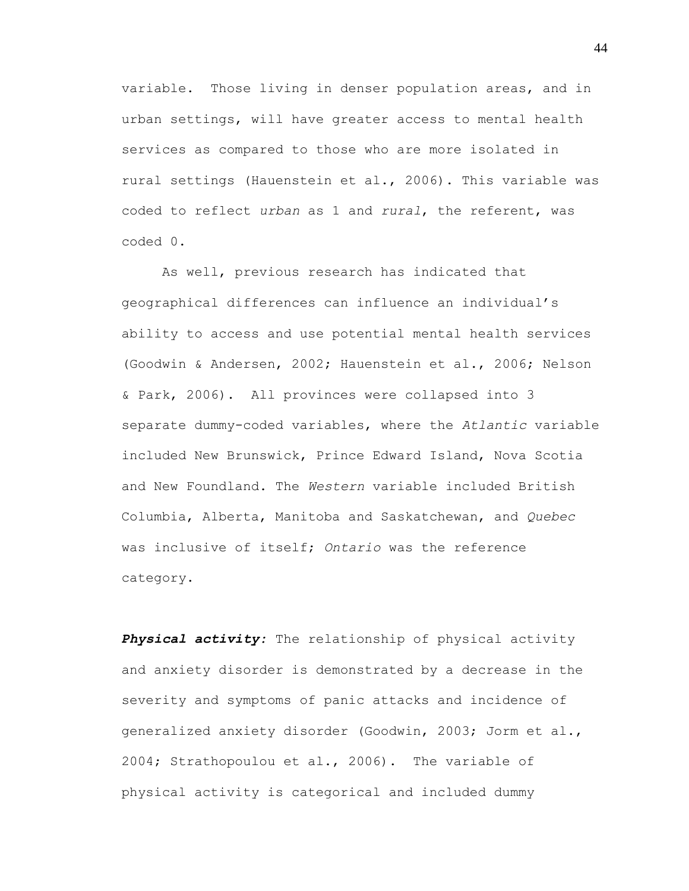variable. Those living in denser population areas, and in urban settings, will have greater access to mental health services as compared to those who are more isolated in rural settings (Hauenstein et al., 2006). This variable was coded to reflect *urban* as 1 and *rural*, the referent, was coded 0.

As well, previous research has indicated that geographical differences can influence an individual"s ability to access and use potential mental health services (Goodwin & Andersen, 2002; Hauenstein et al., 2006; Nelson & Park, 2006). All provinces were collapsed into 3 separate dummy-coded variables, where the *Atlantic* variable included New Brunswick, Prince Edward Island, Nova Scotia and New Foundland. The *Western* variable included British Columbia, Alberta, Manitoba and Saskatchewan, and *Quebec* was inclusive of itself; *Ontario* was the reference category.

*Physical activity:* The relationship of physical activity and anxiety disorder is demonstrated by a decrease in the severity and symptoms of panic attacks and incidence of generalized anxiety disorder (Goodwin, 2003; Jorm et al., 2004; Strathopoulou et al., 2006). The variable of physical activity is categorical and included dummy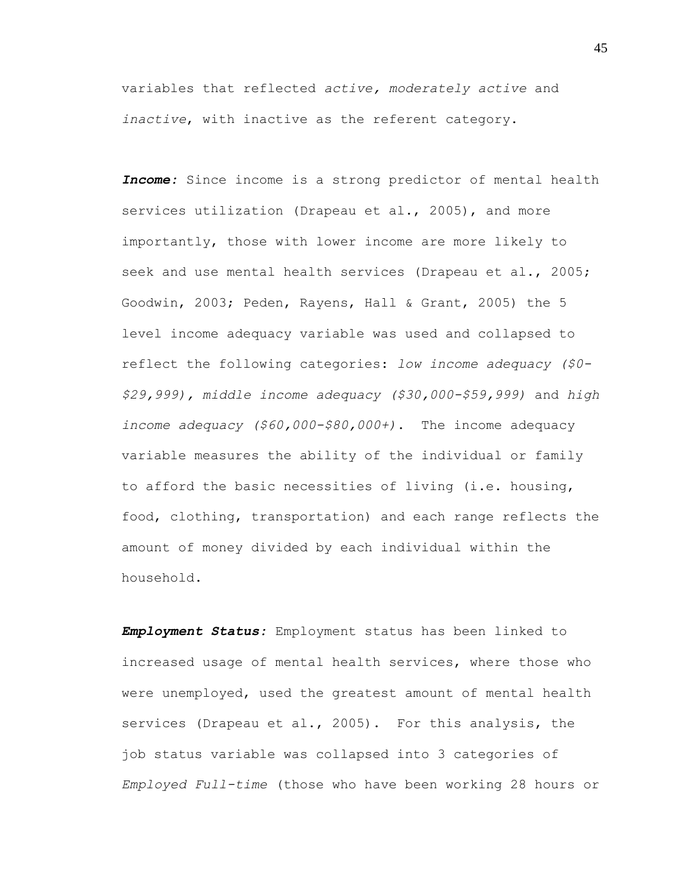variables that reflected *active, moderately active* and *inactive*, with inactive as the referent category.

*Income:* Since income is a strong predictor of mental health services utilization (Drapeau et al., 2005), and more importantly, those with lower income are more likely to seek and use mental health services (Drapeau et al., 2005; Goodwin, 2003; Peden, Rayens, Hall & Grant, 2005) the 5 level income adequacy variable was used and collapsed to reflect the following categories: *low income adequacy (\$0- \$29,999), middle income adequacy (\$30,000-\$59,999)* and *high income adequacy (\$60,000-\$80,000+)*. The income adequacy variable measures the ability of the individual or family to afford the basic necessities of living (i.e. housing, food, clothing, transportation) and each range reflects the amount of money divided by each individual within the household.

*Employment Status:* Employment status has been linked to increased usage of mental health services, where those who were unemployed, used the greatest amount of mental health services (Drapeau et al., 2005). For this analysis, the job status variable was collapsed into 3 categories of *Employed Full-time* (those who have been working 28 hours or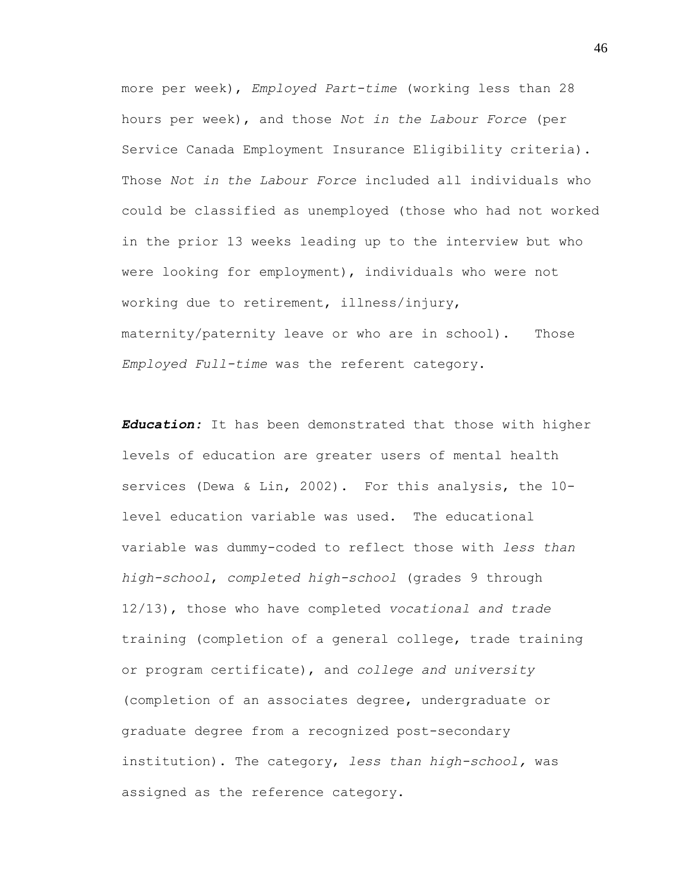more per week), *Employed Part-time* (working less than 28 hours per week), and those *Not in the Labour Force* (per Service Canada Employment Insurance Eligibility criteria). Those *Not in the Labour Force* included all individuals who could be classified as unemployed (those who had not worked in the prior 13 weeks leading up to the interview but who were looking for employment), individuals who were not working due to retirement, illness/injury, maternity/paternity leave or who are in school). Those *Employed Full-time* was the referent category.

*Education:* It has been demonstrated that those with higher levels of education are greater users of mental health services (Dewa & Lin, 2002). For this analysis, the 10 level education variable was used. The educational variable was dummy-coded to reflect those with *less than high-school*, *completed high-school* (grades 9 through 12/13), those who have completed *vocational and trade* training (completion of a general college, trade training or program certificate), and *college and university* (completion of an associates degree, undergraduate or graduate degree from a recognized post-secondary institution). The category, *less than high-school,* was assigned as the reference category.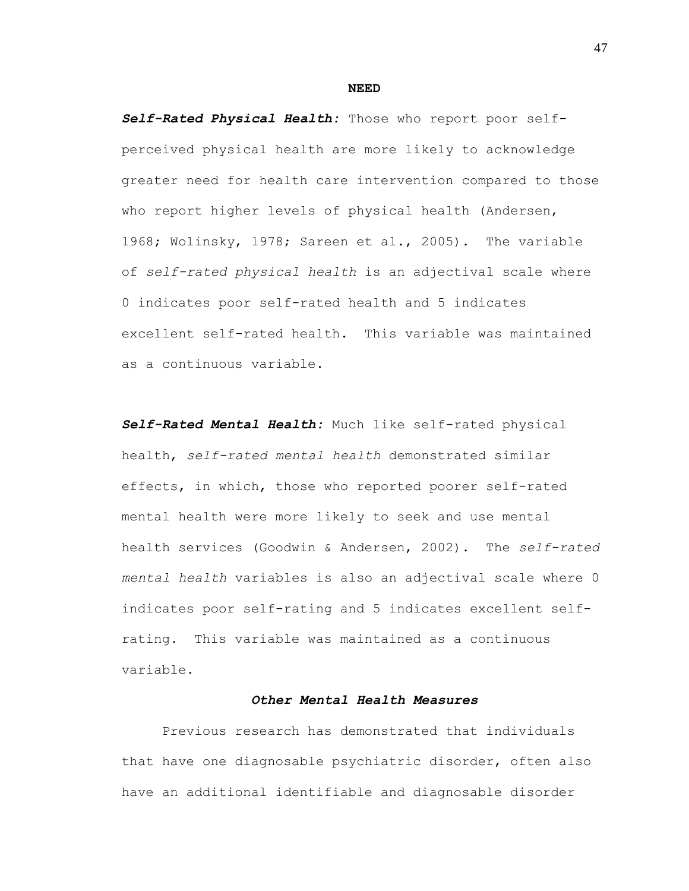#### **NEED**

*Self-Rated Physical Health:* Those who report poor selfperceived physical health are more likely to acknowledge greater need for health care intervention compared to those who report higher levels of physical health (Andersen, 1968; Wolinsky, 1978; Sareen et al., 2005). The variable of *self-rated physical health* is an adjectival scale where 0 indicates poor self-rated health and 5 indicates excellent self-rated health. This variable was maintained as a continuous variable.

*Self-Rated Mental Health:* Much like self-rated physical health, *self-rated mental health* demonstrated similar effects, in which, those who reported poorer self-rated mental health were more likely to seek and use mental health services (Goodwin & Andersen, 2002). The *self-rated mental health* variables is also an adjectival scale where 0 indicates poor self-rating and 5 indicates excellent selfrating. This variable was maintained as a continuous variable.

# *Other Mental Health Measures*

Previous research has demonstrated that individuals that have one diagnosable psychiatric disorder, often also have an additional identifiable and diagnosable disorder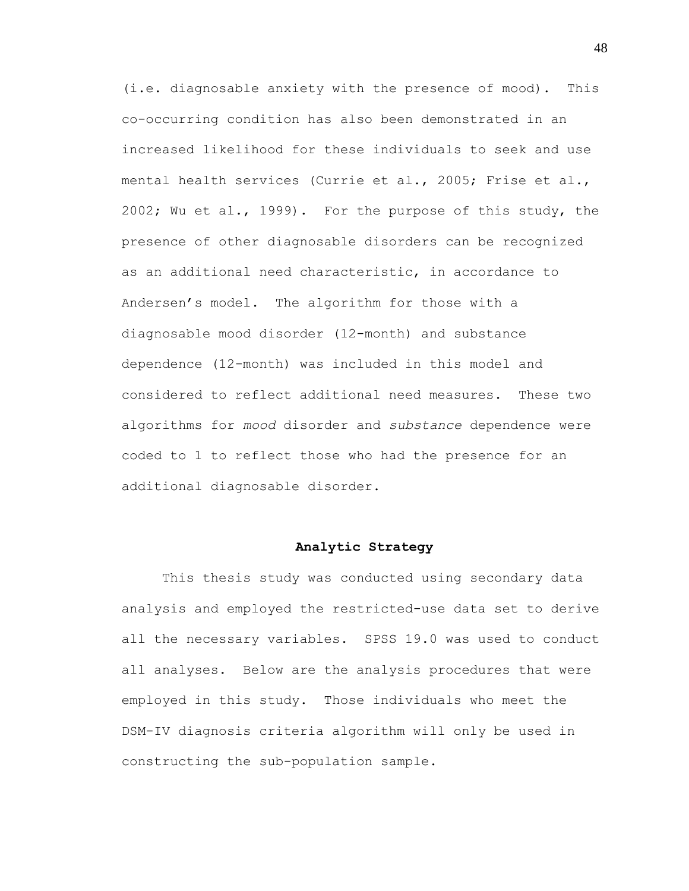(i.e. diagnosable anxiety with the presence of mood). This co-occurring condition has also been demonstrated in an increased likelihood for these individuals to seek and use mental health services (Currie et al., 2005; Frise et al., 2002; Wu et al., 1999). For the purpose of this study, the presence of other diagnosable disorders can be recognized as an additional need characteristic, in accordance to Andersen"s model. The algorithm for those with a diagnosable mood disorder (12-month) and substance dependence (12-month) was included in this model and considered to reflect additional need measures. These two algorithms for *mood* disorder and *substance* dependence were coded to 1 to reflect those who had the presence for an additional diagnosable disorder.

### **Analytic Strategy**

This thesis study was conducted using secondary data analysis and employed the restricted-use data set to derive all the necessary variables. SPSS 19.0 was used to conduct all analyses. Below are the analysis procedures that were employed in this study. Those individuals who meet the DSM-IV diagnosis criteria algorithm will only be used in constructing the sub-population sample.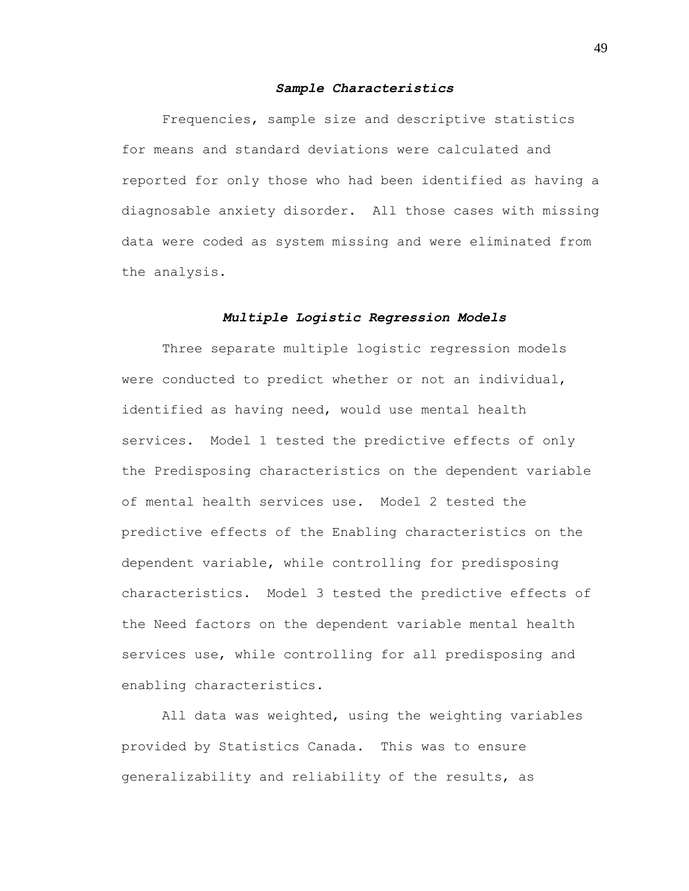### *Sample Characteristics*

Frequencies, sample size and descriptive statistics for means and standard deviations were calculated and reported for only those who had been identified as having a diagnosable anxiety disorder. All those cases with missing data were coded as system missing and were eliminated from the analysis.

### *Multiple Logistic Regression Models*

Three separate multiple logistic regression models were conducted to predict whether or not an individual, identified as having need, would use mental health services. Model 1 tested the predictive effects of only the Predisposing characteristics on the dependent variable of mental health services use. Model 2 tested the predictive effects of the Enabling characteristics on the dependent variable, while controlling for predisposing characteristics. Model 3 tested the predictive effects of the Need factors on the dependent variable mental health services use, while controlling for all predisposing and enabling characteristics.

All data was weighted, using the weighting variables provided by Statistics Canada. This was to ensure generalizability and reliability of the results, as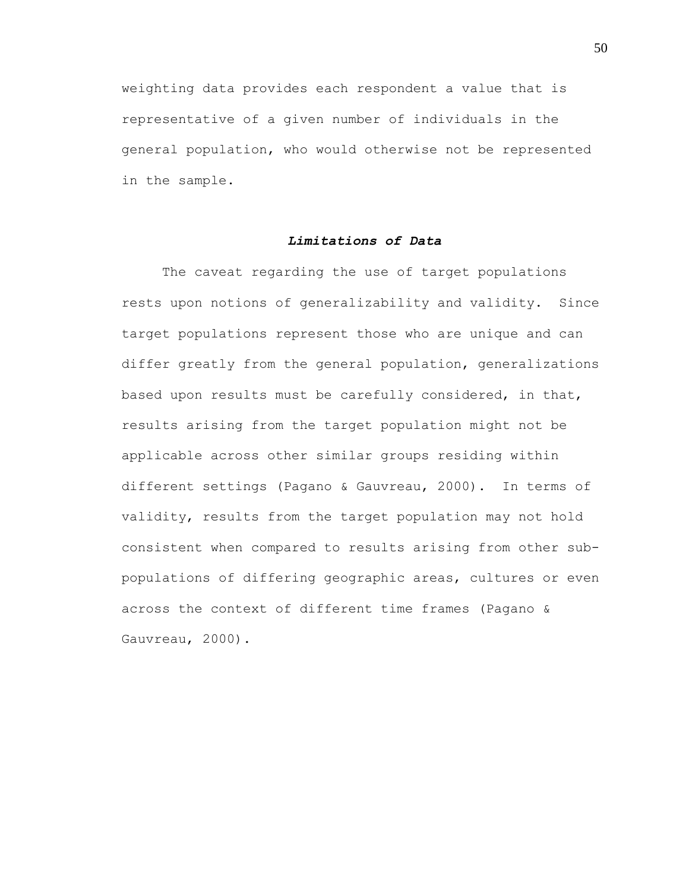weighting data provides each respondent a value that is representative of a given number of individuals in the general population, who would otherwise not be represented in the sample.

# *Limitations of Data*

The caveat regarding the use of target populations rests upon notions of generalizability and validity. Since target populations represent those who are unique and can differ greatly from the general population, generalizations based upon results must be carefully considered, in that, results arising from the target population might not be applicable across other similar groups residing within different settings (Pagano & Gauvreau, 2000). In terms of validity, results from the target population may not hold consistent when compared to results arising from other subpopulations of differing geographic areas, cultures or even across the context of different time frames (Pagano & Gauvreau, 2000).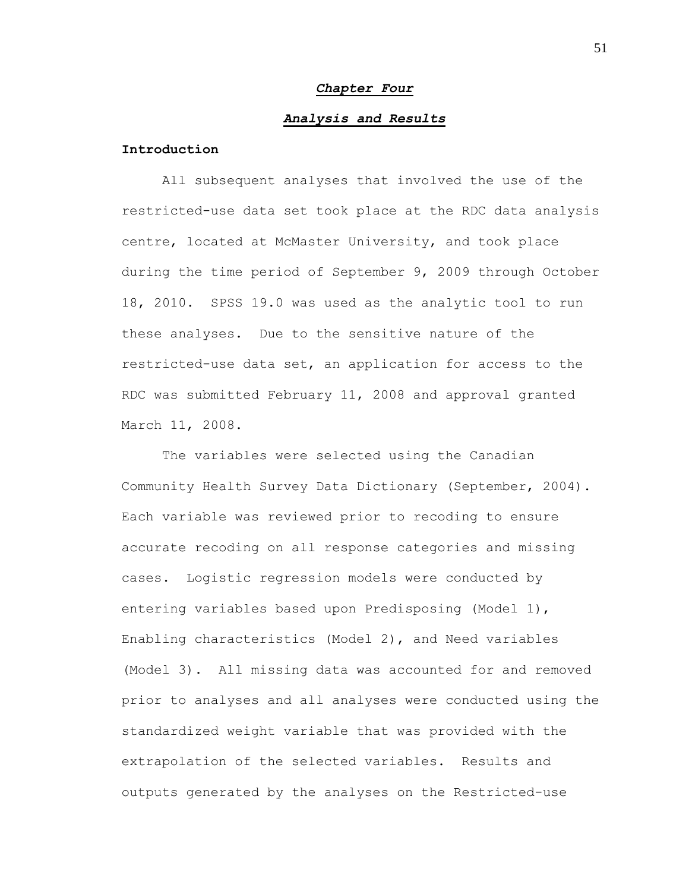#### *Chapter Four*

### *Analysis and Results*

# **Introduction**

All subsequent analyses that involved the use of the restricted-use data set took place at the RDC data analysis centre, located at McMaster University, and took place during the time period of September 9, 2009 through October 18, 2010. SPSS 19.0 was used as the analytic tool to run these analyses. Due to the sensitive nature of the restricted-use data set, an application for access to the RDC was submitted February 11, 2008 and approval granted March 11, 2008.

The variables were selected using the Canadian Community Health Survey Data Dictionary (September, 2004). Each variable was reviewed prior to recoding to ensure accurate recoding on all response categories and missing cases. Logistic regression models were conducted by entering variables based upon Predisposing (Model 1), Enabling characteristics (Model 2), and Need variables (Model 3). All missing data was accounted for and removed prior to analyses and all analyses were conducted using the standardized weight variable that was provided with the extrapolation of the selected variables. Results and outputs generated by the analyses on the Restricted-use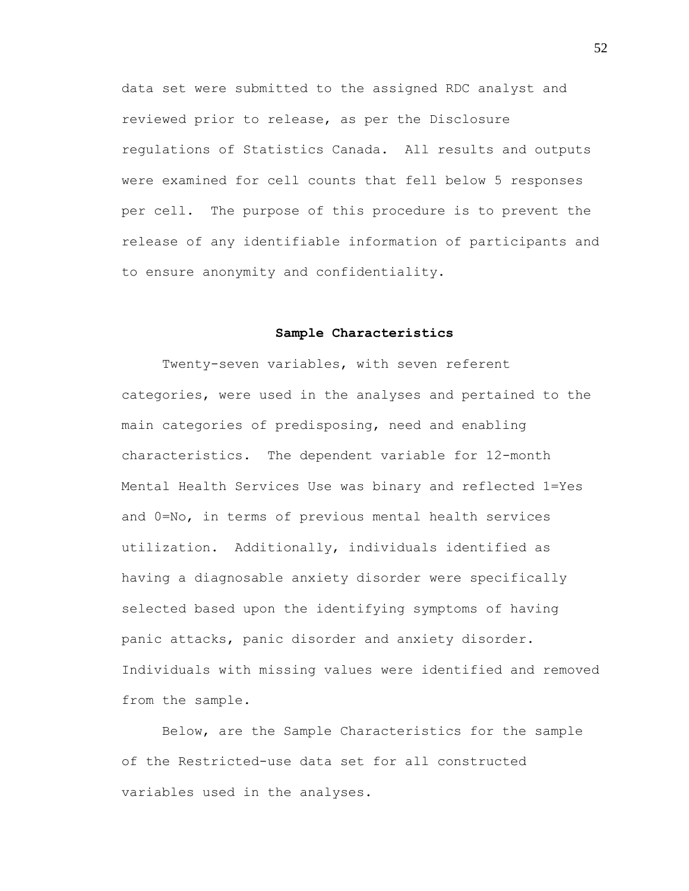data set were submitted to the assigned RDC analyst and reviewed prior to release, as per the Disclosure regulations of Statistics Canada. All results and outputs were examined for cell counts that fell below 5 responses per cell. The purpose of this procedure is to prevent the release of any identifiable information of participants and to ensure anonymity and confidentiality.

### **Sample Characteristics**

Twenty-seven variables, with seven referent categories, were used in the analyses and pertained to the main categories of predisposing, need and enabling characteristics. The dependent variable for 12-month Mental Health Services Use was binary and reflected 1=Yes and 0=No, in terms of previous mental health services utilization. Additionally, individuals identified as having a diagnosable anxiety disorder were specifically selected based upon the identifying symptoms of having panic attacks, panic disorder and anxiety disorder. Individuals with missing values were identified and removed from the sample.

Below, are the Sample Characteristics for the sample of the Restricted-use data set for all constructed variables used in the analyses.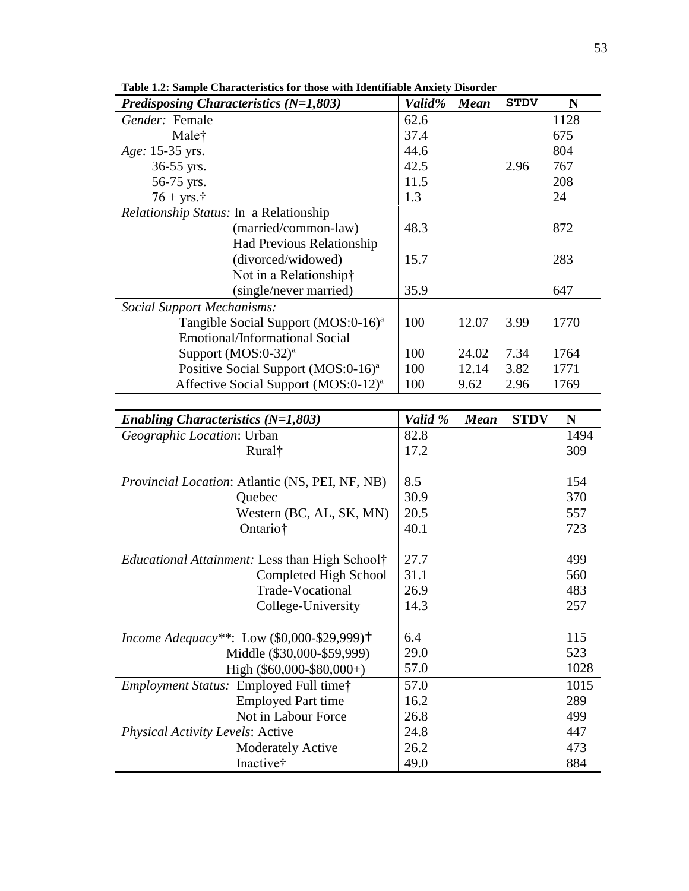| Predisposing Characteristics $(N=1,803)$                         | Valid%  | <b>Mean</b> | <b>STDV</b> | N    |
|------------------------------------------------------------------|---------|-------------|-------------|------|
| Gender: Female                                                   | 62.6    |             |             | 1128 |
| Malet                                                            | 37.4    |             |             | 675  |
| Age: 15-35 yrs.                                                  | 44.6    |             |             | 804  |
| 36-55 yrs.                                                       | 42.5    |             | 2.96        | 767  |
| 56-75 yrs.                                                       | 11.5    |             |             | 208  |
| $76 + yrs.$ †                                                    | 1.3     |             |             | 24   |
| <i>Relationship Status: In a Relationship</i>                    |         |             |             |      |
| (married/common-law)                                             | 48.3    |             |             | 872  |
| Had Previous Relationship                                        |         |             |             |      |
| (divorced/widowed)                                               | 15.7    |             |             | 283  |
| Not in a Relationship†                                           |         |             |             |      |
| (single/never married)                                           | 35.9    |             |             | 647  |
| <b>Social Support Mechanisms:</b>                                |         |             |             |      |
| Tangible Social Support (MOS:0-16) <sup>a</sup>                  | 100     | 12.07       | 3.99        | 1770 |
| Emotional/Informational Social                                   |         |             |             |      |
| Support $(MOS:0-32)^a$                                           | 100     | 24.02       | 7.34        | 1764 |
| Positive Social Support (MOS:0-16) <sup>a</sup>                  | 100     | 12.14       | 3.82        | 1771 |
| Affective Social Support (MOS:0-12) <sup>a</sup>                 | 100     | 9.62        | 2.96        | 1769 |
|                                                                  |         |             |             |      |
| Enabling Characteristics $(N=1,803)$                             | Valid % | <b>Mean</b> | <b>STDV</b> | N    |
| Geographic Location: Urban                                       | 82.8    |             |             | 1494 |
| Rural <sup>†</sup>                                               | 17.2    |             |             | 309  |
|                                                                  |         |             |             |      |
| Provincial Location: Atlantic (NS, PEI, NF, NB)                  | 8.5     |             |             | 154  |
| Quebec                                                           | 30.9    |             |             | 370  |
| Western (BC, AL, SK, MN)                                         | 20.5    |             |             | 557  |
| Ontario†                                                         | 40.1    |             |             | 723  |
|                                                                  |         |             |             |      |
| <i>Educational Attainment:</i> Less than High School†            | 27.7    |             |             | 499  |
| Completed High School                                            | 31.1    |             |             | 560  |
| Trade-Vocational                                                 | 26.9    |             |             | 483  |
| College-University                                               | 14.3    |             |             | 257  |
|                                                                  |         |             |             |      |
| <i>Income Adequacy**</i> : Low $(\$0,000-\$29,999)$ <sup>+</sup> | 6.4     |             |             | 115  |
| Middle (\$30,000-\$59,999)                                       | 29.0    |             |             | 523  |
| High $(\$60,000-\$80,000+)$                                      | 57.0    |             |             | 1028 |
| Employment Status: Employed Full time†                           | 57.0    |             |             | 1015 |
| <b>Employed Part time</b>                                        | 16.2    |             |             | 289  |
| Not in Labour Force                                              | 26.8    |             |             | 499  |
| <b>Physical Activity Levels: Active</b>                          | 24.8    |             |             | 447  |
| <b>Moderately Active</b>                                         | 26.2    |             |             | 473  |
|                                                                  |         |             |             |      |

**Table 1.2: Sample Characteristics for those with Identifiable Anxiety Disorder**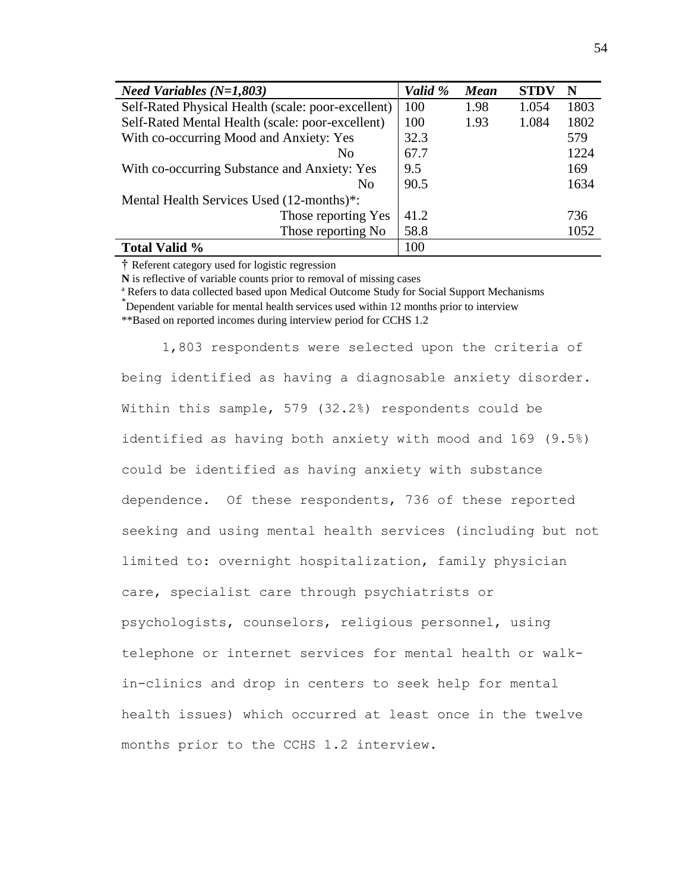| <i>Need Variables</i> $(N=1,803)$                  | Valid % | <b>Mean</b> | <b>STDV</b> | N    |
|----------------------------------------------------|---------|-------------|-------------|------|
| Self-Rated Physical Health (scale: poor-excellent) | 100     | 1.98        | 1.054       | 1803 |
| Self-Rated Mental Health (scale: poor-excellent)   | 100     | 1.93        | 1.084       | 1802 |
| With co-occurring Mood and Anxiety: Yes            | 32.3    |             |             | 579  |
| N <sub>0</sub>                                     | 67.7    |             |             | 1224 |
| With co-occurring Substance and Anxiety: Yes       | 9.5     |             |             | 169  |
| N <sub>0</sub>                                     | 90.5    |             |             | 1634 |
| Mental Health Services Used (12-months)*:          |         |             |             |      |
| Those reporting Yes                                | 41.2    |             |             | 736  |
| Those reporting No                                 | 58.8    |             |             | 1052 |
| Total Valid %                                      | 100     |             |             |      |

† Referent category used for logistic regression

**N** is reflective of variable counts prior to removal of missing cases

ª Refers to data collected based upon Medical Outcome Study for Social Support Mechanisms \* Dependent variable for mental health services used within 12 months prior to interview

\*\*Based on reported incomes during interview period for CCHS 1.2

1,803 respondents were selected upon the criteria of being identified as having a diagnosable anxiety disorder. Within this sample, 579 (32.2%) respondents could be identified as having both anxiety with mood and 169 (9.5%) could be identified as having anxiety with substance dependence. Of these respondents, 736 of these reported seeking and using mental health services (including but not limited to: overnight hospitalization, family physician care, specialist care through psychiatrists or psychologists, counselors, religious personnel, using telephone or internet services for mental health or walkin-clinics and drop in centers to seek help for mental health issues) which occurred at least once in the twelve months prior to the CCHS 1.2 interview.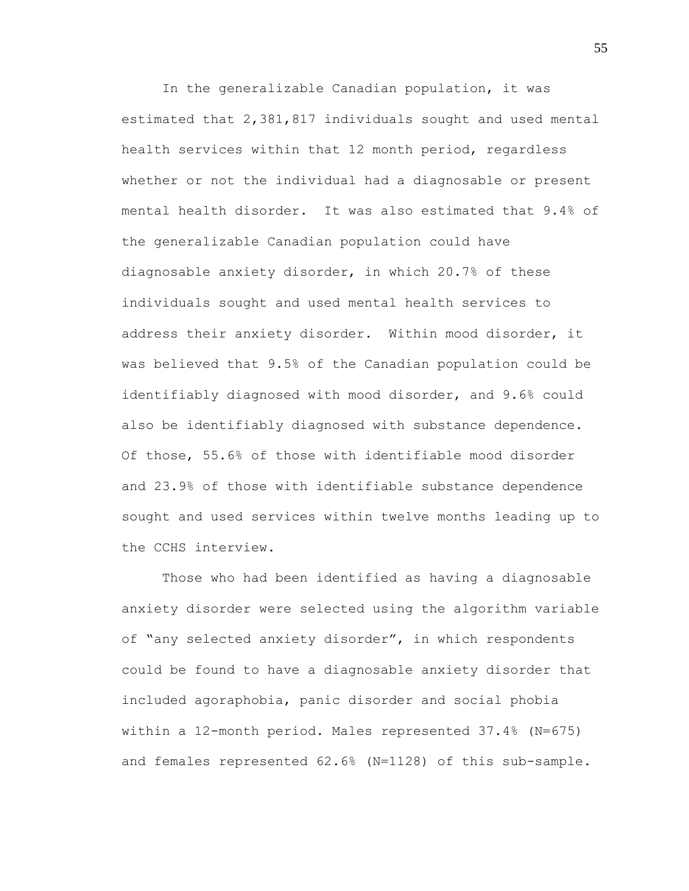In the generalizable Canadian population, it was estimated that 2,381,817 individuals sought and used mental health services within that 12 month period, regardless whether or not the individual had a diagnosable or present mental health disorder. It was also estimated that 9.4% of the generalizable Canadian population could have diagnosable anxiety disorder, in which 20.7% of these individuals sought and used mental health services to address their anxiety disorder. Within mood disorder, it was believed that 9.5% of the Canadian population could be identifiably diagnosed with mood disorder, and 9.6% could also be identifiably diagnosed with substance dependence. Of those, 55.6% of those with identifiable mood disorder and 23.9% of those with identifiable substance dependence sought and used services within twelve months leading up to the CCHS interview.

Those who had been identified as having a diagnosable anxiety disorder were selected using the algorithm variable of "any selected anxiety disorder", in which respondents could be found to have a diagnosable anxiety disorder that included agoraphobia, panic disorder and social phobia within a 12-month period. Males represented 37.4% (N=675) and females represented 62.6% (N=1128) of this sub-sample.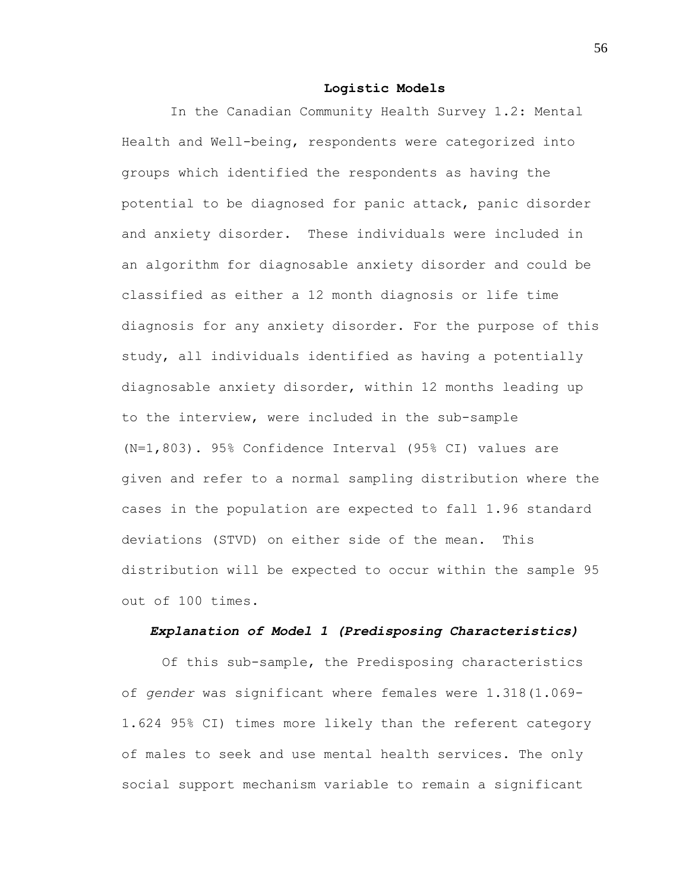#### **Logistic Models**

In the Canadian Community Health Survey 1.2: Mental Health and Well-being, respondents were categorized into groups which identified the respondents as having the potential to be diagnosed for panic attack, panic disorder and anxiety disorder. These individuals were included in an algorithm for diagnosable anxiety disorder and could be classified as either a 12 month diagnosis or life time diagnosis for any anxiety disorder. For the purpose of this study, all individuals identified as having a potentially diagnosable anxiety disorder, within 12 months leading up to the interview, were included in the sub-sample (N=1,803). 95% Confidence Interval (95% CI) values are given and refer to a normal sampling distribution where the cases in the population are expected to fall 1.96 standard deviations (STVD) on either side of the mean. This distribution will be expected to occur within the sample 95 out of 100 times.

# *Explanation of Model 1 (Predisposing Characteristics)*

Of this sub-sample, the Predisposing characteristics of *gender* was significant where females were 1.318(1.069- 1.624 95% CI) times more likely than the referent category of males to seek and use mental health services. The only social support mechanism variable to remain a significant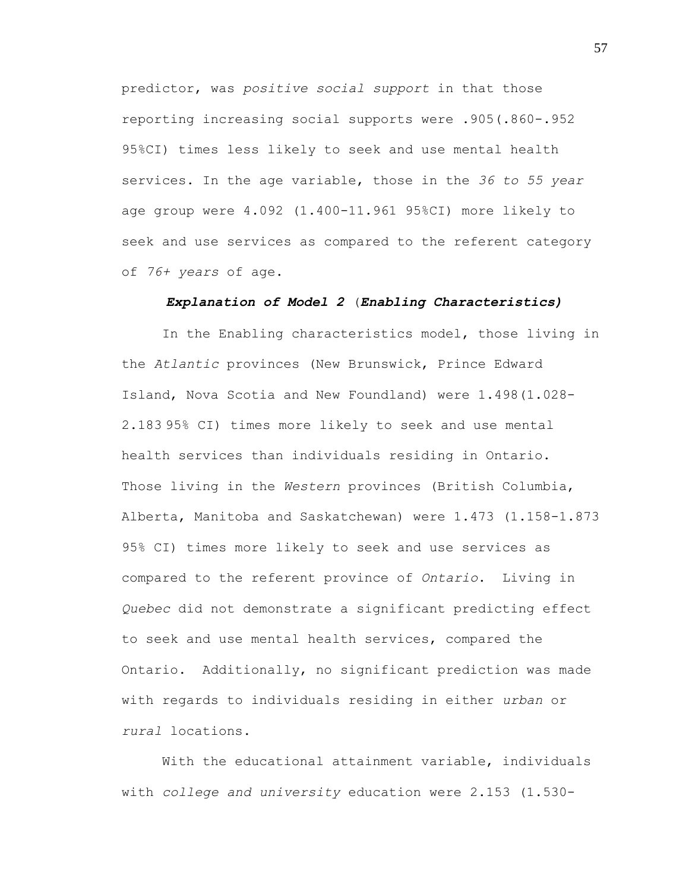predictor, was *positive social support* in that those reporting increasing social supports were .905(.860-.952 95%CI) times less likely to seek and use mental health services. In the age variable, those in the *36 to 55 year* age group were 4.092 (1.400-11.961 95%CI) more likely to seek and use services as compared to the referent category of *76+ years* of age.

### *Explanation of Model 2* (*Enabling Characteristics)*

In the Enabling characteristics model, those living in the *Atlantic* provinces (New Brunswick, Prince Edward Island, Nova Scotia and New Foundland) were 1.498(1.028- 2.183 95% CI) times more likely to seek and use mental health services than individuals residing in Ontario. Those living in the *Western* provinces (British Columbia, Alberta, Manitoba and Saskatchewan) were 1.473 (1.158-1.873 95% CI) times more likely to seek and use services as compared to the referent province of *Ontario*. Living in *Quebec* did not demonstrate a significant predicting effect to seek and use mental health services, compared the Ontario. Additionally, no significant prediction was made with regards to individuals residing in either *urban* or *rural* locations.

With the educational attainment variable, individuals with *college and university* education were 2.153 (1.530-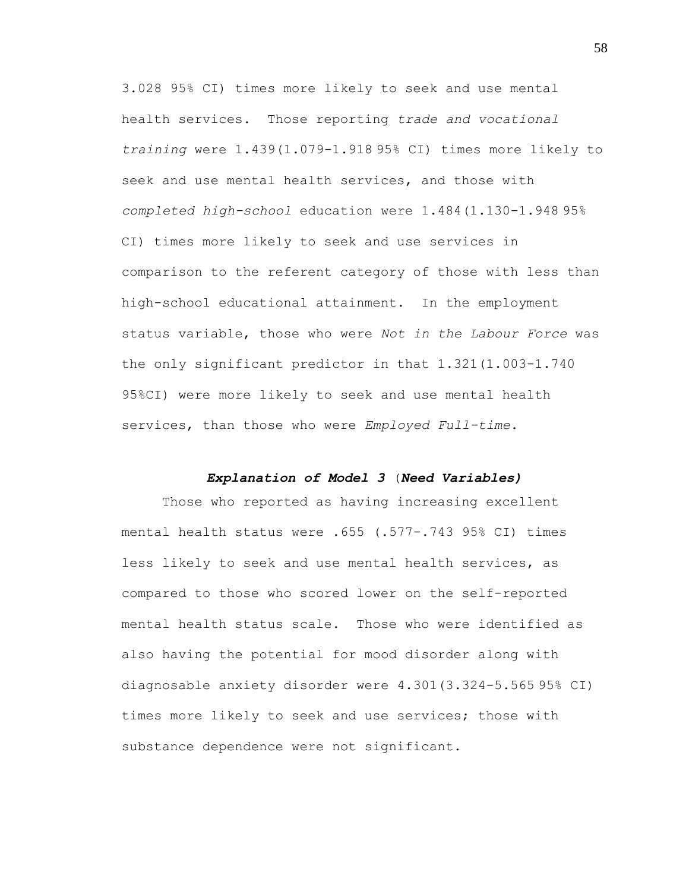3.028 95% CI) times more likely to seek and use mental health services. Those reporting *trade and vocational training* were 1.439(1.079-1.918 95% CI) times more likely to seek and use mental health services, and those with *completed high-school* education were 1.484(1.130-1.948 95% CI) times more likely to seek and use services in comparison to the referent category of those with less than high-school educational attainment. In the employment status variable, those who were *Not in the Labour Force* was the only significant predictor in that 1.321(1.003-1.740 95%CI) were more likely to seek and use mental health services, than those who were *Employed Full-time*.

# *Explanation of Model 3* (*Need Variables)*

Those who reported as having increasing excellent mental health status were .655 (.577-.743 95% CI) times less likely to seek and use mental health services, as compared to those who scored lower on the self-reported mental health status scale. Those who were identified as also having the potential for mood disorder along with diagnosable anxiety disorder were 4.301(3.324-5.565 95% CI) times more likely to seek and use services; those with substance dependence were not significant.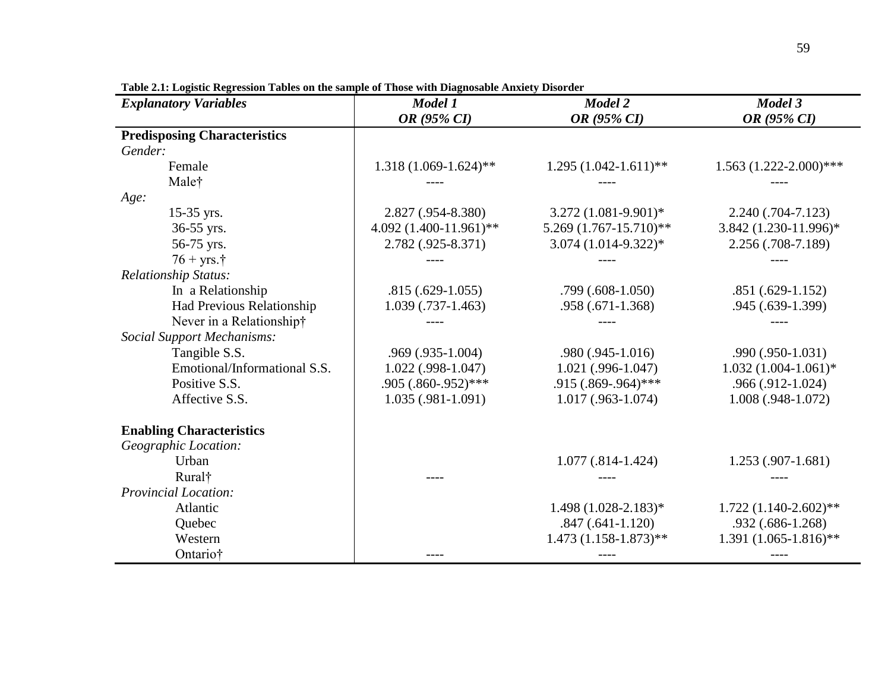| <b>Explanatory Variables</b>        | Model 1                   | Model 2                  | Model 3                       |  |
|-------------------------------------|---------------------------|--------------------------|-------------------------------|--|
|                                     | OR (95% CI)               | OR (95% CI)              | OR (95% CI)                   |  |
| <b>Predisposing Characteristics</b> |                           |                          |                               |  |
| Gender:                             |                           |                          |                               |  |
| Female                              | $1.318(1.069-1.624)$ **   | $1.295(1.042-1.611)**$   | $1.563$ $(1.222 - 2.000)$ *** |  |
| Malet                               |                           |                          |                               |  |
| Age:                                |                           |                          |                               |  |
| 15-35 yrs.                          | 2.827 (.954-8.380)        | $3.272(1.081-9.901)^{*}$ | $2.240(.704 - 7.123)$         |  |
| 36-55 yrs.                          | 4.092 $(1.400-11.961)$ ** | 5.269 (1.767-15.710)**   | 3.842 (1.230-11.996)*         |  |
| 56-75 yrs.                          | 2.782 (.925-8.371)        | $3.074(1.014-9.322)*$    | 2.256 (.708-7.189)            |  |
| $76 + yrs.†$                        |                           |                          |                               |  |
| Relationship Status:                |                           |                          |                               |  |
| In a Relationship                   | $.815(.629-1.055)$        | $.799(.608-1.050)$       | $.851(.629-1.152)$            |  |
| Had Previous Relationship           | $1.039$ (.737-1.463)      | .958 (.671-1.368)        | .945 (.639-1.399)             |  |
| Never in a Relationship†            |                           |                          |                               |  |
| <b>Social Support Mechanisms:</b>   |                           |                          |                               |  |
| Tangible S.S.                       | $.969$ $(.935-1.004)$     | .980 (.945-1.016)        | .990 (.950-1.031)             |  |
| Emotional/Informational S.S.        | $1.022$ (.998-1.047)      | $1.021$ (.996-1.047)     | $1.032(1.004-1.061)*$         |  |
| Positive S.S.                       | $.905(.860-.952)$ ***     | .915 (.869-.964)***      | $.966(.912-1.024)$            |  |
| Affective S.S.                      | $1.035(.981-1.091)$       | $1.017(0.963 - 1.074)$   | $1.008(.948-1.072)$           |  |
| <b>Enabling Characteristics</b>     |                           |                          |                               |  |
| Geographic Location:                |                           |                          |                               |  |
| Urban                               |                           | $1.077(.814-1.424)$      | 1.253 (.907-1.681)            |  |
| Rural <sup>†</sup>                  |                           |                          |                               |  |
| <b>Provincial Location:</b>         |                           |                          |                               |  |
| Atlantic                            |                           | $1.498(1.028-2.183)*$    | $1.722(1.140-2.602)$ **       |  |
| Quebec                              |                           | $.847(.641-1.120)$       | $.932(.686-1.268)$            |  |
| Western                             |                           | $1.473(1.158-1.873)**$   | $1.391(1.065-1.816)*$         |  |
| Ontario†                            |                           |                          |                               |  |

**Table 2.1: Logistic Regression Tables on the sample of Those with Diagnosable Anxiety Disorder**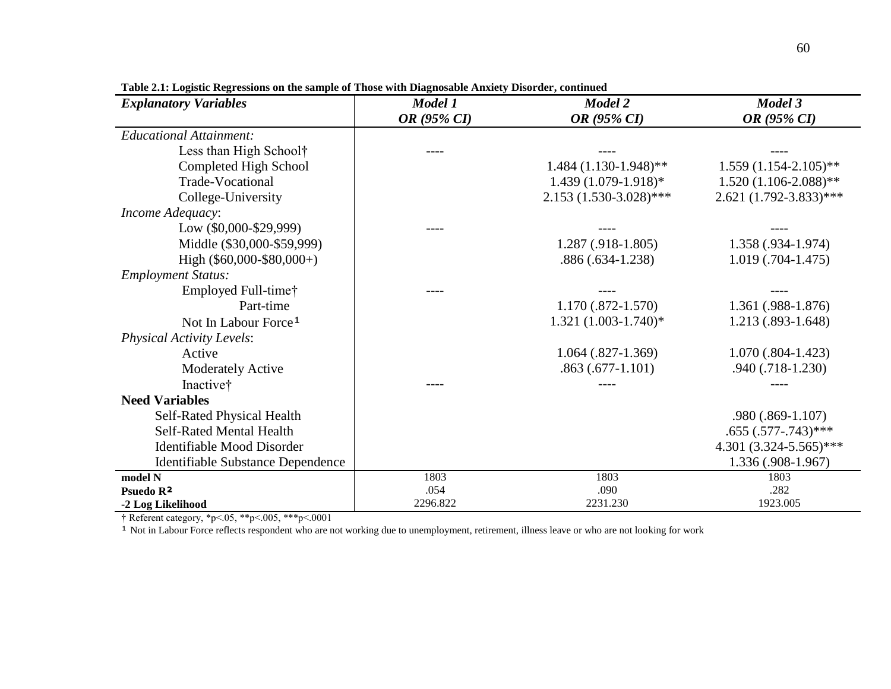| <b>Explanatory Variables</b>      | Model 1     | Model 2                   | Model 3                     |
|-----------------------------------|-------------|---------------------------|-----------------------------|
|                                   | OR (95% CI) | OR (95% CI)               | OR (95% CI)                 |
| <b>Educational Attainment:</b>    |             |                           |                             |
| Less than High School†            |             |                           |                             |
| Completed High School             |             | $1.484(1.130-1.948)$ **   | $1.559(1.154-2.105)$ **     |
| <b>Trade-Vocational</b>           |             | $1.439(1.079-1.918)$ *    | $1.520(1.106-2.088)$ **     |
| College-University                |             | $2.153(1.530-3.028)$ ***  | $2.621 (1.792 - 3.833)$ *** |
| Income Adequacy:                  |             |                           |                             |
| Low (\$0,000-\$29,999)            |             |                           |                             |
| Middle (\$30,000-\$59,999)        |             | $1.287(.918-1.805)$       | $1.358(.934-1.974)$         |
| High $(\$60,000-\$80,000+)$       |             | $.886(.634-1.238)$        | $1.019(0.704 - 1.475)$      |
| <b>Employment Status:</b>         |             |                           |                             |
| Employed Full-time†               |             |                           |                             |
| Part-time                         |             | $1.170(.872-1.570)$       | 1.361 (.988-1.876)          |
| Not In Labour Force <sup>1</sup>  |             | $1.321 (1.003 - 1.740)^*$ | $1.213(.893-1.648)$         |
| <b>Physical Activity Levels:</b>  |             |                           |                             |
| Active                            |             | $1.064$ $(.827-1.369)$    | $1.070(.804-1.423)$         |
| <b>Moderately Active</b>          |             | $.863(.677-1.101)$        | .940 (.718-1.230)           |
| Inactive†                         |             |                           |                             |
| <b>Need Variables</b>             |             |                           |                             |
| Self-Rated Physical Health        |             |                           | .980 (.869-1.107)           |
| <b>Self-Rated Mental Health</b>   |             |                           | $.655(.577-.743)$ ***       |
| Identifiable Mood Disorder        |             |                           | 4.301 $(3.324 - 5.565)$ *** |
| Identifiable Substance Dependence |             |                           | $1.336(.908-1.967)$         |
| model N                           | 1803        | 1803                      | 1803                        |
| Psuedo R <sup>2</sup>             | .054        | .090                      | .282                        |
| -2 Log Likelihood                 | 2296.822    | 2231.230                  | 1923.005                    |

**Table 2.1: Logistic Regressions on the sample of Those with Diagnosable Anxiety Disorder, continued**

† Referent category, \*p<.05, \*\*p<.005, \*\*\*p<.0001

<sup>1</sup> Not in Labour Force reflects respondent who are not working due to unemployment, retirement, illness leave or who are not looking for work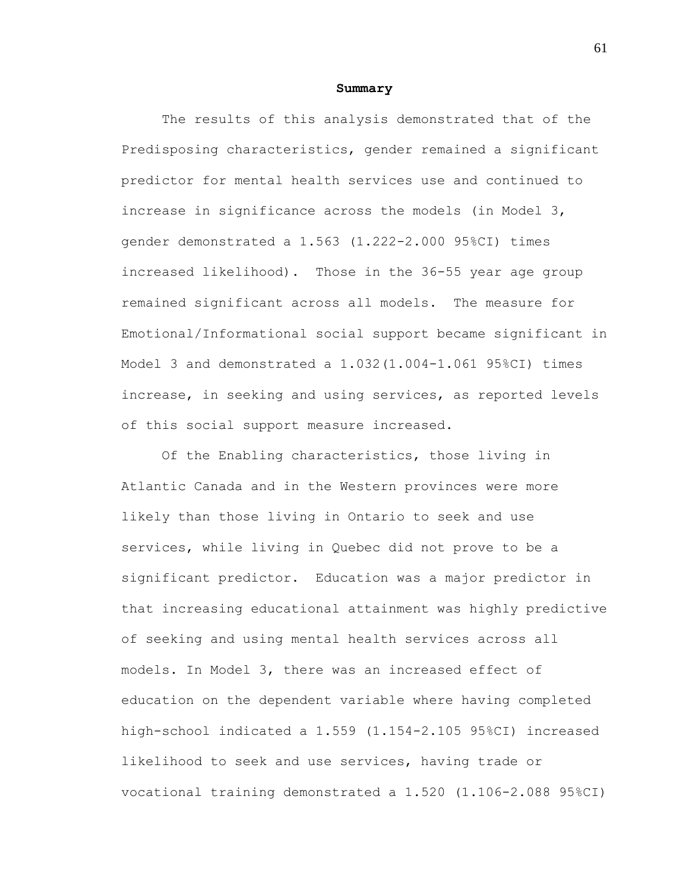#### **Summary**

The results of this analysis demonstrated that of the Predisposing characteristics, gender remained a significant predictor for mental health services use and continued to increase in significance across the models (in Model 3, gender demonstrated a 1.563 (1.222-2.000 95%CI) times increased likelihood). Those in the 36-55 year age group remained significant across all models. The measure for Emotional/Informational social support became significant in Model 3 and demonstrated a 1.032(1.004-1.061 95%CI) times increase, in seeking and using services, as reported levels of this social support measure increased.

Of the Enabling characteristics, those living in Atlantic Canada and in the Western provinces were more likely than those living in Ontario to seek and use services, while living in Quebec did not prove to be a significant predictor. Education was a major predictor in that increasing educational attainment was highly predictive of seeking and using mental health services across all models. In Model 3, there was an increased effect of education on the dependent variable where having completed high-school indicated a 1.559 (1.154-2.105 95%CI) increased likelihood to seek and use services, having trade or vocational training demonstrated a 1.520 (1.106-2.088 95%CI)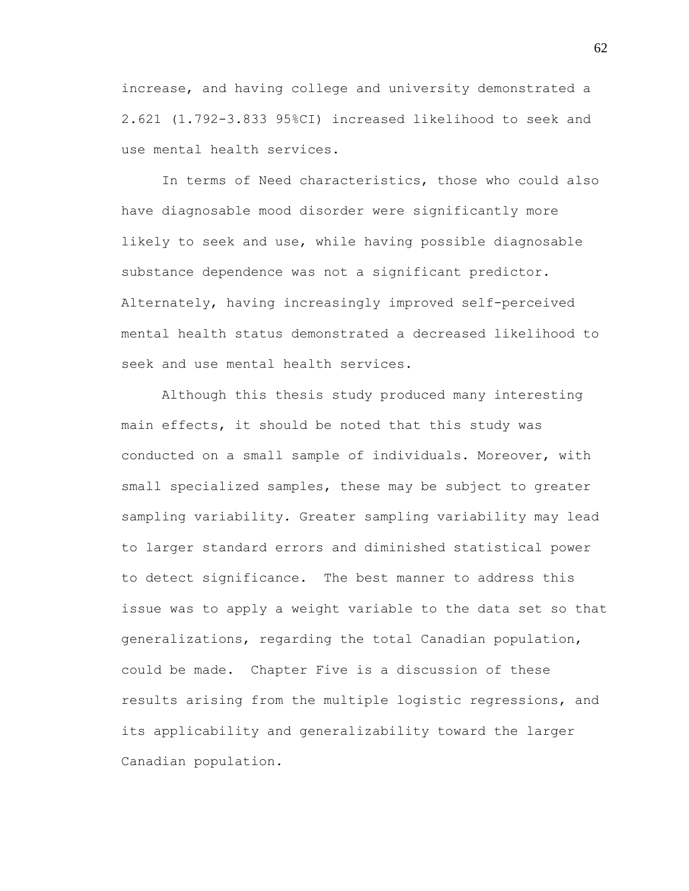increase, and having college and university demonstrated a 2.621 (1.792-3.833 95%CI) increased likelihood to seek and use mental health services.

In terms of Need characteristics, those who could also have diagnosable mood disorder were significantly more likely to seek and use, while having possible diagnosable substance dependence was not a significant predictor. Alternately, having increasingly improved self-perceived mental health status demonstrated a decreased likelihood to seek and use mental health services.

Although this thesis study produced many interesting main effects, it should be noted that this study was conducted on a small sample of individuals. Moreover, with small specialized samples, these may be subject to greater sampling variability. Greater sampling variability may lead to larger standard errors and diminished statistical power to detect significance. The best manner to address this issue was to apply a weight variable to the data set so that generalizations, regarding the total Canadian population, could be made. Chapter Five is a discussion of these results arising from the multiple logistic regressions, and its applicability and generalizability toward the larger Canadian population.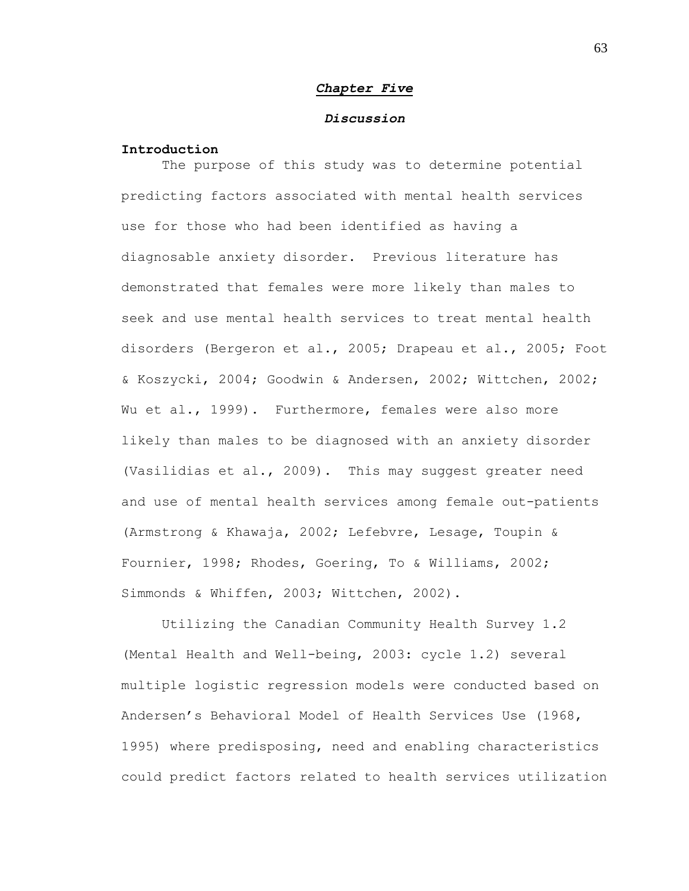#### *Chapter Five*

### *Discussion*

# **Introduction**

The purpose of this study was to determine potential predicting factors associated with mental health services use for those who had been identified as having a diagnosable anxiety disorder. Previous literature has demonstrated that females were more likely than males to seek and use mental health services to treat mental health disorders (Bergeron et al., 2005; Drapeau et al., 2005; Foot & Koszycki, 2004; Goodwin & Andersen, 2002; Wittchen, 2002; Wu et al., 1999). Furthermore, females were also more likely than males to be diagnosed with an anxiety disorder (Vasilidias et al., 2009). This may suggest greater need and use of mental health services among female out-patients (Armstrong & Khawaja, 2002; Lefebvre, Lesage, Toupin & Fournier, 1998; Rhodes, Goering, To & Williams, 2002; Simmonds & Whiffen, 2003; Wittchen, 2002).

Utilizing the Canadian Community Health Survey 1.2 (Mental Health and Well-being, 2003: cycle 1.2) several multiple logistic regression models were conducted based on Andersen"s Behavioral Model of Health Services Use (1968, 1995) where predisposing, need and enabling characteristics could predict factors related to health services utilization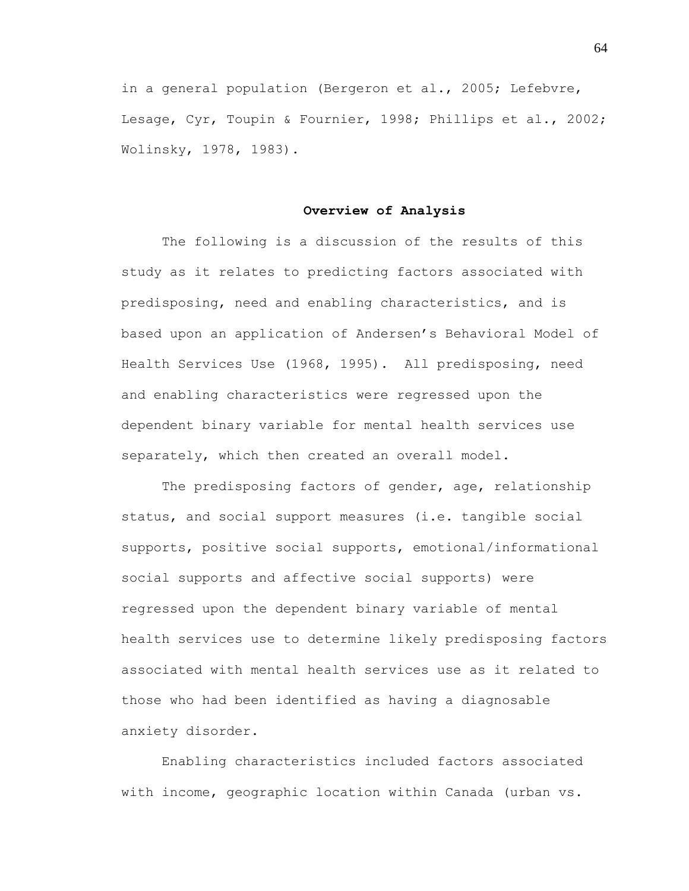in a general population (Bergeron et al., 2005; Lefebvre, Lesage, Cyr, Toupin & Fournier, 1998; Phillips et al., 2002; Wolinsky, 1978, 1983).

#### **Overview of Analysis**

The following is a discussion of the results of this study as it relates to predicting factors associated with predisposing, need and enabling characteristics, and is based upon an application of Andersen"s Behavioral Model of Health Services Use (1968, 1995). All predisposing, need and enabling characteristics were regressed upon the dependent binary variable for mental health services use separately, which then created an overall model.

The predisposing factors of gender, age, relationship status, and social support measures (i.e. tangible social supports, positive social supports, emotional/informational social supports and affective social supports) were regressed upon the dependent binary variable of mental health services use to determine likely predisposing factors associated with mental health services use as it related to those who had been identified as having a diagnosable anxiety disorder.

Enabling characteristics included factors associated with income, geographic location within Canada (urban vs.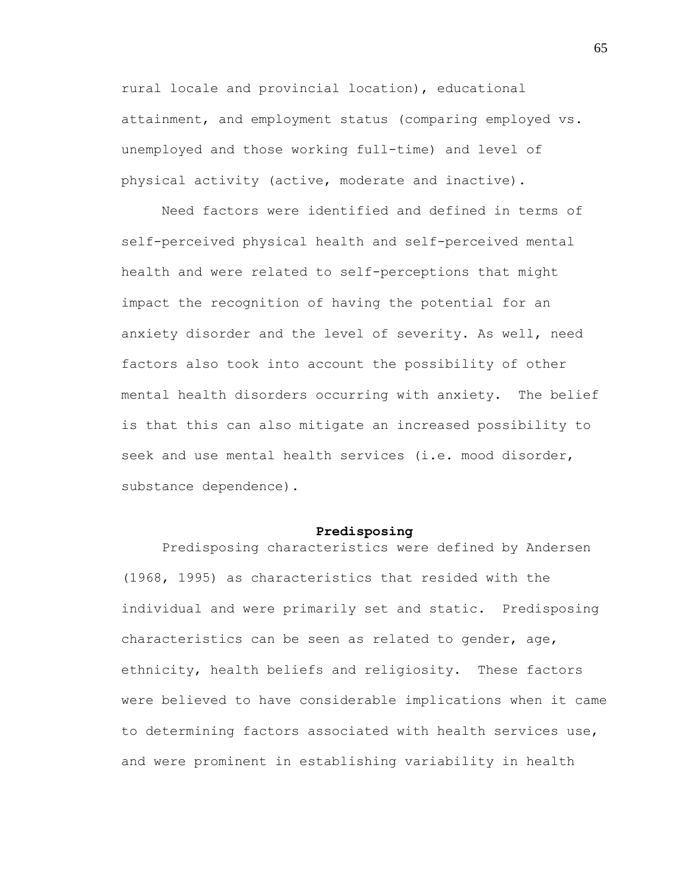rural locale and provincial location), educational attainment, and employment status (comparing employed vs. unemployed and those working full-time) and level of physical activity (active, moderate and inactive).

Need factors were identified and defined in terms of self-perceived physical health and self-perceived mental health and were related to self-perceptions that might impact the recognition of having the potential for an anxiety disorder and the level of severity. As well, need factors also took into account the possibility of other mental health disorders occurring with anxiety. The belief is that this can also mitigate an increased possibility to seek and use mental health services (i.e. mood disorder, substance dependence).

#### **Predisposing**

Predisposing characteristics were defined by Andersen (1968, 1995) as characteristics that resided with the individual and were primarily set and static. Predisposing characteristics can be seen as related to gender, age, ethnicity, health beliefs and religiosity. These factors were believed to have considerable implications when it came to determining factors associated with health services use, and were prominent in establishing variability in health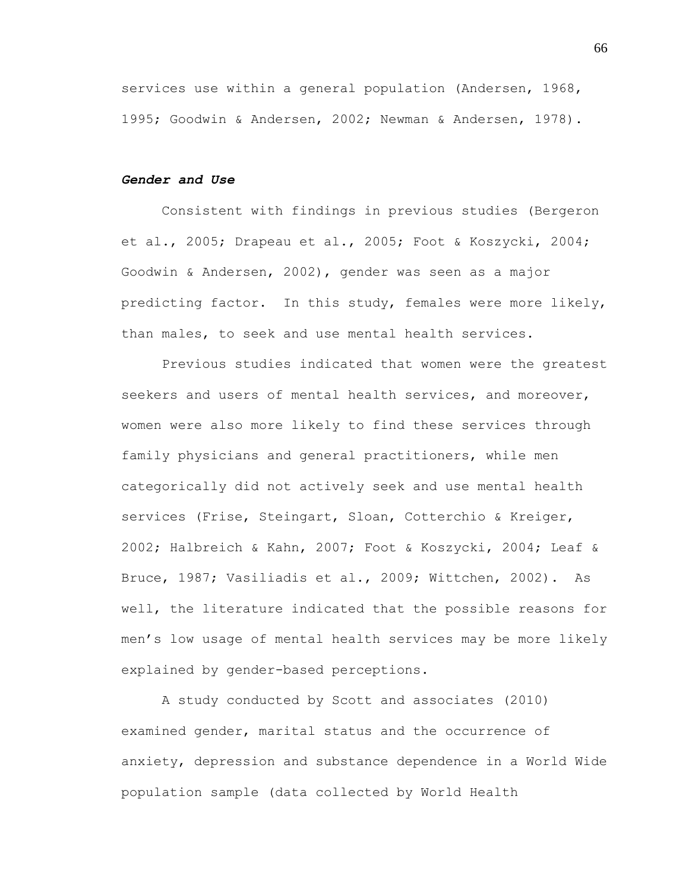services use within a general population (Andersen, 1968, 1995; Goodwin & Andersen, 2002; Newman & Andersen, 1978).

# *Gender and Use*

Consistent with findings in previous studies (Bergeron et al., 2005; Drapeau et al., 2005; Foot & Koszycki, 2004; Goodwin & Andersen, 2002), gender was seen as a major predicting factor. In this study, females were more likely, than males, to seek and use mental health services.

Previous studies indicated that women were the greatest seekers and users of mental health services, and moreover, women were also more likely to find these services through family physicians and general practitioners, while men categorically did not actively seek and use mental health services (Frise, Steingart, Sloan, Cotterchio & Kreiger, 2002; Halbreich & Kahn, 2007; Foot & Koszycki, 2004; Leaf & Bruce, 1987; Vasiliadis et al., 2009; Wittchen, 2002). As well, the literature indicated that the possible reasons for men"s low usage of mental health services may be more likely explained by gender-based perceptions.

A study conducted by Scott and associates (2010) examined gender, marital status and the occurrence of anxiety, depression and substance dependence in a World Wide population sample (data collected by World Health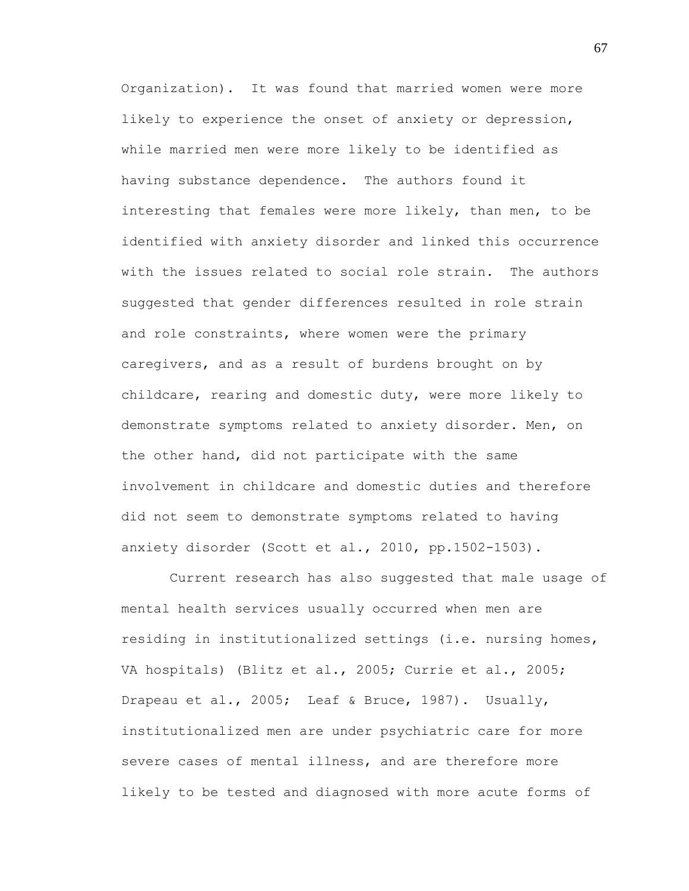Organization). It was found that married women were more likely to experience the onset of anxiety or depression, while married men were more likely to be identified as having substance dependence. The authors found it interesting that females were more likely, than men, to be identified with anxiety disorder and linked this occurrence with the issues related to social role strain. The authors suggested that gender differences resulted in role strain and role constraints, where women were the primary caregivers, and as a result of burdens brought on by childcare, rearing and domestic duty, were more likely to demonstrate symptoms related to anxiety disorder. Men, on the other hand, did not participate with the same involvement in childcare and domestic duties and therefore did not seem to demonstrate symptoms related to having anxiety disorder (Scott et al., 2010, pp.1502-1503).

Current research has also suggested that male usage of mental health services usually occurred when men are residing in institutionalized settings (i.e. nursing homes, VA hospitals) (Blitz et al., 2005; Currie et al., 2005; Drapeau et al., 2005; Leaf & Bruce, 1987). Usually, institutionalized men are under psychiatric care for more severe cases of mental illness, and are therefore more likely to be tested and diagnosed with more acute forms of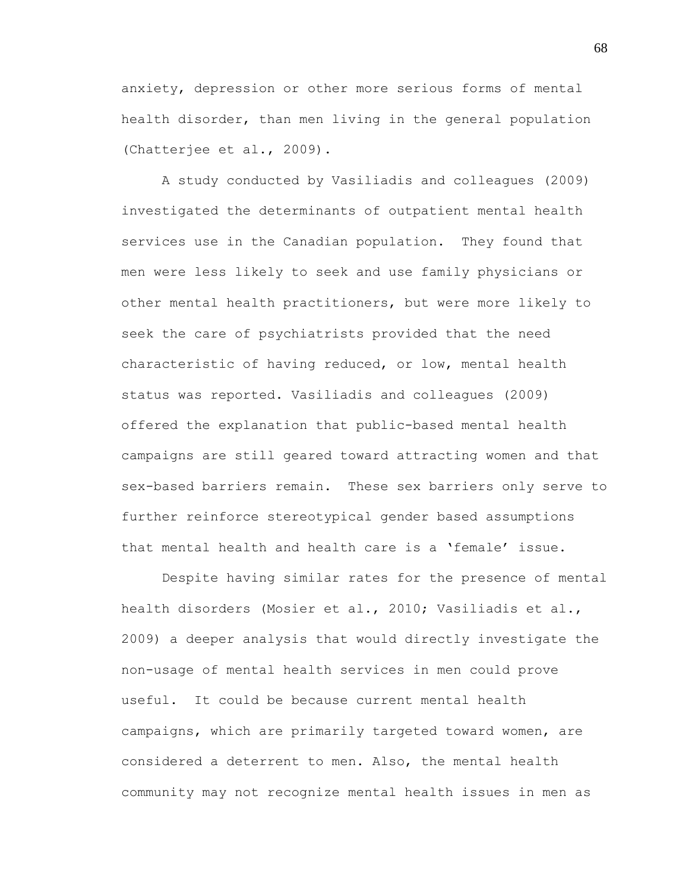anxiety, depression or other more serious forms of mental health disorder, than men living in the general population (Chatterjee et al., 2009).

A study conducted by Vasiliadis and colleagues (2009) investigated the determinants of outpatient mental health services use in the Canadian population. They found that men were less likely to seek and use family physicians or other mental health practitioners, but were more likely to seek the care of psychiatrists provided that the need characteristic of having reduced, or low, mental health status was reported. Vasiliadis and colleagues (2009) offered the explanation that public-based mental health campaigns are still geared toward attracting women and that sex-based barriers remain. These sex barriers only serve to further reinforce stereotypical gender based assumptions that mental health and health care is a "female" issue.

Despite having similar rates for the presence of mental health disorders (Mosier et al., 2010; Vasiliadis et al., 2009) a deeper analysis that would directly investigate the non-usage of mental health services in men could prove useful. It could be because current mental health campaigns, which are primarily targeted toward women, are considered a deterrent to men. Also, the mental health community may not recognize mental health issues in men as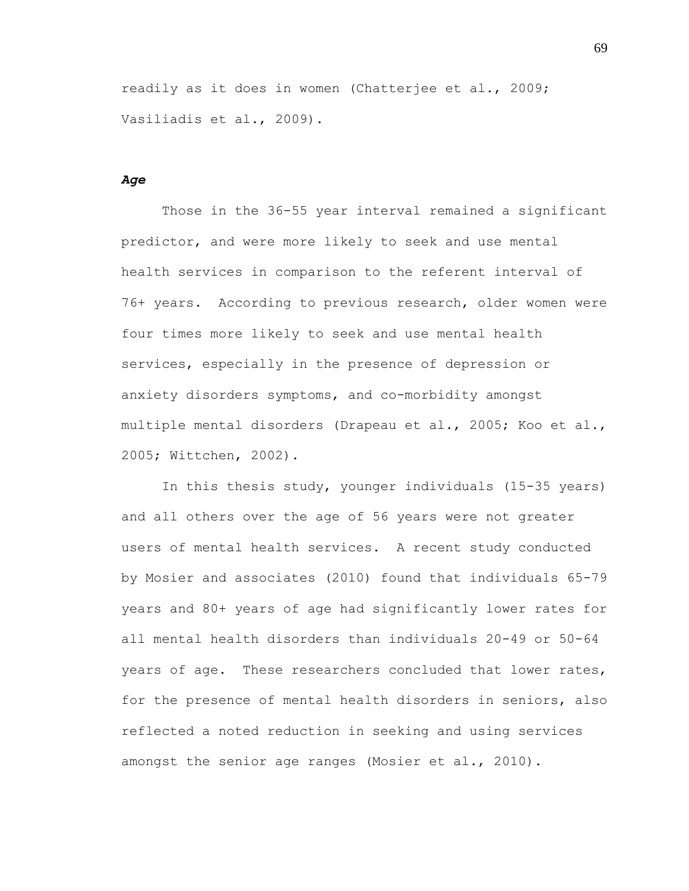readily as it does in women (Chatterjee et al., 2009; Vasiliadis et al., 2009).

#### *Age*

Those in the 36-55 year interval remained a significant predictor, and were more likely to seek and use mental health services in comparison to the referent interval of 76+ years. According to previous research, older women were four times more likely to seek and use mental health services, especially in the presence of depression or anxiety disorders symptoms, and co-morbidity amongst multiple mental disorders (Drapeau et al., 2005; Koo et al., 2005; Wittchen, 2002).

In this thesis study, younger individuals (15-35 years) and all others over the age of 56 years were not greater users of mental health services. A recent study conducted by Mosier and associates (2010) found that individuals 65-79 years and 80+ years of age had significantly lower rates for all mental health disorders than individuals 20-49 or 50-64 years of age. These researchers concluded that lower rates, for the presence of mental health disorders in seniors, also reflected a noted reduction in seeking and using services amongst the senior age ranges (Mosier et al., 2010).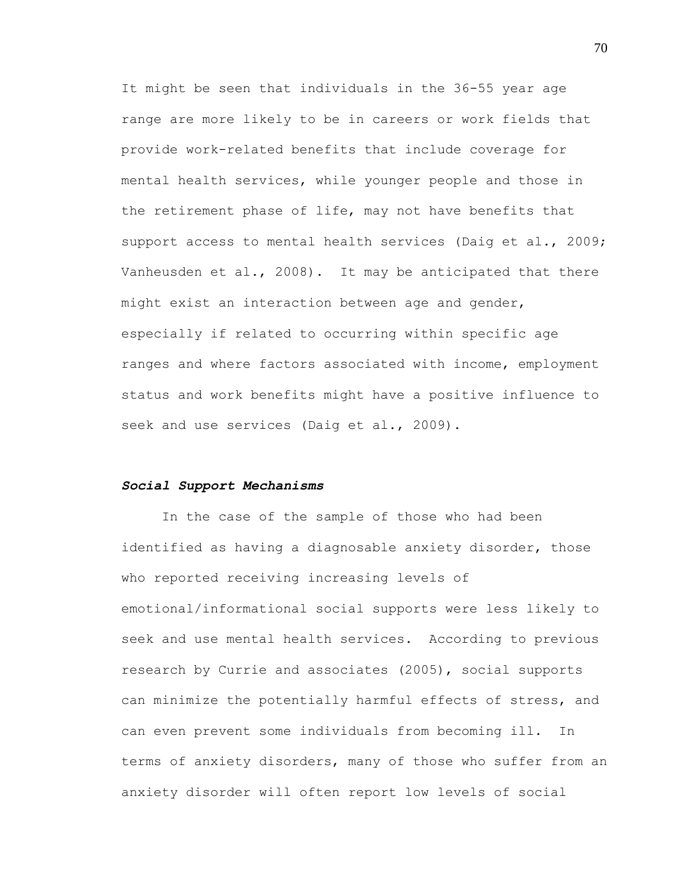It might be seen that individuals in the 36-55 year age range are more likely to be in careers or work fields that provide work-related benefits that include coverage for mental health services, while younger people and those in the retirement phase of life, may not have benefits that support access to mental health services (Daig et al., 2009; Vanheusden et al., 2008). It may be anticipated that there might exist an interaction between age and gender, especially if related to occurring within specific age ranges and where factors associated with income, employment status and work benefits might have a positive influence to seek and use services (Daig et al., 2009).

#### *Social Support Mechanisms*

In the case of the sample of those who had been identified as having a diagnosable anxiety disorder, those who reported receiving increasing levels of emotional/informational social supports were less likely to seek and use mental health services. According to previous research by Currie and associates (2005), social supports can minimize the potentially harmful effects of stress, and can even prevent some individuals from becoming ill. In terms of anxiety disorders, many of those who suffer from an anxiety disorder will often report low levels of social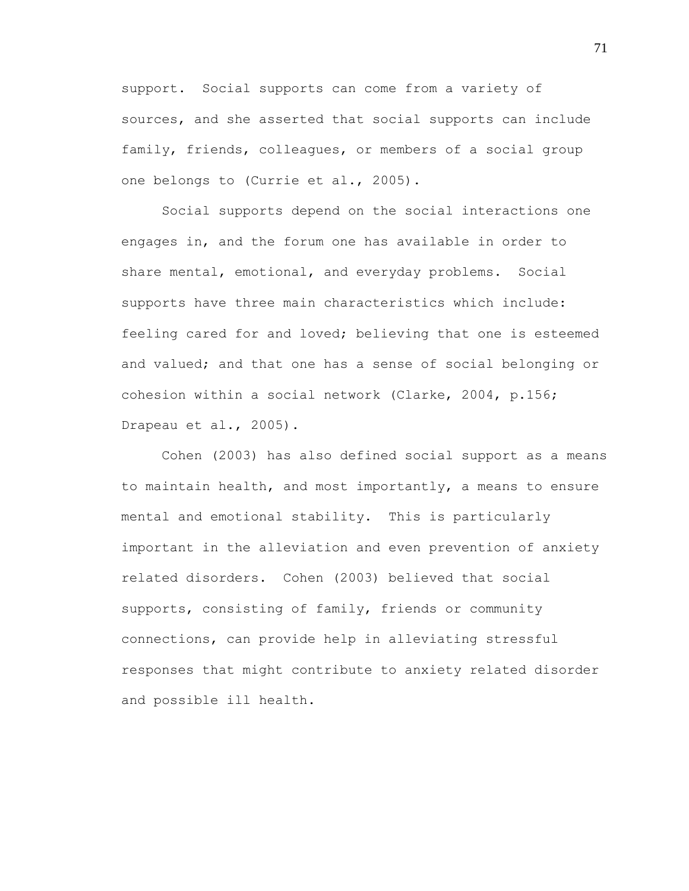support. Social supports can come from a variety of sources, and she asserted that social supports can include family, friends, colleagues, or members of a social group one belongs to (Currie et al., 2005).

Social supports depend on the social interactions one engages in, and the forum one has available in order to share mental, emotional, and everyday problems. Social supports have three main characteristics which include: feeling cared for and loved; believing that one is esteemed and valued; and that one has a sense of social belonging or cohesion within a social network (Clarke, 2004, p.156; Drapeau et al., 2005).

Cohen (2003) has also defined social support as a means to maintain health, and most importantly, a means to ensure mental and emotional stability. This is particularly important in the alleviation and even prevention of anxiety related disorders. Cohen (2003) believed that social supports, consisting of family, friends or community connections, can provide help in alleviating stressful responses that might contribute to anxiety related disorder and possible ill health.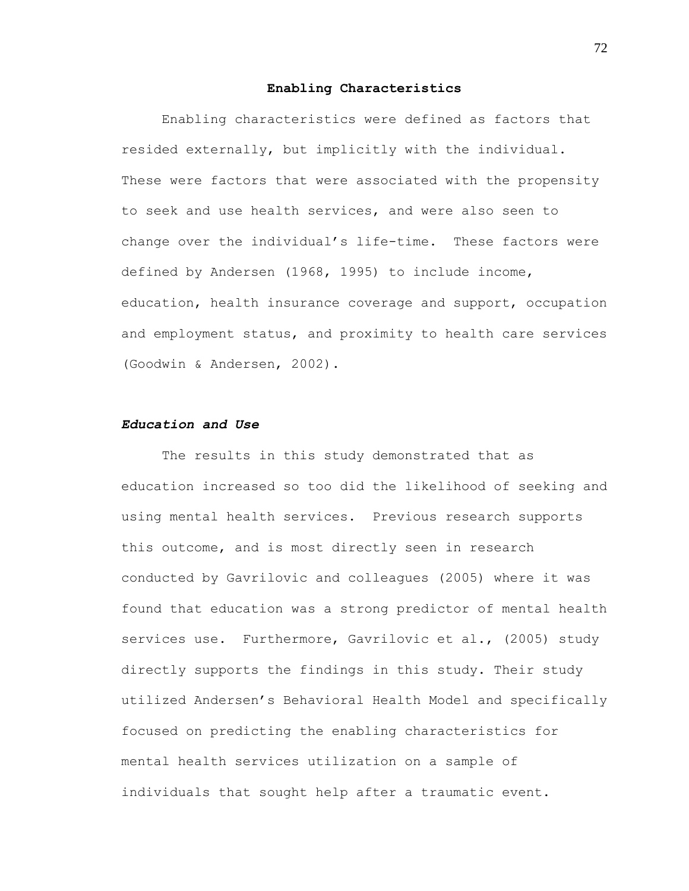#### **Enabling Characteristics**

Enabling characteristics were defined as factors that resided externally, but implicitly with the individual. These were factors that were associated with the propensity to seek and use health services, and were also seen to change over the individual"s life-time. These factors were defined by Andersen (1968, 1995) to include income, education, health insurance coverage and support, occupation and employment status, and proximity to health care services (Goodwin & Andersen, 2002).

# *Education and Use*

The results in this study demonstrated that as education increased so too did the likelihood of seeking and using mental health services. Previous research supports this outcome, and is most directly seen in research conducted by Gavrilovic and colleagues (2005) where it was found that education was a strong predictor of mental health services use. Furthermore, Gavrilovic et al., (2005) study directly supports the findings in this study. Their study utilized Andersen"s Behavioral Health Model and specifically focused on predicting the enabling characteristics for mental health services utilization on a sample of individuals that sought help after a traumatic event.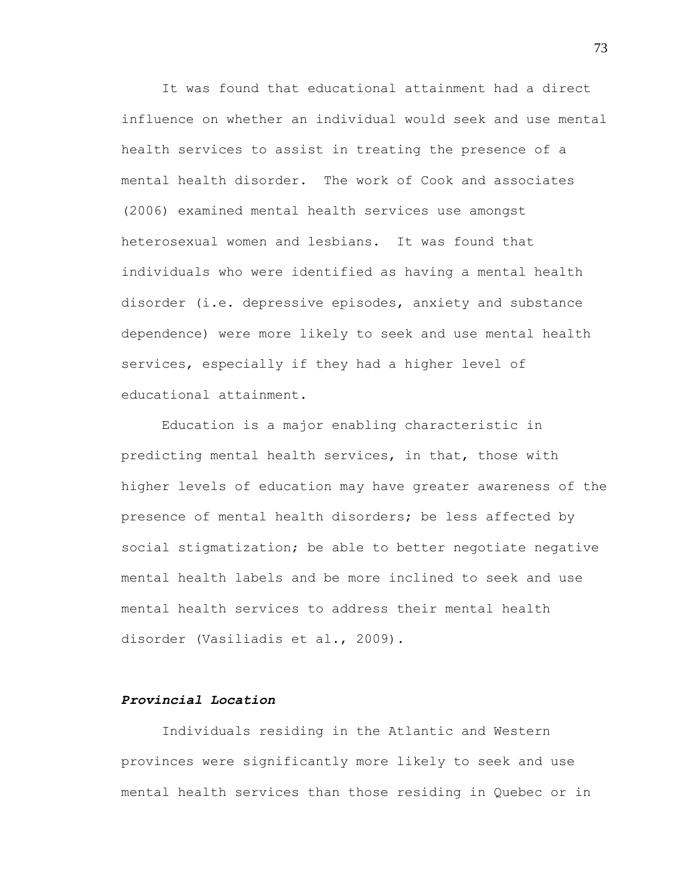It was found that educational attainment had a direct influence on whether an individual would seek and use mental health services to assist in treating the presence of a mental health disorder. The work of Cook and associates (2006) examined mental health services use amongst heterosexual women and lesbians. It was found that individuals who were identified as having a mental health disorder (i.e. depressive episodes, anxiety and substance dependence) were more likely to seek and use mental health services, especially if they had a higher level of educational attainment.

Education is a major enabling characteristic in predicting mental health services, in that, those with higher levels of education may have greater awareness of the presence of mental health disorders; be less affected by social stigmatization; be able to better negotiate negative mental health labels and be more inclined to seek and use mental health services to address their mental health disorder (Vasiliadis et al., 2009).

# *Provincial Location*

Individuals residing in the Atlantic and Western provinces were significantly more likely to seek and use mental health services than those residing in Quebec or in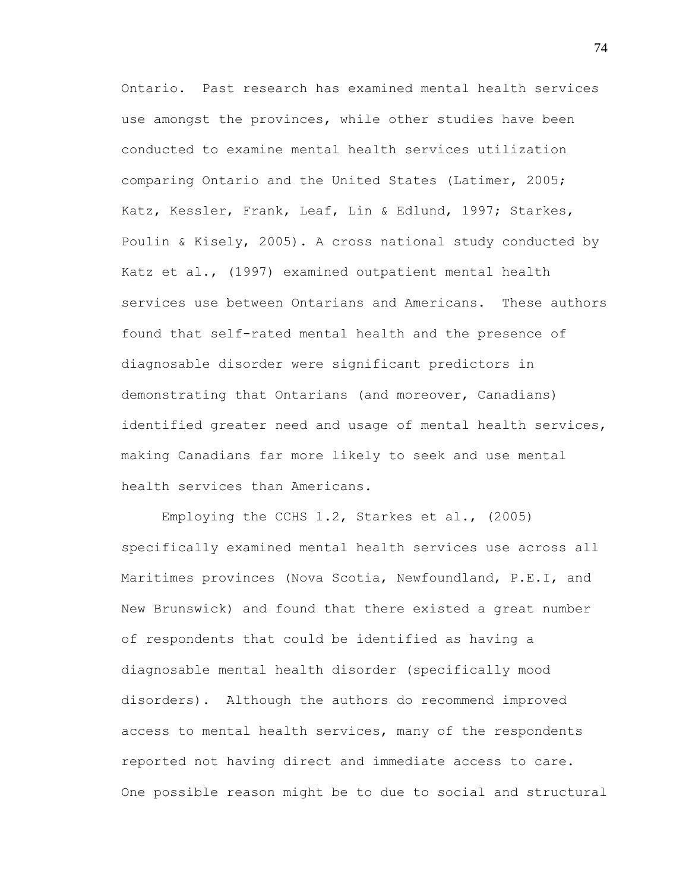Ontario. Past research has examined mental health services use amongst the provinces, while other studies have been conducted to examine mental health services utilization comparing Ontario and the United States (Latimer, 2005; Katz, Kessler, Frank, Leaf, Lin & Edlund, 1997; Starkes, Poulin & Kisely, 2005). A cross national study conducted by Katz et al., (1997) examined outpatient mental health services use between Ontarians and Americans. These authors found that self-rated mental health and the presence of diagnosable disorder were significant predictors in demonstrating that Ontarians (and moreover, Canadians) identified greater need and usage of mental health services, making Canadians far more likely to seek and use mental health services than Americans.

Employing the CCHS 1.2, Starkes et al., (2005) specifically examined mental health services use across all Maritimes provinces (Nova Scotia, Newfoundland, P.E.I, and New Brunswick) and found that there existed a great number of respondents that could be identified as having a diagnosable mental health disorder (specifically mood disorders). Although the authors do recommend improved access to mental health services, many of the respondents reported not having direct and immediate access to care. One possible reason might be to due to social and structural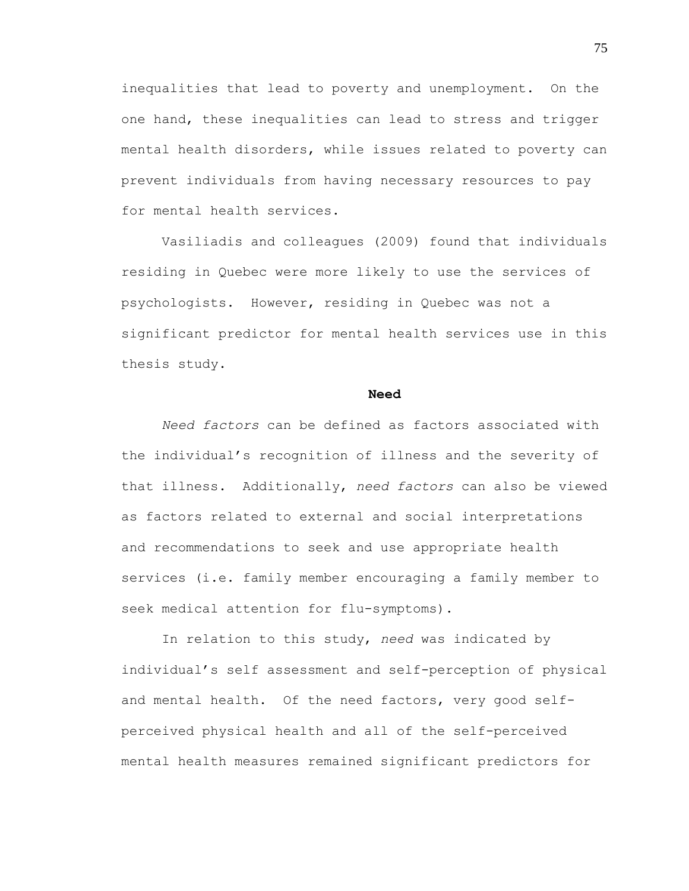inequalities that lead to poverty and unemployment. On the one hand, these inequalities can lead to stress and trigger mental health disorders, while issues related to poverty can prevent individuals from having necessary resources to pay for mental health services.

Vasiliadis and colleagues (2009) found that individuals residing in Quebec were more likely to use the services of psychologists. However, residing in Quebec was not a significant predictor for mental health services use in this thesis study.

#### **Need**

*Need factors* can be defined as factors associated with the individual"s recognition of illness and the severity of that illness. Additionally, *need factors* can also be viewed as factors related to external and social interpretations and recommendations to seek and use appropriate health services (i.e. family member encouraging a family member to seek medical attention for flu-symptoms).

In relation to this study, *need* was indicated by individual"s self assessment and self-perception of physical and mental health. Of the need factors, very good selfperceived physical health and all of the self-perceived mental health measures remained significant predictors for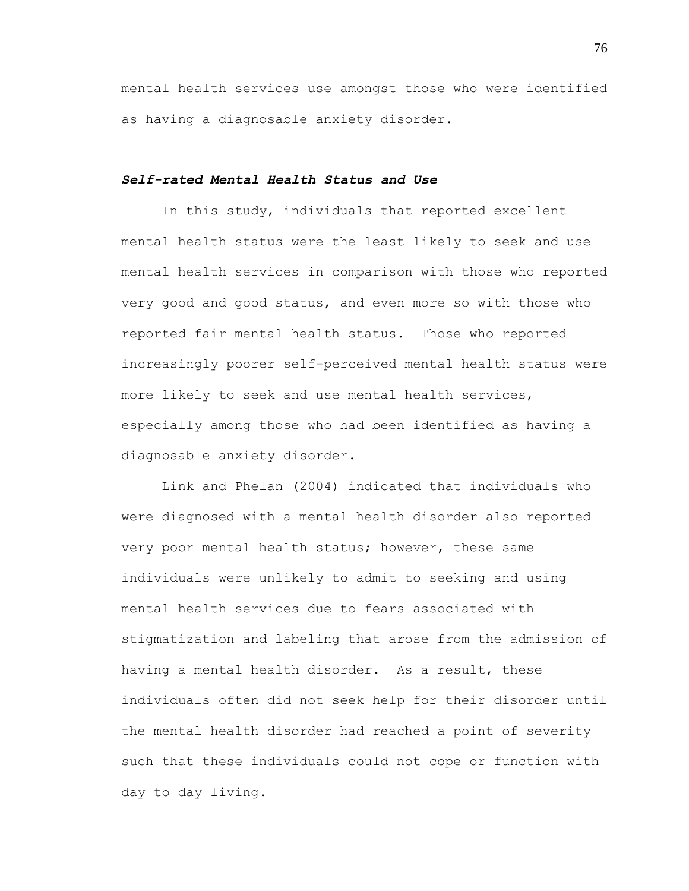mental health services use amongst those who were identified as having a diagnosable anxiety disorder.

# *Self-rated Mental Health Status and Use*

In this study, individuals that reported excellent mental health status were the least likely to seek and use mental health services in comparison with those who reported very good and good status, and even more so with those who reported fair mental health status. Those who reported increasingly poorer self-perceived mental health status were more likely to seek and use mental health services, especially among those who had been identified as having a diagnosable anxiety disorder.

Link and Phelan (2004) indicated that individuals who were diagnosed with a mental health disorder also reported very poor mental health status; however, these same individuals were unlikely to admit to seeking and using mental health services due to fears associated with stigmatization and labeling that arose from the admission of having a mental health disorder. As a result, these individuals often did not seek help for their disorder until the mental health disorder had reached a point of severity such that these individuals could not cope or function with day to day living.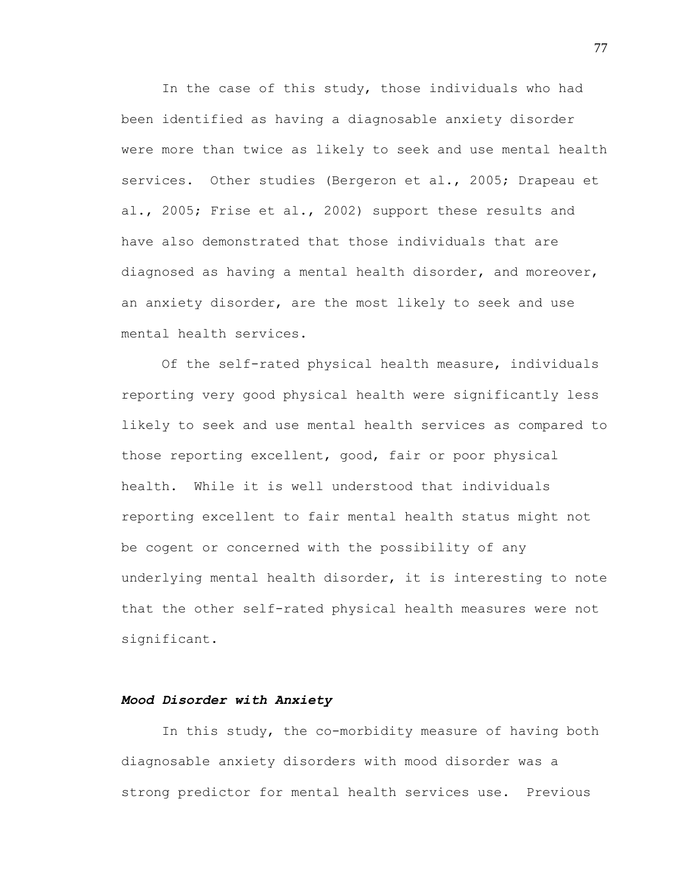In the case of this study, those individuals who had been identified as having a diagnosable anxiety disorder were more than twice as likely to seek and use mental health services. Other studies (Bergeron et al., 2005; Drapeau et al., 2005; Frise et al., 2002) support these results and have also demonstrated that those individuals that are diagnosed as having a mental health disorder, and moreover, an anxiety disorder, are the most likely to seek and use mental health services.

Of the self-rated physical health measure, individuals reporting very good physical health were significantly less likely to seek and use mental health services as compared to those reporting excellent, good, fair or poor physical health. While it is well understood that individuals reporting excellent to fair mental health status might not be cogent or concerned with the possibility of any underlying mental health disorder, it is interesting to note that the other self-rated physical health measures were not significant.

# *Mood Disorder with Anxiety*

In this study, the co-morbidity measure of having both diagnosable anxiety disorders with mood disorder was a strong predictor for mental health services use. Previous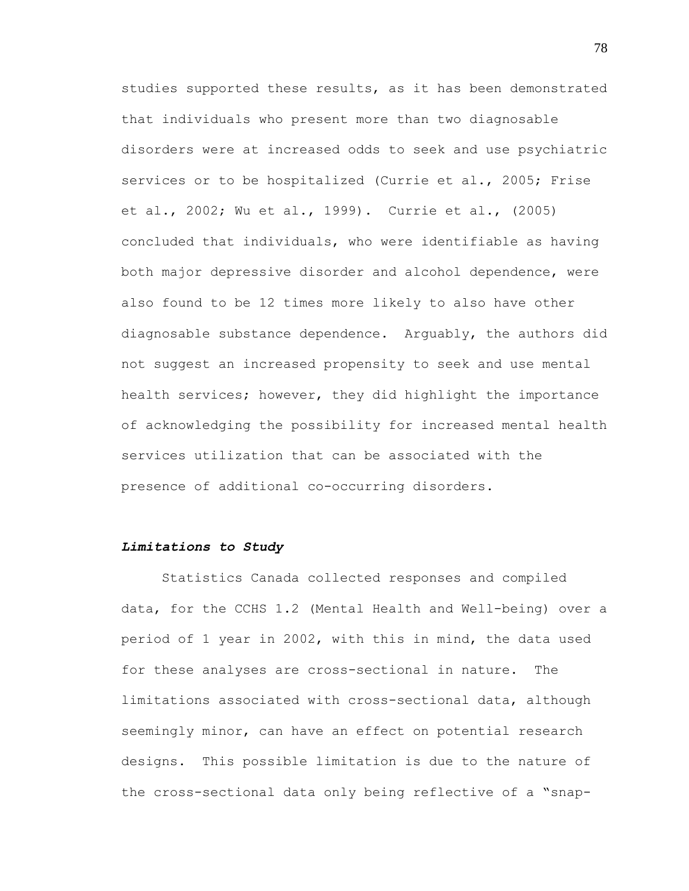studies supported these results, as it has been demonstrated that individuals who present more than two diagnosable disorders were at increased odds to seek and use psychiatric services or to be hospitalized (Currie et al., 2005; Frise et al., 2002; Wu et al., 1999). Currie et al., (2005) concluded that individuals, who were identifiable as having both major depressive disorder and alcohol dependence, were also found to be 12 times more likely to also have other diagnosable substance dependence. Arguably, the authors did not suggest an increased propensity to seek and use mental health services; however, they did highlight the importance of acknowledging the possibility for increased mental health services utilization that can be associated with the presence of additional co-occurring disorders.

### *Limitations to Study*

Statistics Canada collected responses and compiled data, for the CCHS 1.2 (Mental Health and Well-being) over a period of 1 year in 2002, with this in mind, the data used for these analyses are cross-sectional in nature. The limitations associated with cross-sectional data, although seemingly minor, can have an effect on potential research designs. This possible limitation is due to the nature of the cross-sectional data only being reflective of a "snap-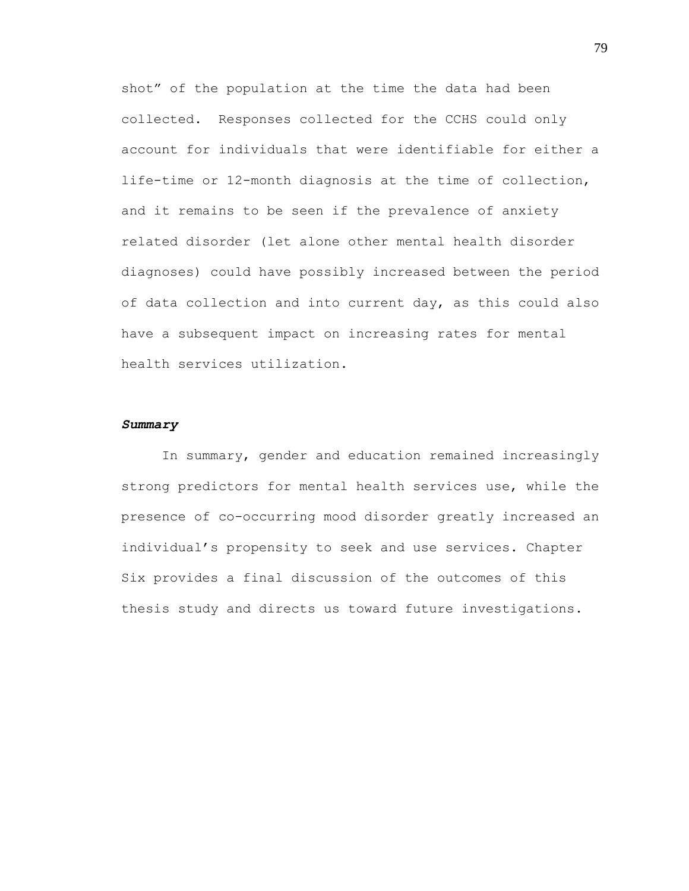shot" of the population at the time the data had been collected. Responses collected for the CCHS could only account for individuals that were identifiable for either a life-time or 12-month diagnosis at the time of collection, and it remains to be seen if the prevalence of anxiety related disorder (let alone other mental health disorder diagnoses) could have possibly increased between the period of data collection and into current day, as this could also have a subsequent impact on increasing rates for mental health services utilization.

#### *Summary*

In summary, gender and education remained increasingly strong predictors for mental health services use, while the presence of co-occurring mood disorder greatly increased an individual"s propensity to seek and use services. Chapter Six provides a final discussion of the outcomes of this thesis study and directs us toward future investigations.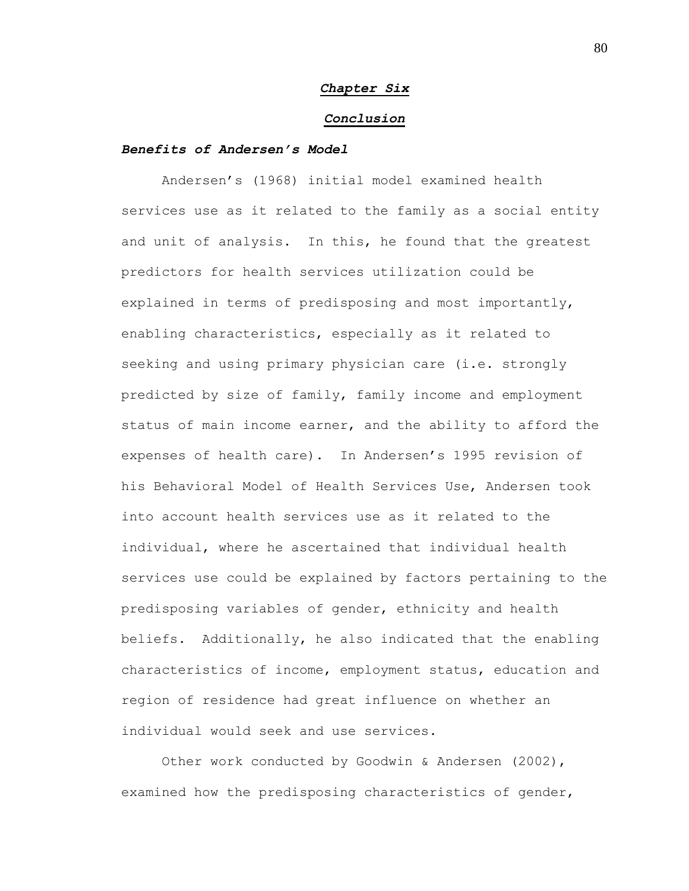# *Chapter Six*

#### *Conclusion*

# *Benefits of Andersen's Model*

Andersen"s (1968) initial model examined health services use as it related to the family as a social entity and unit of analysis. In this, he found that the greatest predictors for health services utilization could be explained in terms of predisposing and most importantly, enabling characteristics, especially as it related to seeking and using primary physician care (i.e. strongly predicted by size of family, family income and employment status of main income earner, and the ability to afford the expenses of health care). In Andersen"s 1995 revision of his Behavioral Model of Health Services Use, Andersen took into account health services use as it related to the individual, where he ascertained that individual health services use could be explained by factors pertaining to the predisposing variables of gender, ethnicity and health beliefs. Additionally, he also indicated that the enabling characteristics of income, employment status, education and region of residence had great influence on whether an individual would seek and use services.

Other work conducted by Goodwin & Andersen (2002), examined how the predisposing characteristics of gender,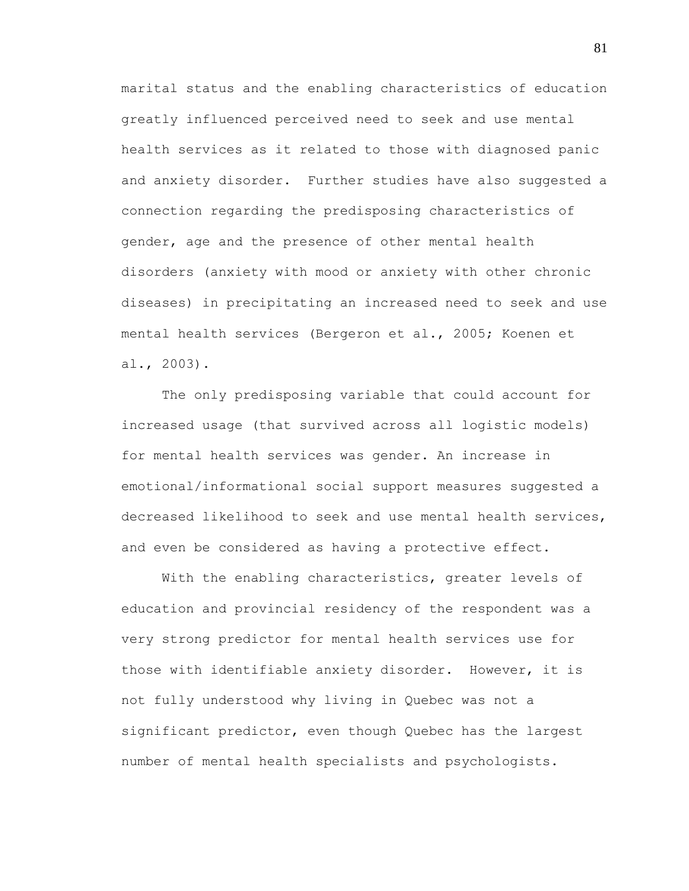marital status and the enabling characteristics of education greatly influenced perceived need to seek and use mental health services as it related to those with diagnosed panic and anxiety disorder. Further studies have also suggested a connection regarding the predisposing characteristics of gender, age and the presence of other mental health disorders (anxiety with mood or anxiety with other chronic diseases) in precipitating an increased need to seek and use mental health services (Bergeron et al., 2005; Koenen et al., 2003).

The only predisposing variable that could account for increased usage (that survived across all logistic models) for mental health services was gender. An increase in emotional/informational social support measures suggested a decreased likelihood to seek and use mental health services, and even be considered as having a protective effect.

With the enabling characteristics, greater levels of education and provincial residency of the respondent was a very strong predictor for mental health services use for those with identifiable anxiety disorder. However, it is not fully understood why living in Quebec was not a significant predictor, even though Quebec has the largest number of mental health specialists and psychologists.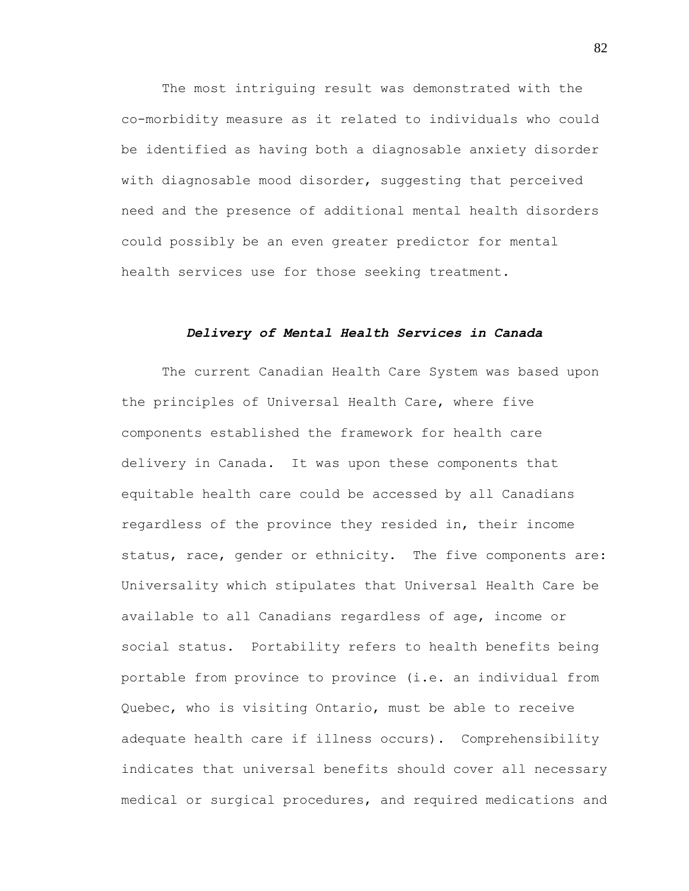The most intriguing result was demonstrated with the co-morbidity measure as it related to individuals who could be identified as having both a diagnosable anxiety disorder with diagnosable mood disorder, suggesting that perceived need and the presence of additional mental health disorders could possibly be an even greater predictor for mental health services use for those seeking treatment.

#### *Delivery of Mental Health Services in Canada*

The current Canadian Health Care System was based upon the principles of Universal Health Care, where five components established the framework for health care delivery in Canada. It was upon these components that equitable health care could be accessed by all Canadians regardless of the province they resided in, their income status, race, gender or ethnicity. The five components are: Universality which stipulates that Universal Health Care be available to all Canadians regardless of age, income or social status. Portability refers to health benefits being portable from province to province (i.e. an individual from Quebec, who is visiting Ontario, must be able to receive adequate health care if illness occurs). Comprehensibility indicates that universal benefits should cover all necessary medical or surgical procedures, and required medications and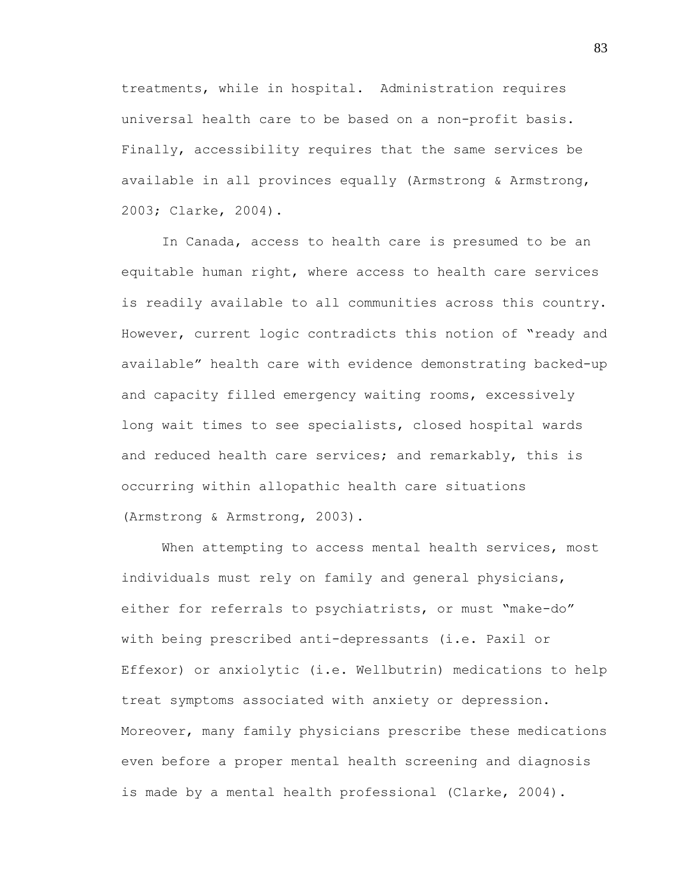treatments, while in hospital. Administration requires universal health care to be based on a non-profit basis. Finally, accessibility requires that the same services be available in all provinces equally (Armstrong & Armstrong, 2003; Clarke, 2004).

In Canada, access to health care is presumed to be an equitable human right, where access to health care services is readily available to all communities across this country. However, current logic contradicts this notion of "ready and available" health care with evidence demonstrating backed-up and capacity filled emergency waiting rooms, excessively long wait times to see specialists, closed hospital wards and reduced health care services; and remarkably, this is occurring within allopathic health care situations (Armstrong & Armstrong, 2003).

When attempting to access mental health services, most individuals must rely on family and general physicians, either for referrals to psychiatrists, or must "make-do" with being prescribed anti-depressants (i.e. Paxil or Effexor) or anxiolytic (i.e. Wellbutrin) medications to help treat symptoms associated with anxiety or depression. Moreover, many family physicians prescribe these medications even before a proper mental health screening and diagnosis is made by a mental health professional (Clarke, 2004).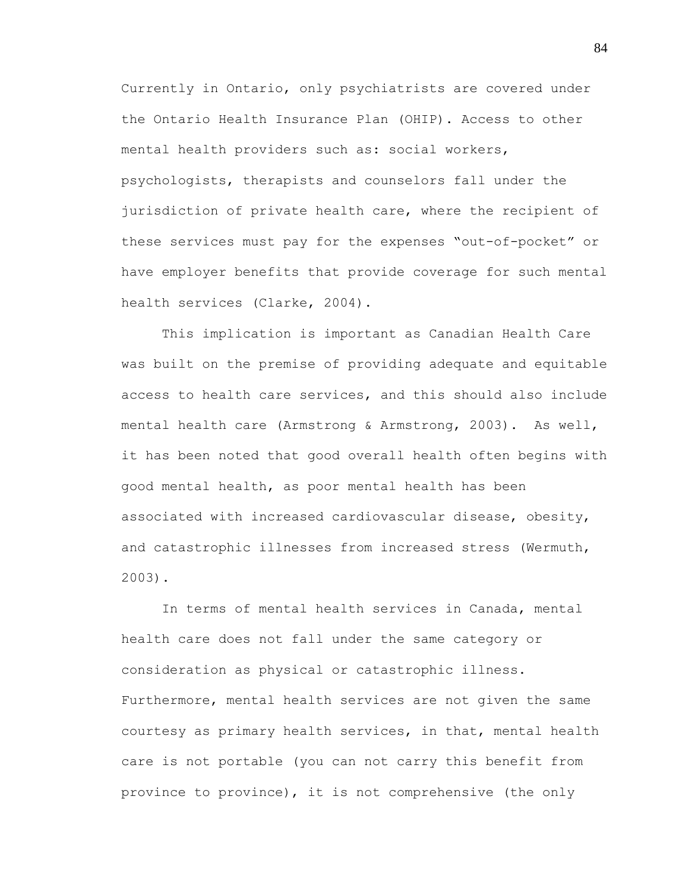Currently in Ontario, only psychiatrists are covered under the Ontario Health Insurance Plan (OHIP). Access to other mental health providers such as: social workers, psychologists, therapists and counselors fall under the jurisdiction of private health care, where the recipient of these services must pay for the expenses "out-of-pocket" or have employer benefits that provide coverage for such mental health services (Clarke, 2004).

This implication is important as Canadian Health Care was built on the premise of providing adequate and equitable access to health care services, and this should also include mental health care (Armstrong & Armstrong, 2003). As well, it has been noted that good overall health often begins with good mental health, as poor mental health has been associated with increased cardiovascular disease, obesity, and catastrophic illnesses from increased stress (Wermuth, 2003).

In terms of mental health services in Canada, mental health care does not fall under the same category or consideration as physical or catastrophic illness. Furthermore, mental health services are not given the same courtesy as primary health services, in that, mental health care is not portable (you can not carry this benefit from province to province), it is not comprehensive (the only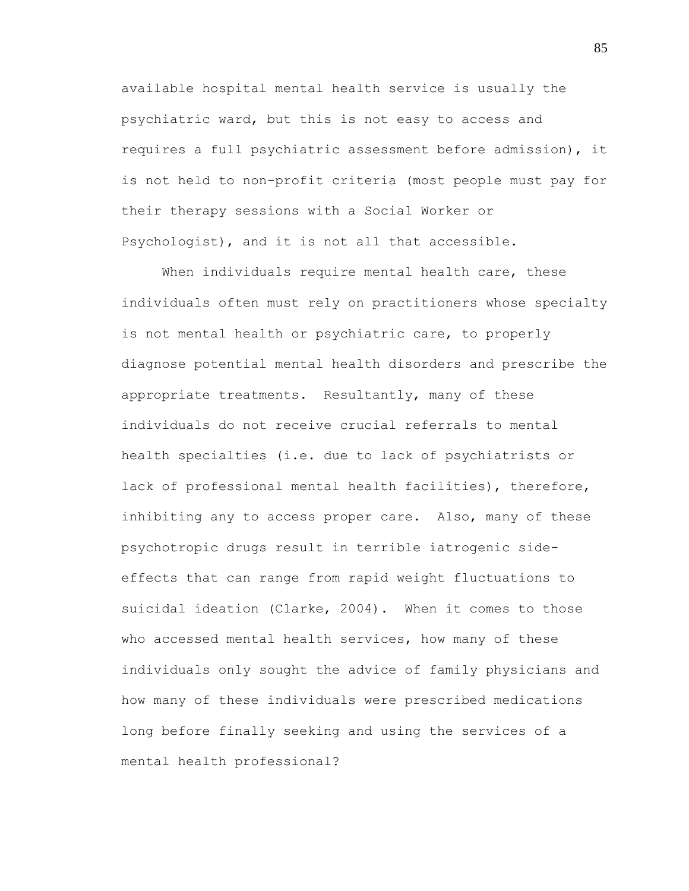available hospital mental health service is usually the psychiatric ward, but this is not easy to access and requires a full psychiatric assessment before admission), it is not held to non-profit criteria (most people must pay for their therapy sessions with a Social Worker or Psychologist), and it is not all that accessible.

When individuals require mental health care, these individuals often must rely on practitioners whose specialty is not mental health or psychiatric care, to properly diagnose potential mental health disorders and prescribe the appropriate treatments. Resultantly, many of these individuals do not receive crucial referrals to mental health specialties (i.e. due to lack of psychiatrists or lack of professional mental health facilities), therefore, inhibiting any to access proper care. Also, many of these psychotropic drugs result in terrible iatrogenic sideeffects that can range from rapid weight fluctuations to suicidal ideation (Clarke, 2004). When it comes to those who accessed mental health services, how many of these individuals only sought the advice of family physicians and how many of these individuals were prescribed medications long before finally seeking and using the services of a mental health professional?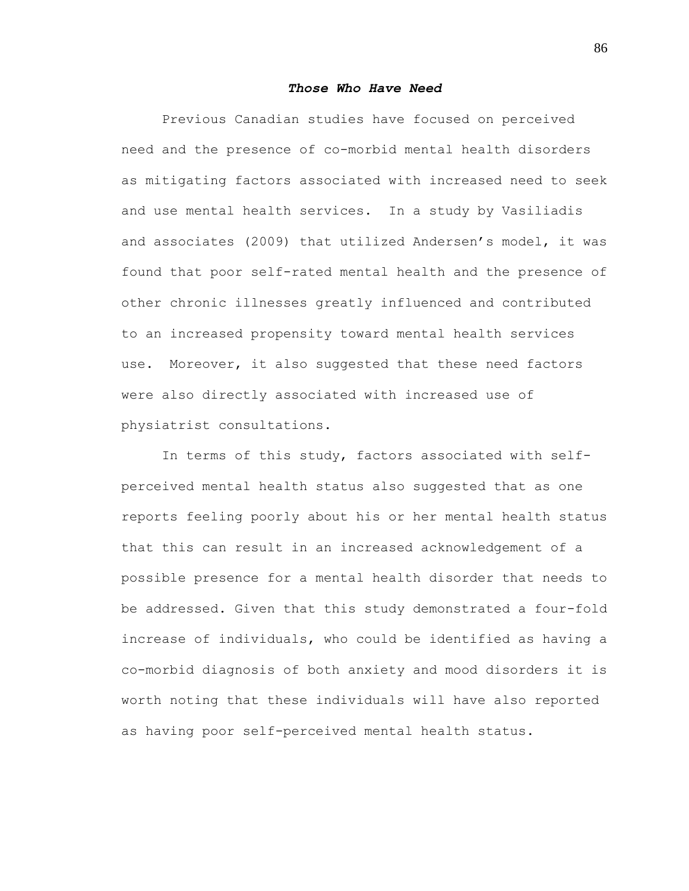# *Those Who Have Need*

Previous Canadian studies have focused on perceived need and the presence of co-morbid mental health disorders as mitigating factors associated with increased need to seek and use mental health services. In a study by Vasiliadis and associates (2009) that utilized Andersen"s model, it was found that poor self-rated mental health and the presence of other chronic illnesses greatly influenced and contributed to an increased propensity toward mental health services use. Moreover, it also suggested that these need factors were also directly associated with increased use of physiatrist consultations.

In terms of this study, factors associated with selfperceived mental health status also suggested that as one reports feeling poorly about his or her mental health status that this can result in an increased acknowledgement of a possible presence for a mental health disorder that needs to be addressed. Given that this study demonstrated a four-fold increase of individuals, who could be identified as having a co-morbid diagnosis of both anxiety and mood disorders it is worth noting that these individuals will have also reported as having poor self-perceived mental health status.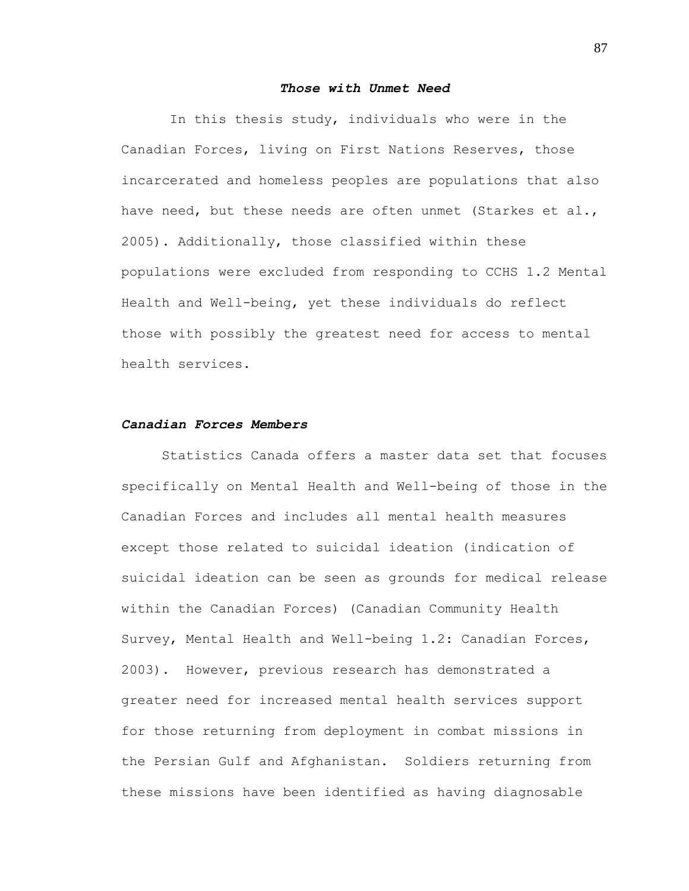## *Those with Unmet Need*

In this thesis study, individuals who were in the Canadian Forces, living on First Nations Reserves, those incarcerated and homeless peoples are populations that also have need, but these needs are often unmet (Starkes et al., 2005). Additionally, those classified within these populations were excluded from responding to CCHS 1.2 Mental Health and Well-being, yet these individuals do reflect those with possibly the greatest need for access to mental health services.

# *Canadian Forces Members*

Statistics Canada offers a master data set that focuses specifically on Mental Health and Well-being of those in the Canadian Forces and includes all mental health measures except those related to suicidal ideation (indication of suicidal ideation can be seen as grounds for medical release within the Canadian Forces) (Canadian Community Health Survey, Mental Health and Well-being 1.2: Canadian Forces, 2003). However, previous research has demonstrated a greater need for increased mental health services support for those returning from deployment in combat missions in the Persian Gulf and Afghanistan. Soldiers returning from these missions have been identified as having diagnosable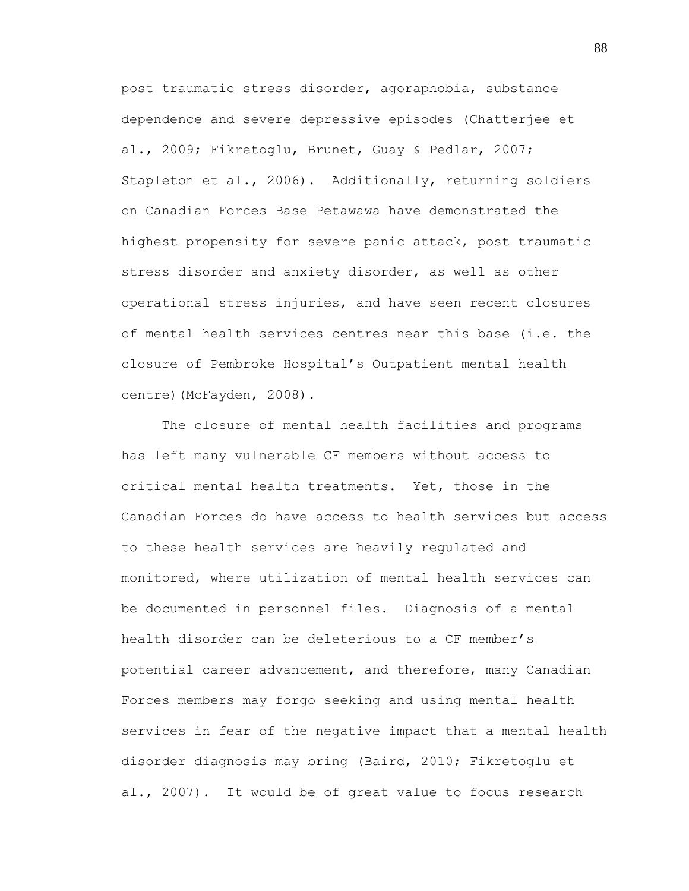post traumatic stress disorder, agoraphobia, substance dependence and severe depressive episodes (Chatterjee et al., 2009; Fikretoglu, Brunet, Guay & Pedlar, 2007; Stapleton et al., 2006). Additionally, returning soldiers on Canadian Forces Base Petawawa have demonstrated the highest propensity for severe panic attack, post traumatic stress disorder and anxiety disorder, as well as other operational stress injuries, and have seen recent closures of mental health services centres near this base (i.e. the closure of Pembroke Hospital"s Outpatient mental health centre) (McFayden, 2008).

The closure of mental health facilities and programs has left many vulnerable CF members without access to critical mental health treatments. Yet, those in the Canadian Forces do have access to health services but access to these health services are heavily regulated and monitored, where utilization of mental health services can be documented in personnel files. Diagnosis of a mental health disorder can be deleterious to a CF member's potential career advancement, and therefore, many Canadian Forces members may forgo seeking and using mental health services in fear of the negative impact that a mental health disorder diagnosis may bring (Baird, 2010; Fikretoglu et al., 2007). It would be of great value to focus research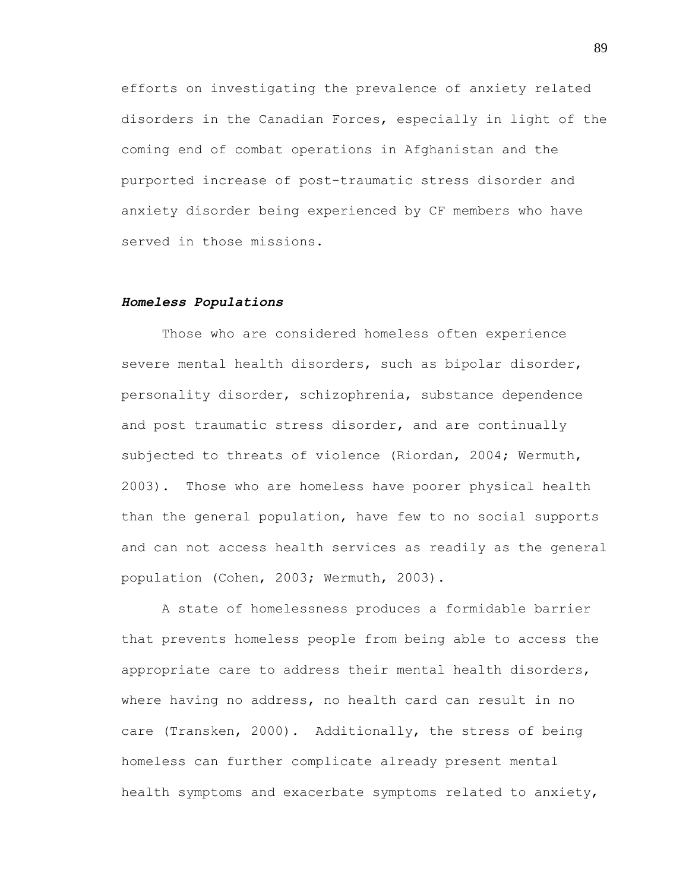efforts on investigating the prevalence of anxiety related disorders in the Canadian Forces, especially in light of the coming end of combat operations in Afghanistan and the purported increase of post-traumatic stress disorder and anxiety disorder being experienced by CF members who have served in those missions.

#### *Homeless Populations*

Those who are considered homeless often experience severe mental health disorders, such as bipolar disorder, personality disorder, schizophrenia, substance dependence and post traumatic stress disorder, and are continually subjected to threats of violence (Riordan, 2004; Wermuth, 2003). Those who are homeless have poorer physical health than the general population, have few to no social supports and can not access health services as readily as the general population (Cohen, 2003; Wermuth, 2003).

A state of homelessness produces a formidable barrier that prevents homeless people from being able to access the appropriate care to address their mental health disorders, where having no address, no health card can result in no care (Transken, 2000). Additionally, the stress of being homeless can further complicate already present mental health symptoms and exacerbate symptoms related to anxiety,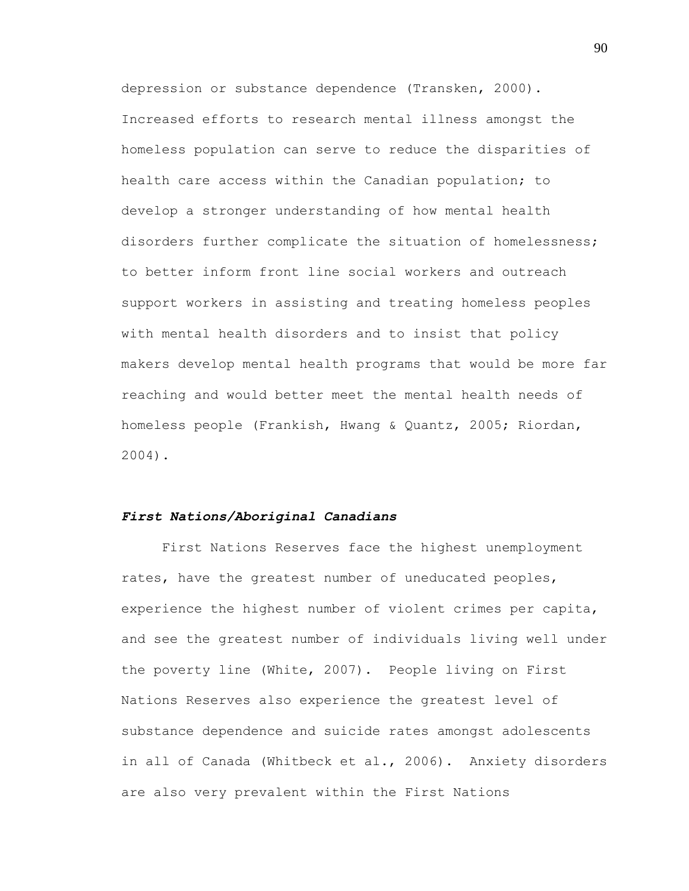depression or substance dependence (Transken, 2000). Increased efforts to research mental illness amongst the homeless population can serve to reduce the disparities of health care access within the Canadian population; to develop a stronger understanding of how mental health disorders further complicate the situation of homelessness; to better inform front line social workers and outreach support workers in assisting and treating homeless peoples with mental health disorders and to insist that policy makers develop mental health programs that would be more far reaching and would better meet the mental health needs of homeless people (Frankish, Hwang & Quantz, 2005; Riordan, 2004).

# *First Nations/Aboriginal Canadians*

First Nations Reserves face the highest unemployment rates, have the greatest number of uneducated peoples, experience the highest number of violent crimes per capita, and see the greatest number of individuals living well under the poverty line (White, 2007). People living on First Nations Reserves also experience the greatest level of substance dependence and suicide rates amongst adolescents in all of Canada (Whitbeck et al., 2006). Anxiety disorders are also very prevalent within the First Nations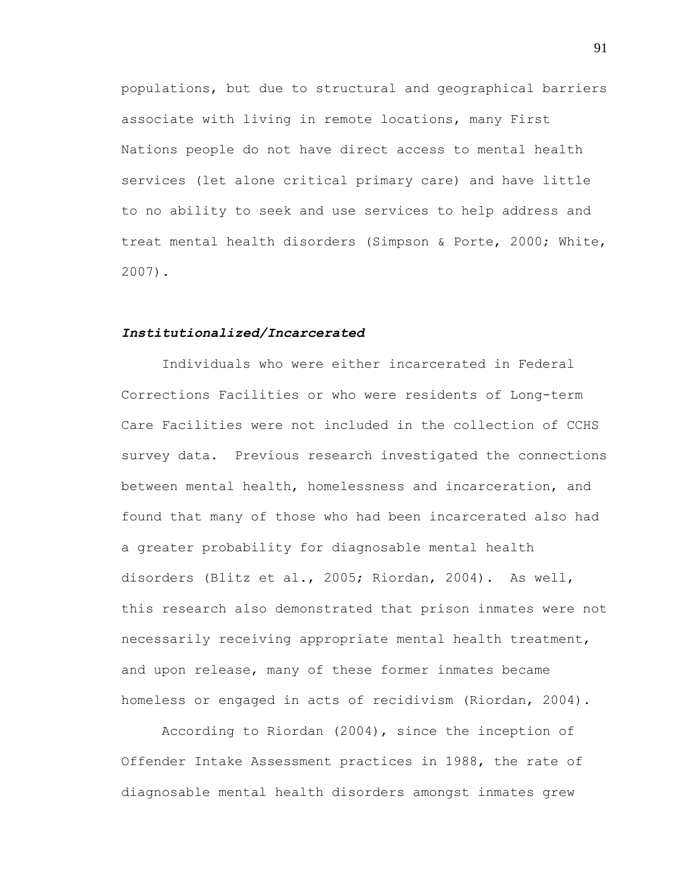populations, but due to structural and geographical barriers associate with living in remote locations, many First Nations people do not have direct access to mental health services (let alone critical primary care) and have little to no ability to seek and use services to help address and treat mental health disorders (Simpson & Porte, 2000; White, 2007).

#### *Institutionalized/Incarcerated*

Individuals who were either incarcerated in Federal Corrections Facilities or who were residents of Long-term Care Facilities were not included in the collection of CCHS survey data. Previous research investigated the connections between mental health, homelessness and incarceration, and found that many of those who had been incarcerated also had a greater probability for diagnosable mental health disorders (Blitz et al., 2005; Riordan, 2004). As well, this research also demonstrated that prison inmates were not necessarily receiving appropriate mental health treatment, and upon release, many of these former inmates became homeless or engaged in acts of recidivism (Riordan, 2004).

According to Riordan (2004), since the inception of Offender Intake Assessment practices in 1988, the rate of diagnosable mental health disorders amongst inmates grew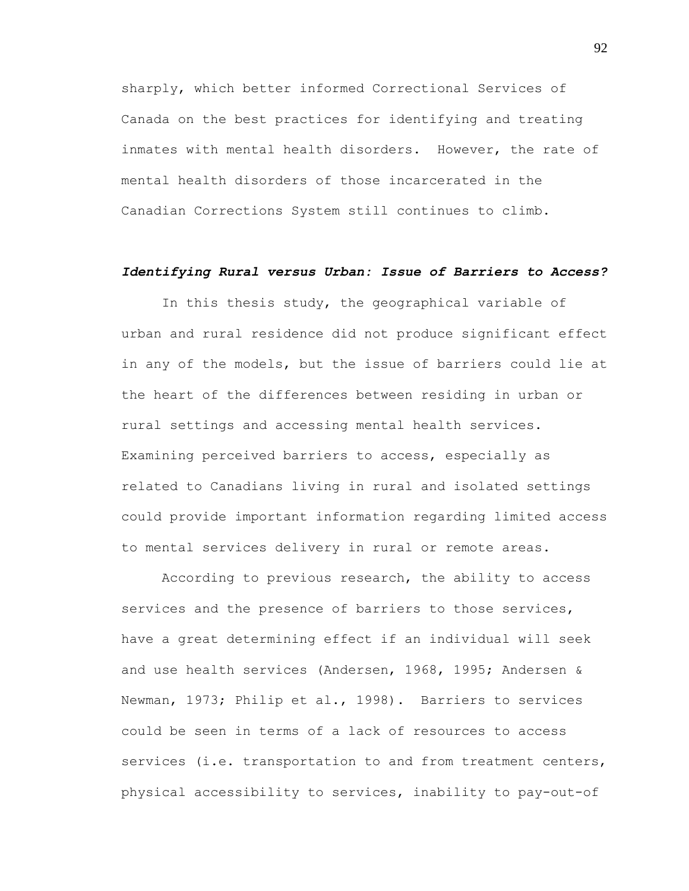sharply, which better informed Correctional Services of Canada on the best practices for identifying and treating inmates with mental health disorders. However, the rate of mental health disorders of those incarcerated in the Canadian Corrections System still continues to climb.

# *Identifying Rural versus Urban: Issue of Barriers to Access?*

In this thesis study, the geographical variable of urban and rural residence did not produce significant effect in any of the models, but the issue of barriers could lie at the heart of the differences between residing in urban or rural settings and accessing mental health services. Examining perceived barriers to access, especially as related to Canadians living in rural and isolated settings could provide important information regarding limited access to mental services delivery in rural or remote areas.

According to previous research, the ability to access services and the presence of barriers to those services, have a great determining effect if an individual will seek and use health services (Andersen, 1968, 1995; Andersen & Newman, 1973; Philip et al., 1998). Barriers to services could be seen in terms of a lack of resources to access services (i.e. transportation to and from treatment centers, physical accessibility to services, inability to pay-out-of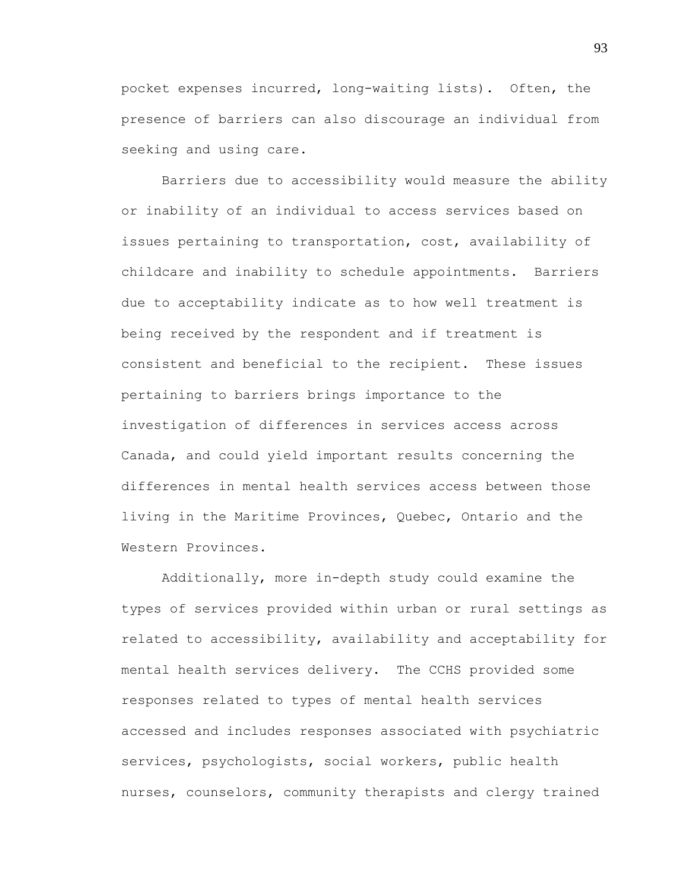pocket expenses incurred, long-waiting lists). Often, the presence of barriers can also discourage an individual from seeking and using care.

Barriers due to accessibility would measure the ability or inability of an individual to access services based on issues pertaining to transportation, cost, availability of childcare and inability to schedule appointments. Barriers due to acceptability indicate as to how well treatment is being received by the respondent and if treatment is consistent and beneficial to the recipient. These issues pertaining to barriers brings importance to the investigation of differences in services access across Canada, and could yield important results concerning the differences in mental health services access between those living in the Maritime Provinces, Quebec, Ontario and the Western Provinces.

Additionally, more in-depth study could examine the types of services provided within urban or rural settings as related to accessibility, availability and acceptability for mental health services delivery. The CCHS provided some responses related to types of mental health services accessed and includes responses associated with psychiatric services, psychologists, social workers, public health nurses, counselors, community therapists and clergy trained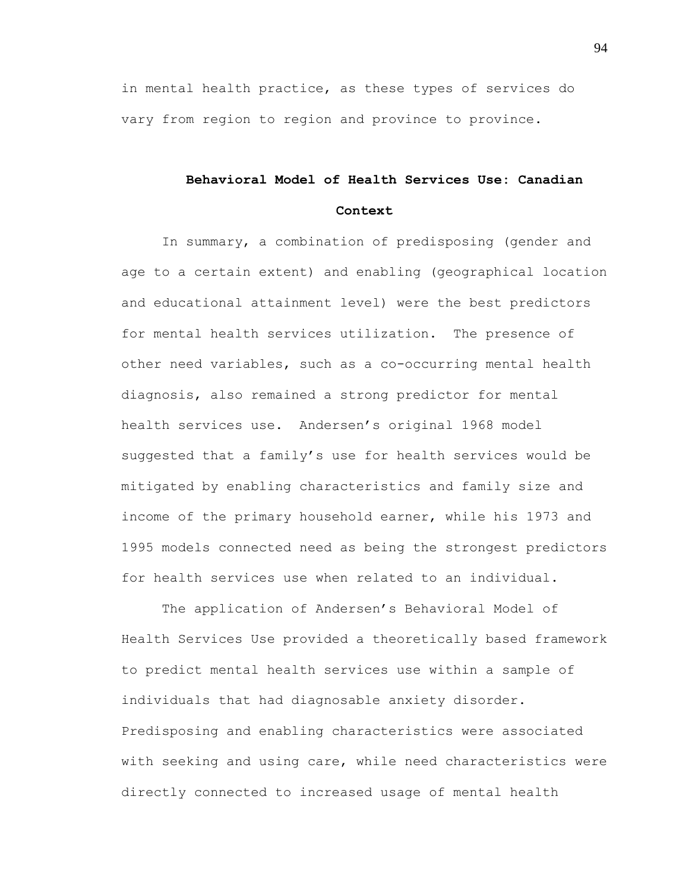in mental health practice, as these types of services do vary from region to region and province to province.

# **Behavioral Model of Health Services Use: Canadian Context**

In summary, a combination of predisposing (gender and age to a certain extent) and enabling (geographical location and educational attainment level) were the best predictors for mental health services utilization. The presence of other need variables, such as a co-occurring mental health diagnosis, also remained a strong predictor for mental health services use. Andersen's original 1968 model suggested that a family"s use for health services would be mitigated by enabling characteristics and family size and income of the primary household earner, while his 1973 and 1995 models connected need as being the strongest predictors for health services use when related to an individual.

The application of Andersen's Behavioral Model of Health Services Use provided a theoretically based framework to predict mental health services use within a sample of individuals that had diagnosable anxiety disorder. Predisposing and enabling characteristics were associated with seeking and using care, while need characteristics were directly connected to increased usage of mental health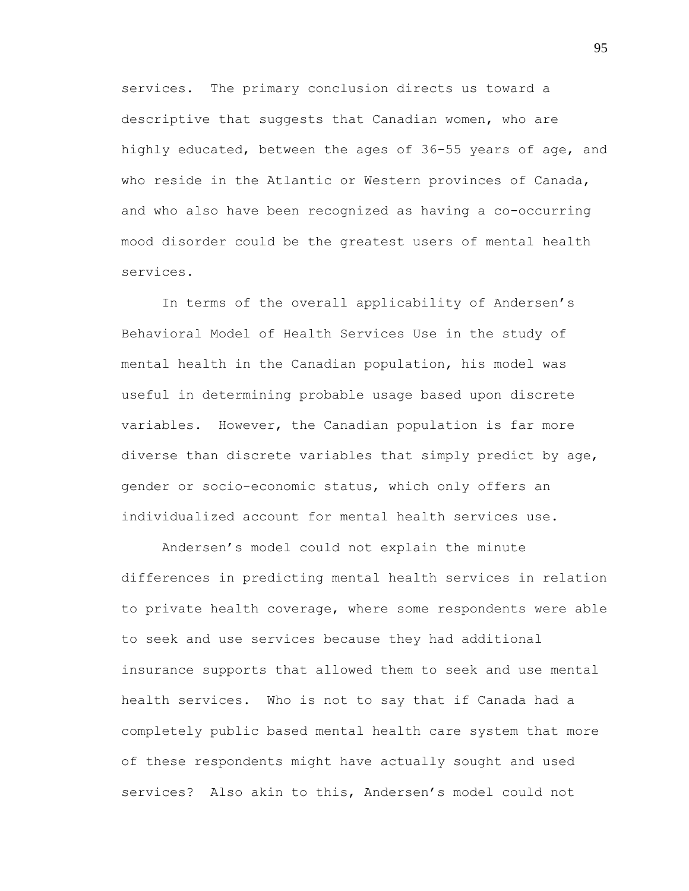services. The primary conclusion directs us toward a descriptive that suggests that Canadian women, who are highly educated, between the ages of 36-55 years of age, and who reside in the Atlantic or Western provinces of Canada, and who also have been recognized as having a co-occurring mood disorder could be the greatest users of mental health services.

In terms of the overall applicability of Andersen's Behavioral Model of Health Services Use in the study of mental health in the Canadian population, his model was useful in determining probable usage based upon discrete variables. However, the Canadian population is far more diverse than discrete variables that simply predict by age, gender or socio-economic status, which only offers an individualized account for mental health services use.

Andersen"s model could not explain the minute differences in predicting mental health services in relation to private health coverage, where some respondents were able to seek and use services because they had additional insurance supports that allowed them to seek and use mental health services. Who is not to say that if Canada had a completely public based mental health care system that more of these respondents might have actually sought and used services? Also akin to this, Andersen's model could not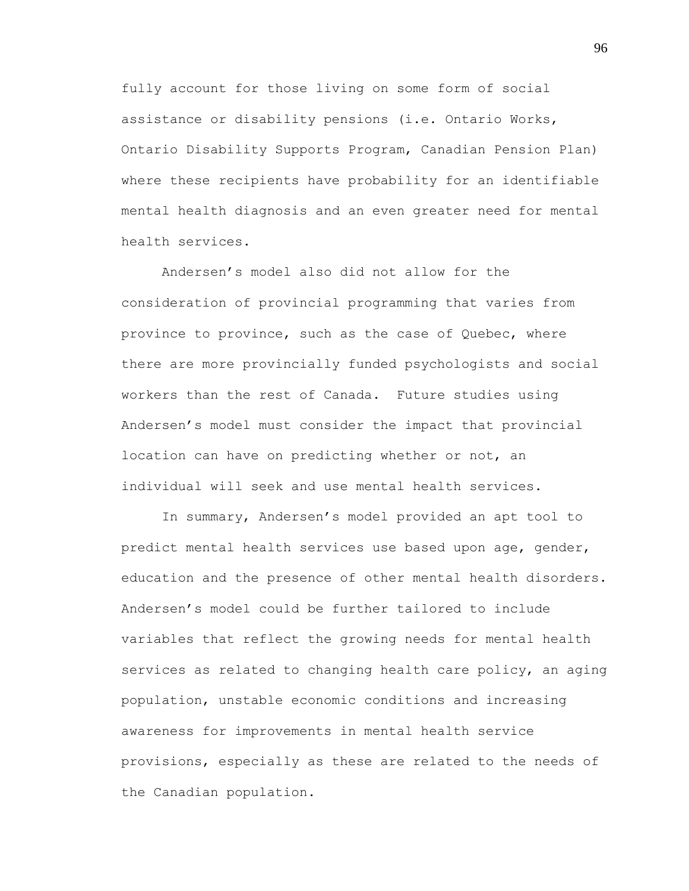fully account for those living on some form of social assistance or disability pensions (i.e. Ontario Works, Ontario Disability Supports Program, Canadian Pension Plan) where these recipients have probability for an identifiable mental health diagnosis and an even greater need for mental health services.

Andersen"s model also did not allow for the consideration of provincial programming that varies from province to province, such as the case of Quebec, where there are more provincially funded psychologists and social workers than the rest of Canada. Future studies using Andersen"s model must consider the impact that provincial location can have on predicting whether or not, an individual will seek and use mental health services.

In summary, Andersen"s model provided an apt tool to predict mental health services use based upon age, gender, education and the presence of other mental health disorders. Andersen"s model could be further tailored to include variables that reflect the growing needs for mental health services as related to changing health care policy, an aging population, unstable economic conditions and increasing awareness for improvements in mental health service provisions, especially as these are related to the needs of the Canadian population.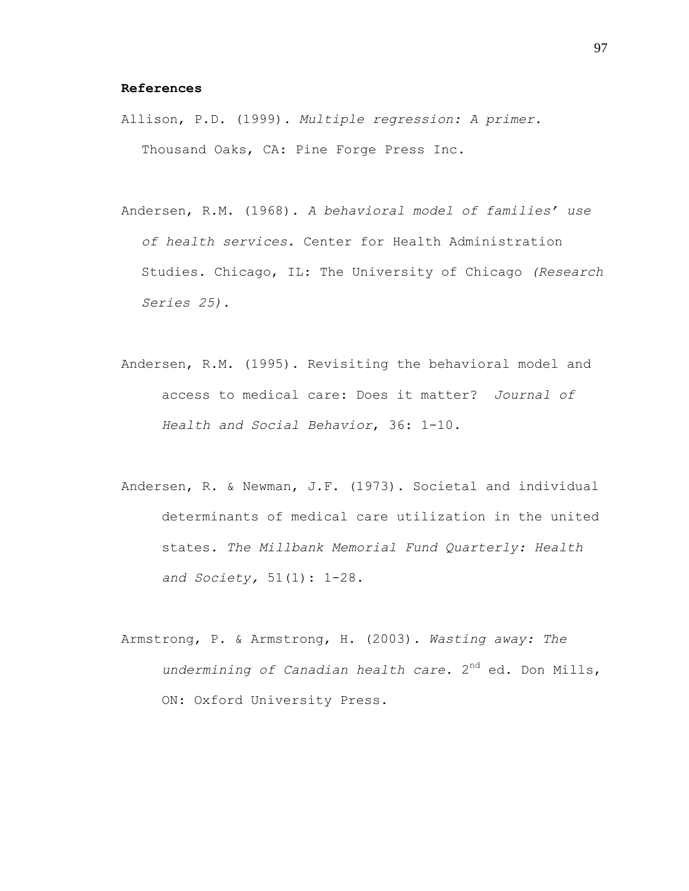# **References**

- Allison, P.D. (1999). *Multiple regression: A primer*. Thousand Oaks, CA: Pine Forge Press Inc.
- Andersen, R.M. (1968). *A behavioral model of families' use of health services*. Center for Health Administration Studies. Chicago, IL: The University of Chicago *(Research Series 25)*.
- Andersen, R.M. (1995). Revisiting the behavioral model and access to medical care: Does it matter? *Journal of Health and Social Behavior*, 36: 1-10.
- Andersen, R. & Newman, J.F. (1973). Societal and individual determinants of medical care utilization in the united states. *The Millbank Memorial Fund Quarterly: Health and Society,* 51(1): 1-28.
- Armstrong, P. & Armstrong, H. (2003). *Wasting away: The undermining of Canadian health care*. 2nd ed. Don Mills, ON: Oxford University Press.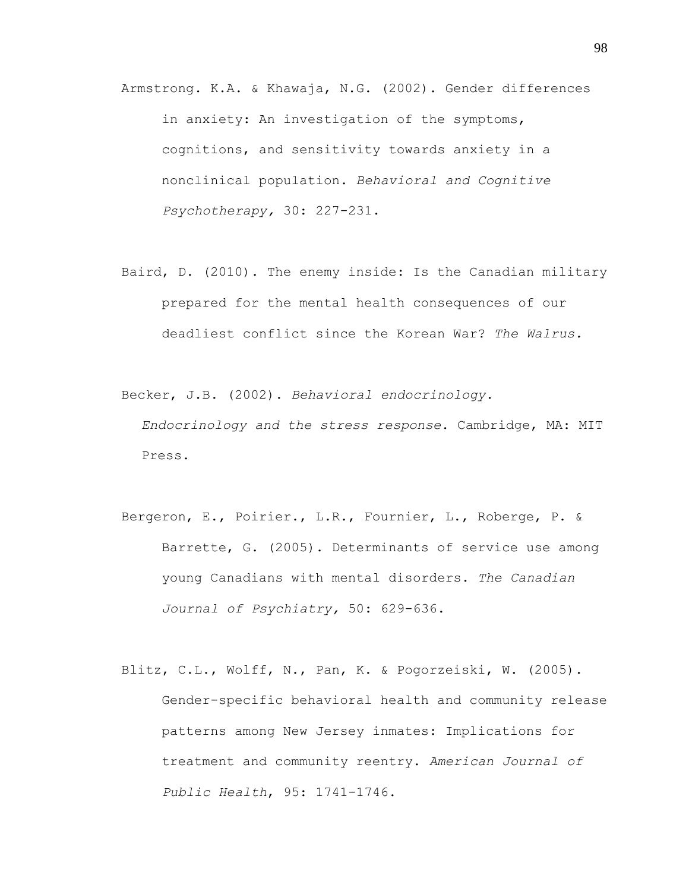Armstrong. K.A. & Khawaja, N.G. (2002). Gender differences in anxiety: An investigation of the symptoms, cognitions, and sensitivity towards anxiety in a nonclinical population. *Behavioral and Cognitive Psychotherapy,* 30: 227-231.

Baird, D. (2010). The enemy inside: Is the Canadian military prepared for the mental health consequences of our deadliest conflict since the Korean War? *The Walrus.*

Becker, J.B. (2002). *Behavioral endocrinology*.

*Endocrinology and the stress response*. Cambridge, MA: MIT Press.

- Bergeron, E., Poirier., L.R., Fournier, L., Roberge, P. & Barrette, G. (2005). Determinants of service use among young Canadians with mental disorders. *The Canadian Journal of Psychiatry,* 50: 629-636.
- Blitz, C.L., Wolff, N., Pan, K. & Pogorzeiski, W. (2005). Gender-specific behavioral health and community release patterns among New Jersey inmates: Implications for treatment and community reentry. *American Journal of Public Health*, 95: 1741-1746.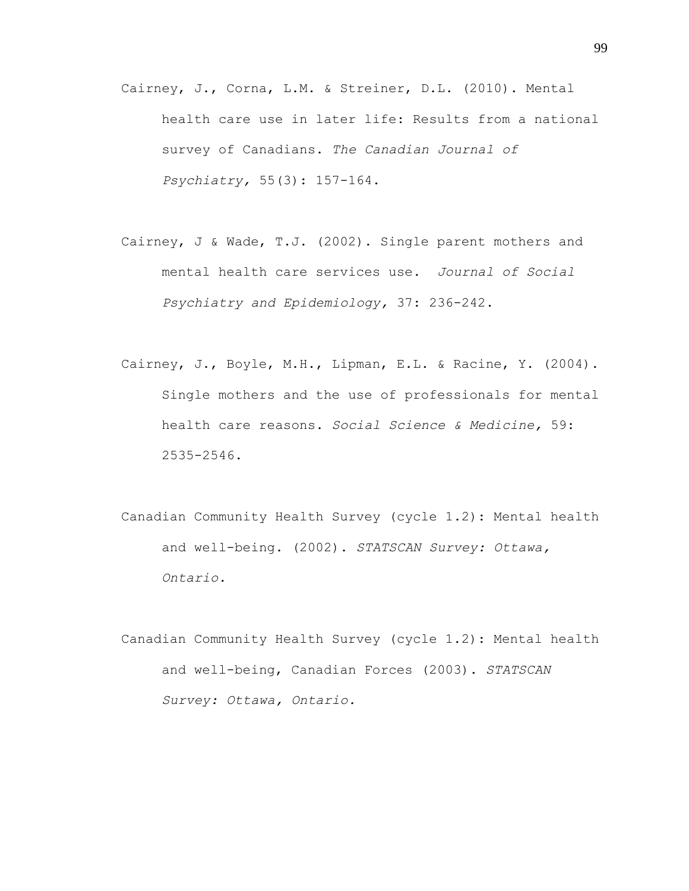- Cairney, J., Corna, L.M. & Streiner, D.L. (2010). Mental health care use in later life: Results from a national survey of Canadians. *The Canadian Journal of Psychiatry,* 55(3): 157-164.
- Cairney, J & Wade, T.J. (2002). Single parent mothers and mental health care services use. *Journal of Social Psychiatry and Epidemiology,* 37: 236-242.
- Cairney, J., Boyle, M.H., Lipman, E.L. & Racine, Y. (2004). Single mothers and the use of professionals for mental health care reasons. *Social Science & Medicine,* 59: 2535-2546.
- Canadian Community Health Survey (cycle 1.2): Mental health and well-being. (2002). *STATSCAN Survey: Ottawa, Ontario.*
- Canadian Community Health Survey (cycle 1.2): Mental health and well-being, Canadian Forces (2003). *STATSCAN Survey: Ottawa, Ontario.*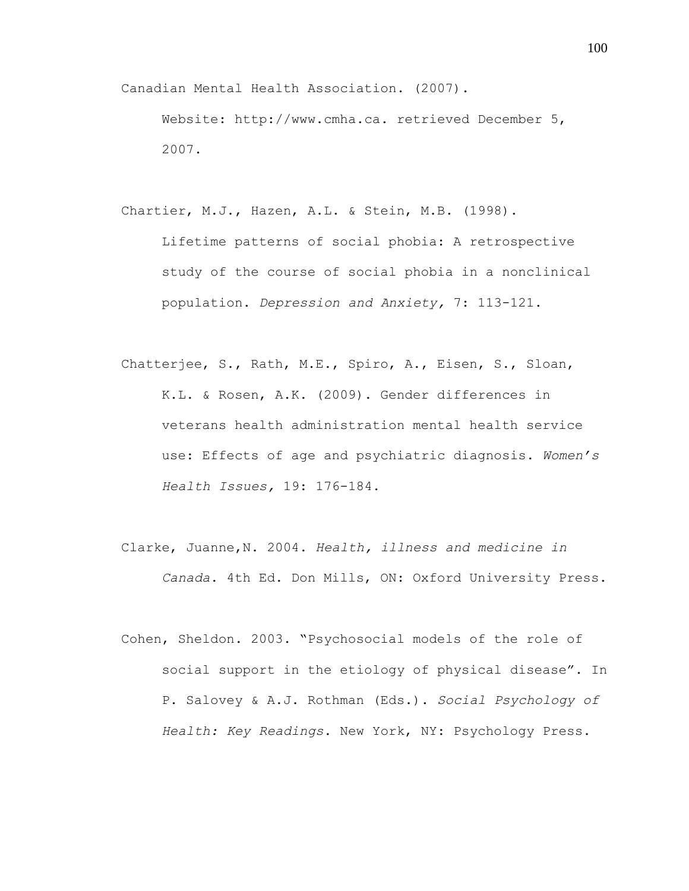Canadian Mental Health Association. (2007).

Website: http://www.cmha.ca. retrieved December 5, 2007.

Chartier, M.J., Hazen, A.L. & Stein, M.B. (1998).

Lifetime patterns of social phobia: A retrospective study of the course of social phobia in a nonclinical population. *Depression and Anxiety,* 7: 113-121.

- Chatterjee, S., Rath, M.E., Spiro, A., Eisen, S., Sloan, K.L. & Rosen, A.K. (2009). Gender differences in veterans health administration mental health service use: Effects of age and psychiatric diagnosis. *Women's Health Issues,* 19: 176-184.
- Clarke, Juanne,N. 2004. *Health, illness and medicine in Canada*. 4th Ed. Don Mills, ON: Oxford University Press.
- Cohen, Sheldon. 2003. "Psychosocial models of the role of social support in the etiology of physical disease". In P. Salovey & A.J. Rothman (Eds.). *Social Psychology of Health: Key Readings*. New York, NY: Psychology Press.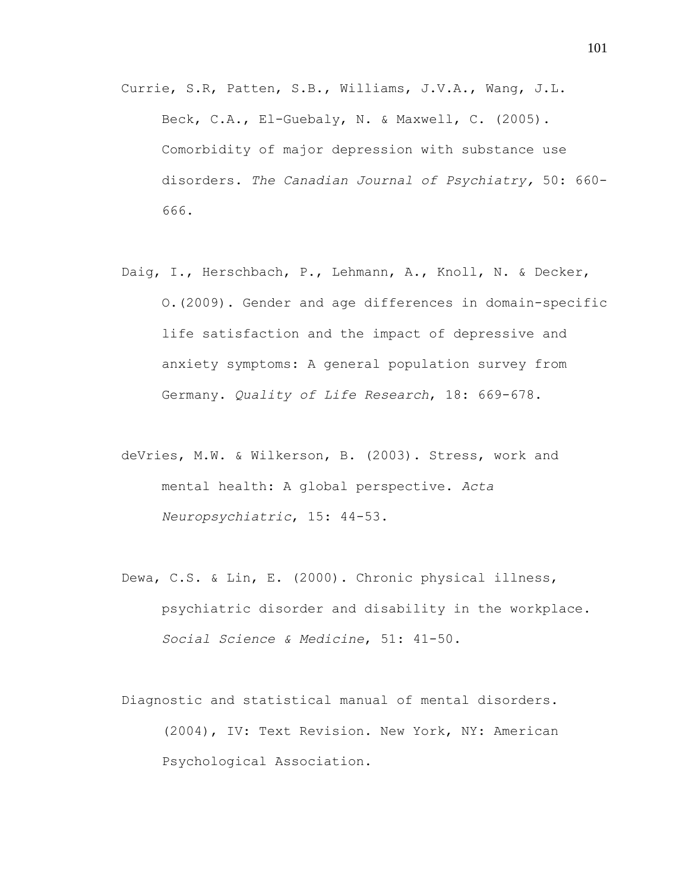- Currie, S.R, Patten, S.B., Williams, J.V.A., Wang, J.L. Beck, C.A., El-Guebaly, N. & Maxwell, C. (2005). Comorbidity of major depression with substance use disorders. *The Canadian Journal of Psychiatry,* 50: 660- 666.
- Daig, I., Herschbach, P., Lehmann, A., Knoll, N. & Decker, O.(2009). Gender and age differences in domain-specific life satisfaction and the impact of depressive and anxiety symptoms: A general population survey from Germany. *Quality of Life Research*, 18: 669-678.
- deVries, M.W. & Wilkerson, B. (2003). Stress, work and mental health: A global perspective. *Acta Neuropsychiatric*, 15: 44-53.
- Dewa, C.S. & Lin, E. (2000). Chronic physical illness, psychiatric disorder and disability in the workplace. *Social Science & Medicine*, 51: 41-50.
- Diagnostic and statistical manual of mental disorders. (2004), IV: Text Revision. New York, NY: American Psychological Association.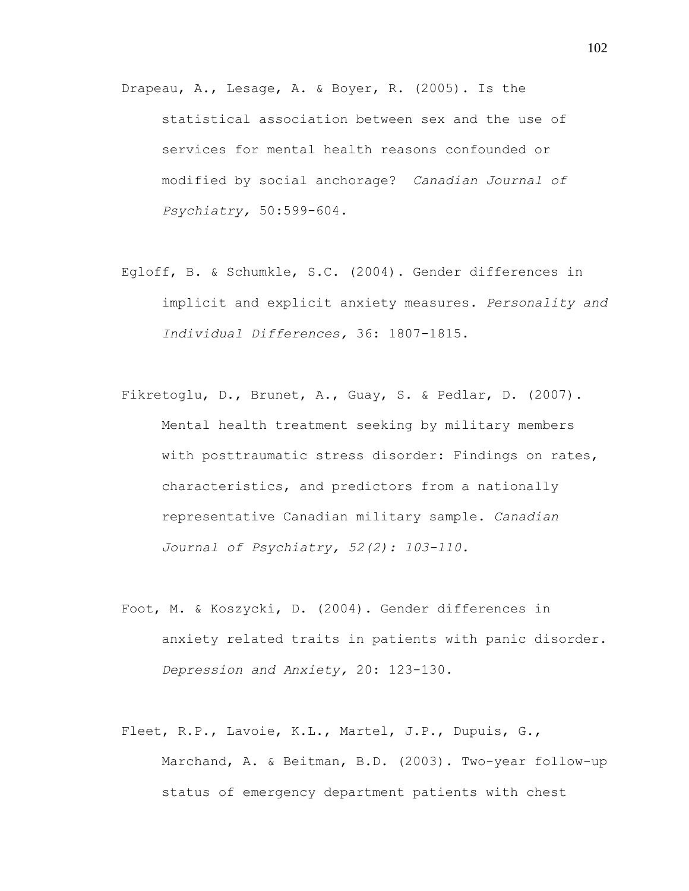- Drapeau, A., Lesage, A. & Boyer, R. (2005). Is the statistical association between sex and the use of services for mental health reasons confounded or modified by social anchorage? *Canadian Journal of Psychiatry,* 50:599-604.
- Egloff, B. & Schumkle, S.C. (2004). Gender differences in implicit and explicit anxiety measures. *Personality and Individual Differences,* 36: 1807-1815.
- Fikretoglu, D., Brunet, A., Guay, S. & Pedlar, D. (2007). Mental health treatment seeking by military members with posttraumatic stress disorder: Findings on rates, characteristics, and predictors from a nationally representative Canadian military sample. *Canadian Journal of Psychiatry, 52(2): 103-110.*
- Foot, M. & Koszycki, D. (2004). Gender differences in anxiety related traits in patients with panic disorder. *Depression and Anxiety,* 20: 123-130.
- Fleet, R.P., Lavoie, K.L., Martel, J.P., Dupuis, G., Marchand, A. & Beitman, B.D. (2003). Two-year follow-up status of emergency department patients with chest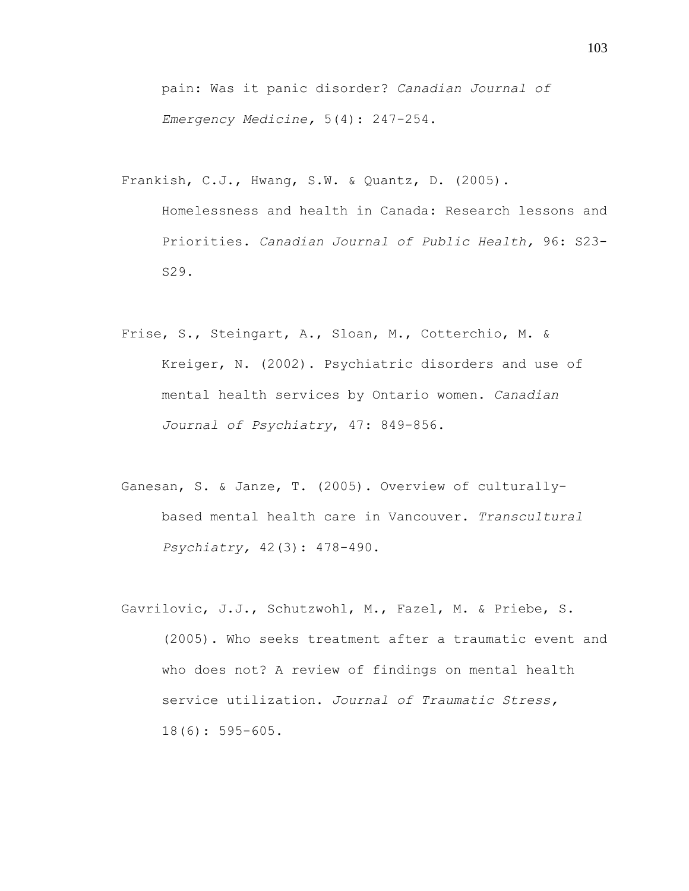pain: Was it panic disorder? *Canadian Journal of Emergency Medicine,* 5(4): 247-254.

Frankish, C.J., Hwang, S.W. & Quantz, D. (2005).

Homelessness and health in Canada: Research lessons and Priorities. *Canadian Journal of Public Health,* 96: S23- S29.

- Frise, S., Steingart, A., Sloan, M., Cotterchio, M. & Kreiger, N. (2002). Psychiatric disorders and use of mental health services by Ontario women. *Canadian Journal of Psychiatry*, 47: 849-856.
- Ganesan, S. & Janze, T. (2005). Overview of culturallybased mental health care in Vancouver. *Transcultural Psychiatry,* 42(3): 478-490.
- Gavrilovic, J.J., Schutzwohl, M., Fazel, M. & Priebe, S. (2005). Who seeks treatment after a traumatic event and who does not? A review of findings on mental health service utilization. *Journal of Traumatic Stress,* 18(6): 595-605.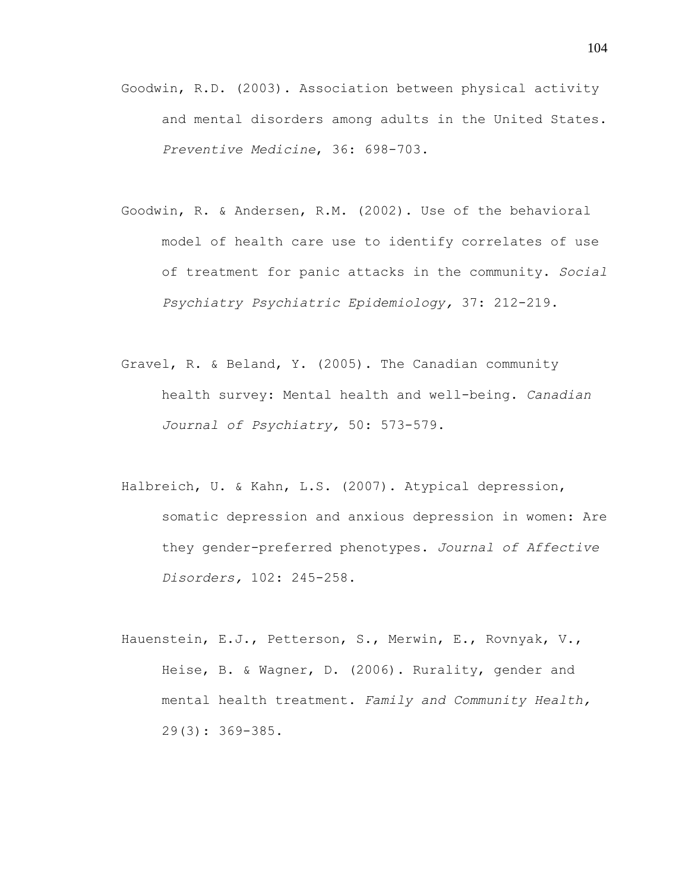- Goodwin, R.D. (2003). Association between physical activity and mental disorders among adults in the United States. *Preventive Medicine*, 36: 698-703.
- Goodwin, R. & Andersen, R.M. (2002). Use of the behavioral model of health care use to identify correlates of use of treatment for panic attacks in the community. *Social Psychiatry Psychiatric Epidemiology,* 37: 212-219.
- Gravel, R. & Beland, Y. (2005). The Canadian community health survey: Mental health and well-being. *Canadian Journal of Psychiatry,* 50: 573-579.
- Halbreich, U. & Kahn, L.S. (2007). Atypical depression, somatic depression and anxious depression in women: Are they gender-preferred phenotypes. *Journal of Affective Disorders,* 102: 245-258.
- Hauenstein, E.J., Petterson, S., Merwin, E., Rovnyak, V., Heise, B. & Wagner, D. (2006). Rurality, gender and mental health treatment. *Family and Community Health,* 29(3): 369-385.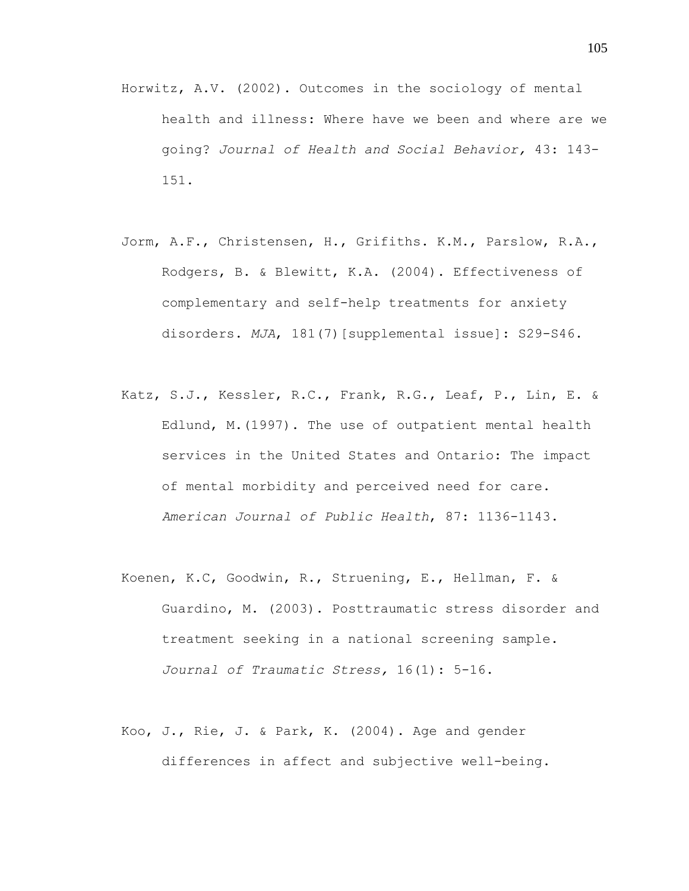- Horwitz, A.V. (2002). Outcomes in the sociology of mental health and illness: Where have we been and where are we going? *Journal of Health and Social Behavior,* 43: 143- 151.
- Jorm, A.F., Christensen, H., Grifiths. K.M., Parslow, R.A., Rodgers, B. & Blewitt, K.A. (2004). Effectiveness of complementary and self-help treatments for anxiety disorders. *MJA*, 181(7)[supplemental issue]: S29-S46.
- Katz, S.J., Kessler, R.C., Frank, R.G., Leaf, P., Lin, E. & Edlund, M.(1997). The use of outpatient mental health services in the United States and Ontario: The impact of mental morbidity and perceived need for care. *American Journal of Public Health*, 87: 1136-1143.
- Koenen, K.C, Goodwin, R., Struening, E., Hellman, F. & Guardino, M. (2003). Posttraumatic stress disorder and treatment seeking in a national screening sample. *Journal of Traumatic Stress,* 16(1): 5-16.
- Koo, J., Rie, J. & Park, K. (2004). Age and gender differences in affect and subjective well-being.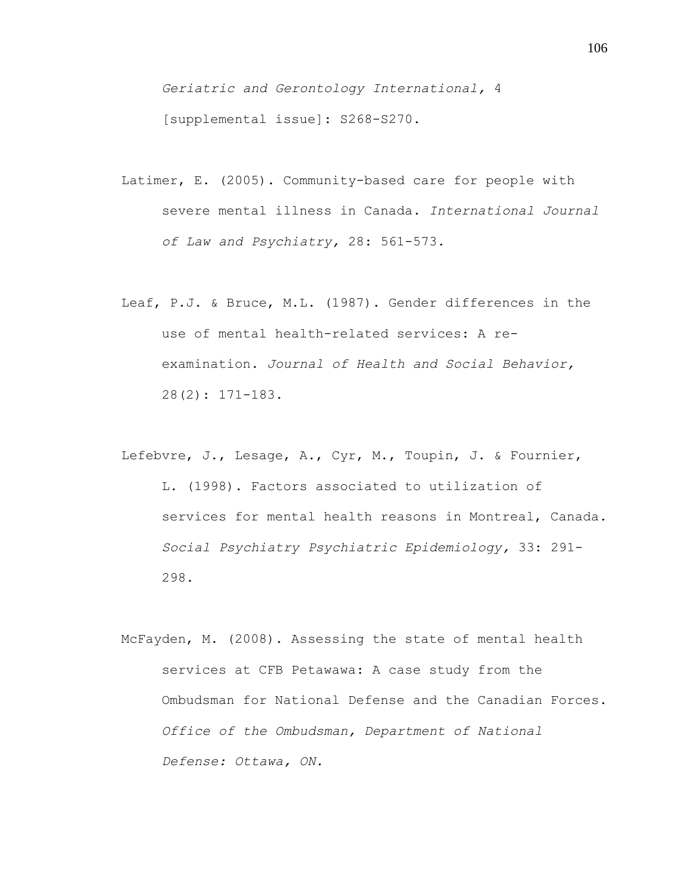*Geriatric and Gerontology International,* 4 [supplemental issue]: S268-S270.

- Latimer, E. (2005). Community-based care for people with severe mental illness in Canada. *International Journal of Law and Psychiatry,* 28: 561-573.
- Leaf, P.J. & Bruce, M.L. (1987). Gender differences in the use of mental health-related services: A reexamination. *Journal of Health and Social Behavior,* 28(2): 171-183.
- Lefebvre, J., Lesage, A., Cyr, M., Toupin, J. & Fournier, L. (1998). Factors associated to utilization of services for mental health reasons in Montreal, Canada. *Social Psychiatry Psychiatric Epidemiology,* 33: 291- 298.
- McFayden, M. (2008). Assessing the state of mental health services at CFB Petawawa: A case study from the Ombudsman for National Defense and the Canadian Forces. *Office of the Ombudsman, Department of National Defense: Ottawa, ON.*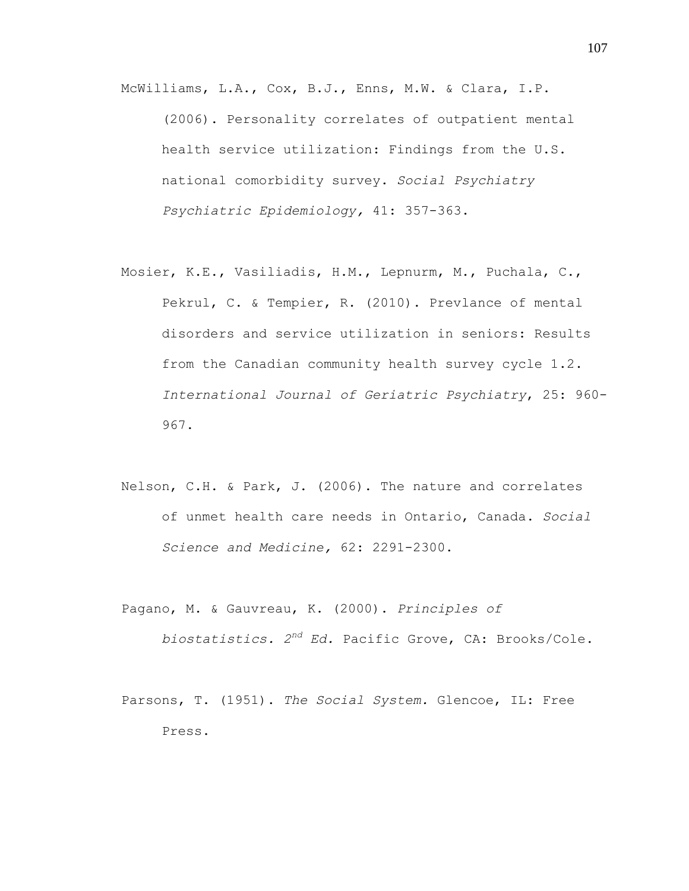McWilliams, L.A., Cox, B.J., Enns, M.W. & Clara, I.P. (2006). Personality correlates of outpatient mental health service utilization: Findings from the U.S. national comorbidity survey. *Social Psychiatry Psychiatric Epidemiology,* 41: 357-363.

- Mosier, K.E., Vasiliadis, H.M., Lepnurm, M., Puchala, C., Pekrul, C. & Tempier, R. (2010). Prevlance of mental disorders and service utilization in seniors: Results from the Canadian community health survey cycle 1.2. *International Journal of Geriatric Psychiatry*, 25: 960- 967.
- Nelson, C.H. & Park, J. (2006). The nature and correlates of unmet health care needs in Ontario, Canada. *Social Science and Medicine,* 62: 2291-2300.
- Pagano, M. & Gauvreau, K. (2000). *Principles of biostatistics. 2nd Ed.* Pacific Grove, CA: Brooks/Cole.
- Parsons, T. (1951). *The Social System.* Glencoe, IL: Free Press.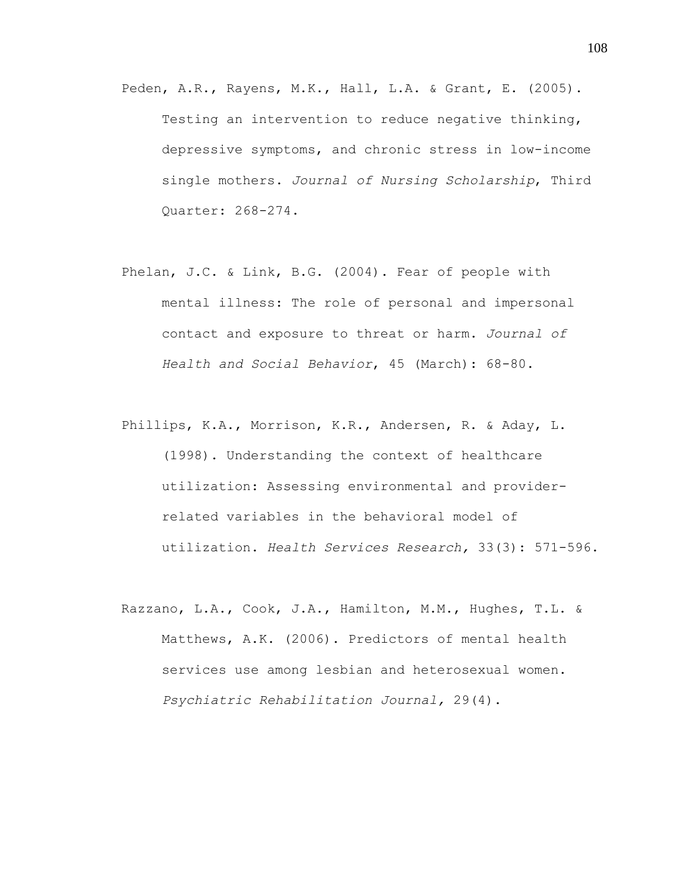- Peden, A.R., Rayens, M.K., Hall, L.A. & Grant, E. (2005). Testing an intervention to reduce negative thinking, depressive symptoms, and chronic stress in low-income single mothers. *Journal of Nursing Scholarship*, Third Quarter: 268-274.
- Phelan, J.C. & Link, B.G. (2004). Fear of people with mental illness: The role of personal and impersonal contact and exposure to threat or harm. *Journal of Health and Social Behavior*, 45 (March): 68-80.
- Phillips, K.A., Morrison, K.R., Andersen, R. & Aday, L. (1998). Understanding the context of healthcare utilization: Assessing environmental and providerrelated variables in the behavioral model of utilization. *Health Services Research,* 33(3): 571-596.
- Razzano, L.A., Cook, J.A., Hamilton, M.M., Hughes, T.L. & Matthews, A.K. (2006). Predictors of mental health services use among lesbian and heterosexual women. *Psychiatric Rehabilitation Journal,* 29(4).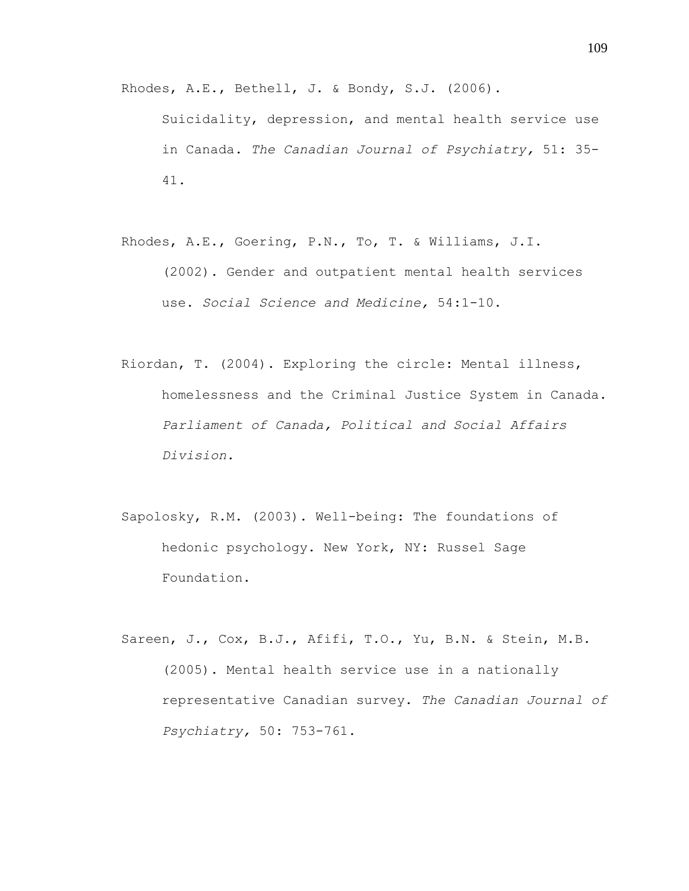Rhodes, A.E., Bethell, J. & Bondy, S.J. (2006).

Suicidality, depression, and mental health service use in Canada. *The Canadian Journal of Psychiatry,* 51: 35- 41.

- Rhodes, A.E., Goering, P.N., To, T. & Williams, J.I. (2002). Gender and outpatient mental health services use. *Social Science and Medicine,* 54:1-10.
- Riordan, T. (2004). Exploring the circle: Mental illness, homelessness and the Criminal Justice System in Canada. *Parliament of Canada, Political and Social Affairs Division.*
- Sapolosky, R.M. (2003). Well-being: The foundations of hedonic psychology. New York, NY: Russel Sage Foundation.
- Sareen, J., Cox, B.J., Afifi, T.O., Yu, B.N. & Stein, M.B. (2005). Mental health service use in a nationally representative Canadian survey. *The Canadian Journal of Psychiatry,* 50: 753-761.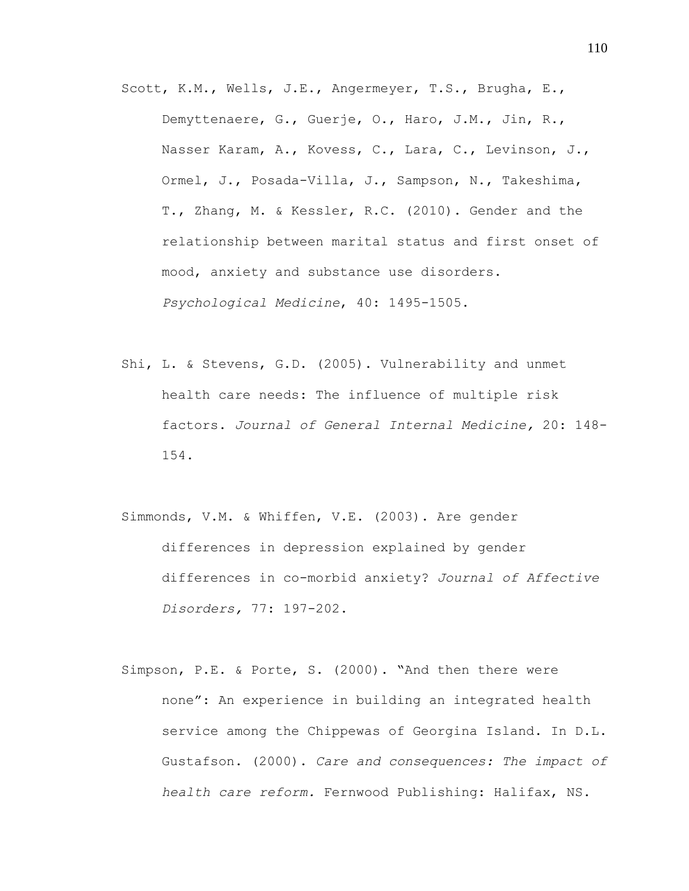Scott, K.M., Wells, J.E., Angermeyer, T.S., Brugha, E., Demyttenaere, G., Guerje, O., Haro, J.M., Jin, R., Nasser Karam, A., Kovess, C., Lara, C., Levinson, J., Ormel, J., Posada-Villa, J., Sampson, N., Takeshima, T., Zhang, M. & Kessler, R.C. (2010). Gender and the relationship between marital status and first onset of mood, anxiety and substance use disorders. *Psychological Medicine*, 40: 1495-1505.

- Shi, L. & Stevens, G.D. (2005). Vulnerability and unmet health care needs: The influence of multiple risk factors. *Journal of General Internal Medicine,* 20: 148- 154.
- Simmonds, V.M. & Whiffen, V.E. (2003). Are gender differences in depression explained by gender differences in co-morbid anxiety? *Journal of Affective Disorders,* 77: 197-202.
- Simpson, P.E. & Porte, S. (2000). "And then there were none": An experience in building an integrated health service among the Chippewas of Georgina Island. In D.L. Gustafson. (2000). *Care and consequences: The impact of health care reform.* Fernwood Publishing: Halifax, NS.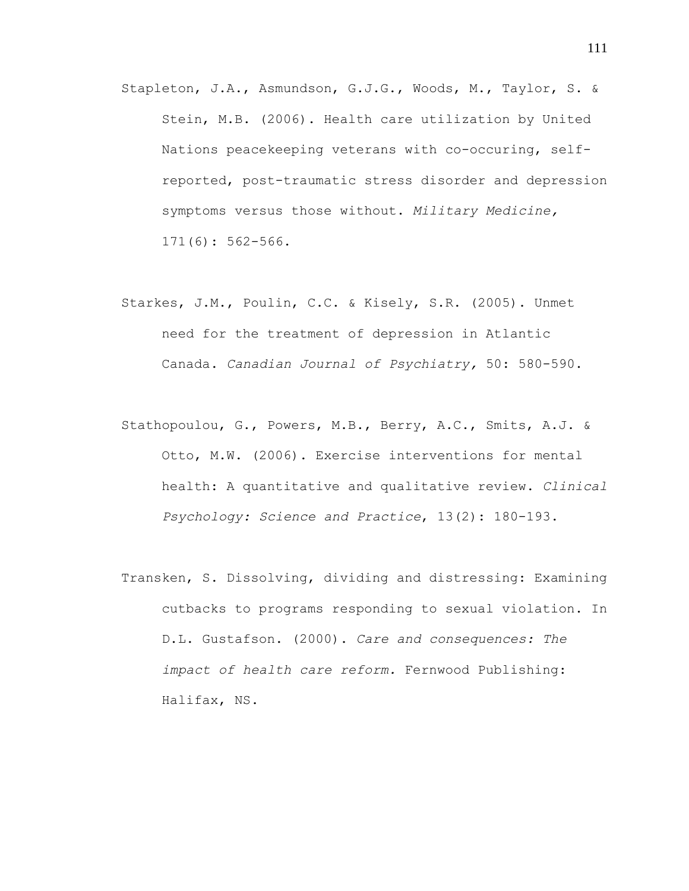- Stapleton, J.A., Asmundson, G.J.G., Woods, M., Taylor, S. & Stein, M.B. (2006). Health care utilization by United Nations peacekeeping veterans with co-occuring, selfreported, post-traumatic stress disorder and depression symptoms versus those without. *Military Medicine,* 171(6): 562-566.
- Starkes, J.M., Poulin, C.C. & Kisely, S.R. (2005). Unmet need for the treatment of depression in Atlantic Canada. *Canadian Journal of Psychiatry,* 50: 580-590.
- Stathopoulou, G., Powers, M.B., Berry, A.C., Smits, A.J. & Otto, M.W. (2006). Exercise interventions for mental health: A quantitative and qualitative review. *Clinical Psychology: Science and Practice*, 13(2): 180-193.
- Transken, S. Dissolving, dividing and distressing: Examining cutbacks to programs responding to sexual violation. In D.L. Gustafson. (2000). *Care and consequences: The impact of health care reform.* Fernwood Publishing: Halifax, NS.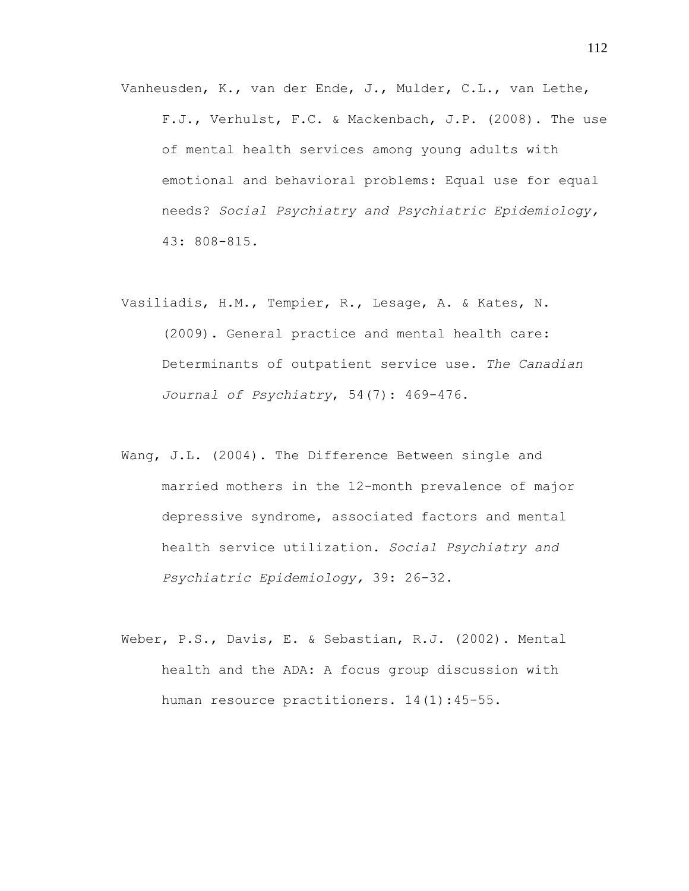- Vanheusden, K., van der Ende, J., Mulder, C.L., van Lethe, F.J., Verhulst, F.C. & Mackenbach, J.P. (2008). The use of mental health services among young adults with emotional and behavioral problems: Equal use for equal needs? *Social Psychiatry and Psychiatric Epidemiology,*  43: 808-815.
- Vasiliadis, H.M., Tempier, R., Lesage, A. & Kates, N. (2009). General practice and mental health care: Determinants of outpatient service use. *The Canadian Journal of Psychiatry*, 54(7): 469-476.
- Wang, J.L. (2004). The Difference Between single and married mothers in the 12-month prevalence of major depressive syndrome, associated factors and mental health service utilization. *Social Psychiatry and Psychiatric Epidemiology,* 39: 26-32.
- Weber, P.S., Davis, E. & Sebastian, R.J. (2002). Mental health and the ADA: A focus group discussion with human resource practitioners. 14(1):45-55.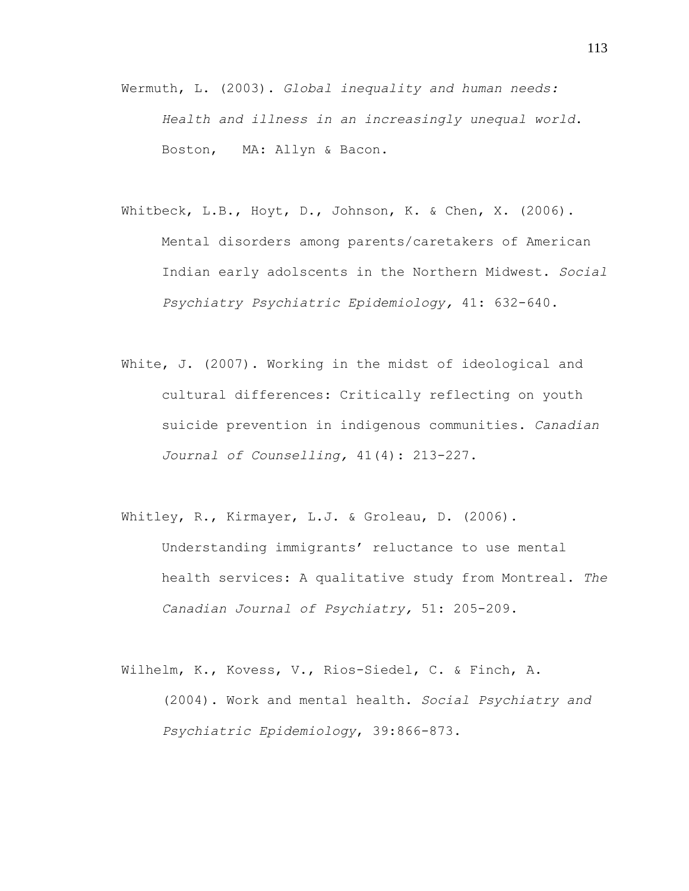- Wermuth, L. (2003). *Global inequality and human needs: Health and illness in an increasingly unequal world*. Boston, MA: Allyn & Bacon.
- Whitbeck, L.B., Hoyt, D., Johnson, K. & Chen, X. (2006). Mental disorders among parents/caretakers of American Indian early adolscents in the Northern Midwest. *Social Psychiatry Psychiatric Epidemiology,* 41: 632-640.
- White, J. (2007). Working in the midst of ideological and cultural differences: Critically reflecting on youth suicide prevention in indigenous communities. *Canadian Journal of Counselling,* 41(4): 213-227.
- Whitley, R., Kirmayer, L.J. & Groleau, D. (2006). Understanding immigrants' reluctance to use mental health services: A qualitative study from Montreal. *The Canadian Journal of Psychiatry,* 51: 205-209.
- Wilhelm, K., Kovess, V., Rios-Siedel, C. & Finch, A. (2004). Work and mental health. *Social Psychiatry and Psychiatric Epidemiology*, 39:866-873.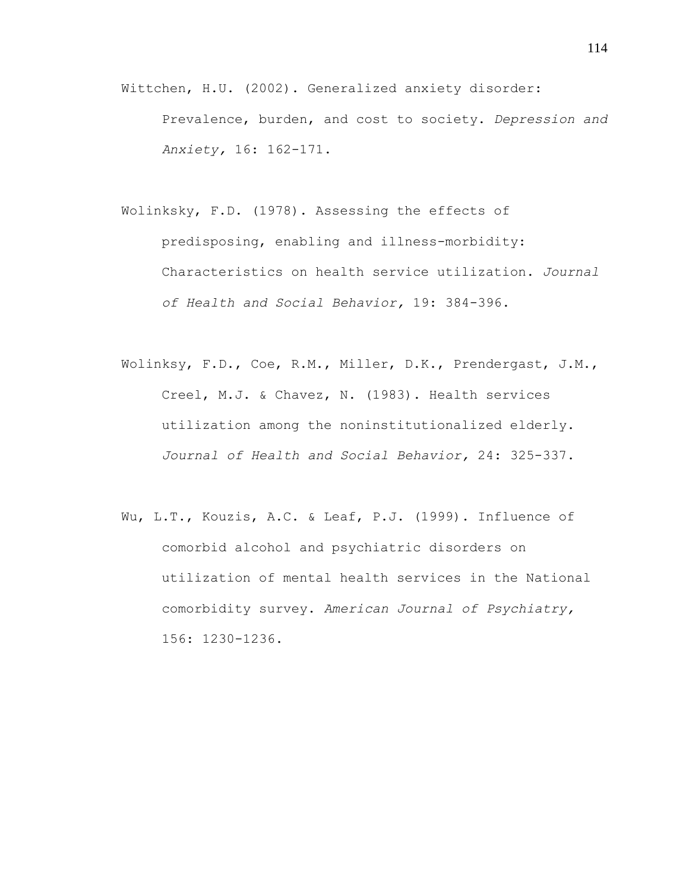- Wittchen, H.U. (2002). Generalized anxiety disorder: Prevalence, burden, and cost to society. *Depression and Anxiety,* 16: 162-171.
- Wolinksky, F.D. (1978). Assessing the effects of predisposing, enabling and illness-morbidity: Characteristics on health service utilization. *Journal of Health and Social Behavior,* 19: 384-396.
- Wolinksy, F.D., Coe, R.M., Miller, D.K., Prendergast, J.M., Creel, M.J. & Chavez, N. (1983). Health services utilization among the noninstitutionalized elderly. *Journal of Health and Social Behavior,* 24: 325-337.
- Wu, L.T., Kouzis, A.C. & Leaf, P.J. (1999). Influence of comorbid alcohol and psychiatric disorders on utilization of mental health services in the National comorbidity survey. *American Journal of Psychiatry,*  156: 1230-1236.